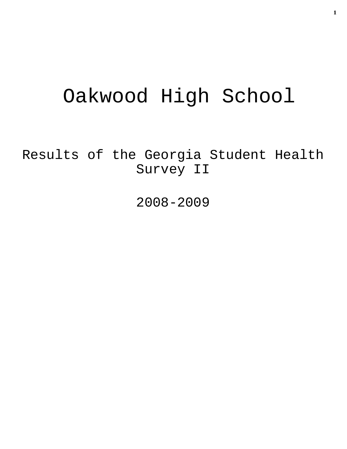# Oakwood High School

Results of the Georgia Student Health Survey II

2008-2009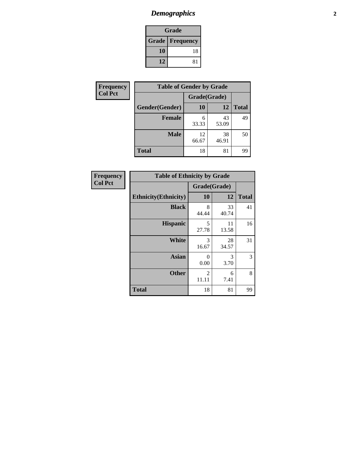# *Demographics* **2**

| Grade                    |    |  |  |  |
|--------------------------|----|--|--|--|
| <b>Grade   Frequency</b> |    |  |  |  |
| 10                       | 18 |  |  |  |
| 12                       | 81 |  |  |  |

| <b>Frequency</b> | <b>Table of Gender by Grade</b> |              |             |              |
|------------------|---------------------------------|--------------|-------------|--------------|
| <b>Col Pct</b>   |                                 | Grade(Grade) |             |              |
|                  | Gender(Gender)                  | 10           | 12          | <b>Total</b> |
|                  | Female                          | 6<br>33.33   | 43<br>53.09 | 49           |
|                  | <b>Male</b>                     | 12<br>66.67  | 38<br>46.91 | 50           |
|                  | <b>Total</b>                    | 18           | 81          | 99           |

| Frequency      |
|----------------|
| <b>Col Pct</b> |

|                              | <b>Table of Ethnicity by Grade</b> |              |             |              |  |  |  |
|------------------------------|------------------------------------|--------------|-------------|--------------|--|--|--|
|                              |                                    | Grade(Grade) |             |              |  |  |  |
| <b>Ethnicity</b> (Ethnicity) |                                    | 10           | 12          | <b>Total</b> |  |  |  |
|                              | <b>Black</b>                       | 8<br>44.44   | 33<br>40.74 | 41           |  |  |  |
| <b>Hispanic</b>              |                                    | 5<br>27.78   | 11<br>13.58 | 16           |  |  |  |
|                              | White                              | 3<br>16.67   | 28<br>34.57 | 31           |  |  |  |
|                              | <b>Asian</b>                       | 0<br>0.00    | 3<br>3.70   | 3            |  |  |  |
|                              | <b>Other</b>                       | 2<br>11.11   | 6<br>7.41   | 8            |  |  |  |
| <b>Total</b>                 |                                    | 18           | 81          | 99           |  |  |  |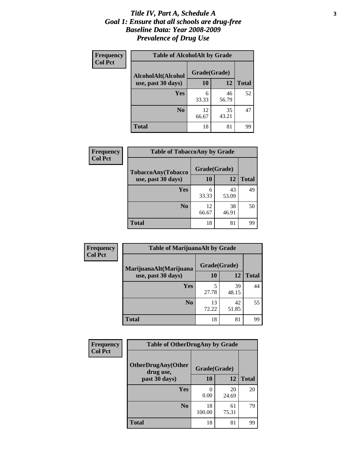### *Title IV, Part A, Schedule A* **3** *Goal 1: Ensure that all schools are drug-free Baseline Data: Year 2008-2009 Prevalence of Drug Use*

| Frequency<br><b>Col Pct</b> | <b>Table of AlcoholAlt by Grade</b> |              |             |              |  |  |  |
|-----------------------------|-------------------------------------|--------------|-------------|--------------|--|--|--|
|                             | AlcoholAlt(Alcohol                  | Grade(Grade) |             |              |  |  |  |
|                             | use, past 30 days)                  | 10           | <b>12</b>   | <b>Total</b> |  |  |  |
|                             | <b>Yes</b>                          | 6<br>33.33   | 46<br>56.79 | 52           |  |  |  |
|                             | N <sub>0</sub>                      | 12<br>66.67  | 35<br>43.21 | 47           |  |  |  |
|                             | <b>Total</b>                        | 18           | 81          | 99           |  |  |  |

| Frequency<br><b>Col Pct</b> | <b>Table of TobaccoAny by Grade</b> |              |             |              |  |  |
|-----------------------------|-------------------------------------|--------------|-------------|--------------|--|--|
|                             | TobaccoAny(Tobacco                  | Grade(Grade) |             |              |  |  |
|                             | use, past 30 days)                  | 10           | 12          | <b>Total</b> |  |  |
|                             | <b>Yes</b>                          | 6<br>33.33   | 43<br>53.09 | 49           |  |  |
|                             | N <sub>0</sub>                      | 12<br>66.67  | 38<br>46.91 | 50           |  |  |
|                             | <b>Total</b>                        | 18           | 81          | 99           |  |  |

| Frequency<br><b>Col Pct</b> | <b>Table of MarijuanaAlt by Grade</b> |              |             |              |  |  |
|-----------------------------|---------------------------------------|--------------|-------------|--------------|--|--|
|                             | MarijuanaAlt(Marijuana                | Grade(Grade) |             |              |  |  |
|                             | use, past 30 days)                    | 10           | 12          | <b>Total</b> |  |  |
|                             | <b>Yes</b>                            | 5<br>27.78   | 39<br>48.15 | 44           |  |  |
|                             | N <sub>0</sub>                        | 13<br>72.22  | 42<br>51.85 | 55           |  |  |
|                             | <b>Total</b>                          | 18           | 81          | 99           |  |  |

| <b>Frequency</b> | <b>Table of OtherDrugAny by Grade</b>  |              |             |              |  |  |
|------------------|----------------------------------------|--------------|-------------|--------------|--|--|
| <b>Col Pct</b>   | <b>OtherDrugAny(Other</b><br>drug use, | Grade(Grade) |             |              |  |  |
|                  | past 30 days)                          | 10           | 12          | <b>Total</b> |  |  |
|                  | Yes                                    | 0.00         | 20<br>24.69 | 20           |  |  |
|                  | N <sub>0</sub>                         | 18<br>100.00 | 61<br>75.31 | 79           |  |  |
|                  | <b>Total</b>                           | 18           | 81          | 99           |  |  |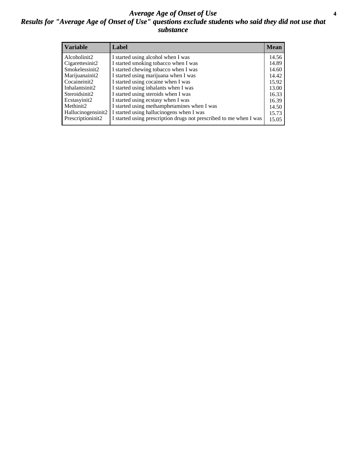### *Average Age of Onset of Use* **4** *Results for "Average Age of Onset of Use" questions exclude students who said they did not use that substance*

| <b>Variable</b>    | Label                                                              | <b>Mean</b> |
|--------------------|--------------------------------------------------------------------|-------------|
| Alcoholinit2       | I started using alcohol when I was                                 | 14.56       |
| Cigarettesinit2    | I started smoking tobacco when I was                               | 14.89       |
| Smokelessinit2     | I started chewing tobacco when I was                               | 14.60       |
| Marijuanainit2     | I started using marijuana when I was                               | 14.42       |
| Cocaineinit2       | I started using cocaine when I was                                 | 15.92       |
| Inhalantsinit2     | I started using inhalants when I was                               | 13.00       |
| Steroidsinit2      | I started using steroids when I was                                | 16.33       |
| Ecstasyinit2       | I started using ecstasy when I was                                 | 16.39       |
| Methinit2          | I started using methamphetamines when I was                        | 14.50       |
| Hallucinogensinit2 | I started using hallucinogens when I was                           | 15.73       |
| Prescriptioninit2  | I started using prescription drugs not prescribed to me when I was | 15.05       |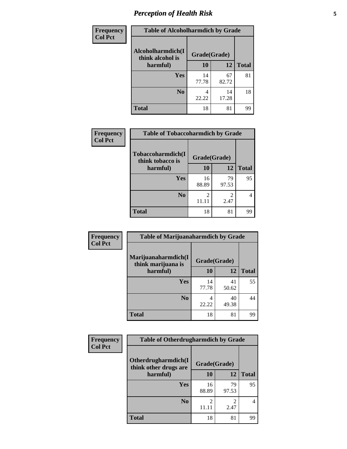# *Perception of Health Risk* **5**

| <b>Frequency</b> | <b>Table of Alcoholharmdich by Grade</b> |              |             |              |  |
|------------------|------------------------------------------|--------------|-------------|--------------|--|
| <b>Col Pct</b>   | Alcoholharmdich(I<br>think alcohol is    | Grade(Grade) |             |              |  |
|                  | harmful)                                 | 10           | 12          | <b>Total</b> |  |
|                  | Yes                                      | 14<br>77.78  | 67<br>82.72 | 81           |  |
|                  | N <sub>0</sub>                           | 4<br>22.22   | 14<br>17.28 | 18           |  |
|                  | <b>Total</b>                             | 18           | 81          | 99           |  |

| Frequency      | <b>Table of Tobaccoharmdich by Grade</b> |              |                        |                |  |
|----------------|------------------------------------------|--------------|------------------------|----------------|--|
| <b>Col Pct</b> | Tobaccoharmdich(I<br>think tobacco is    | Grade(Grade) |                        |                |  |
|                | harmful)                                 | 10           | 12                     | <b>Total</b>   |  |
|                | Yes                                      | 16<br>88.89  | 79<br>97.53            | 95             |  |
|                | N <sub>0</sub>                           | 11.11        | $\mathfrak{D}$<br>2.47 | $\overline{4}$ |  |
|                | <b>Total</b>                             | 18           | 81                     | 99             |  |

| Frequency      | <b>Table of Marijuanaharmdich by Grade</b> |              |             |              |  |  |
|----------------|--------------------------------------------|--------------|-------------|--------------|--|--|
| <b>Col Pct</b> | Marijuanaharmdich(I<br>think marijuana is  | Grade(Grade) |             |              |  |  |
|                | harmful)                                   | 10           | 12          | <b>Total</b> |  |  |
|                | Yes                                        | 14<br>77.78  | 41<br>50.62 | 55           |  |  |
|                | N <sub>0</sub>                             | 4<br>22.22   | 40<br>49.38 | 44           |  |  |
|                | <b>Total</b>                               | 18           | 81          | 99           |  |  |

| Frequency      | <b>Table of Otherdrugharmdich by Grade</b>                   |             |             |              |  |
|----------------|--------------------------------------------------------------|-------------|-------------|--------------|--|
| <b>Col Pct</b> | Otherdrugharmdich(I<br>Grade(Grade)<br>think other drugs are |             |             |              |  |
|                | harmful)                                                     | 10          | 12          | <b>Total</b> |  |
|                | Yes                                                          | 16<br>88.89 | 79<br>97.53 | 95           |  |
|                | N <sub>0</sub>                                               | 1 L L L     | 2.47        | 4            |  |
|                | <b>Total</b>                                                 | 18          | 81          | 99           |  |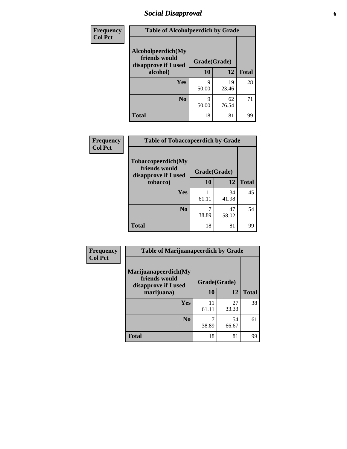# *Social Disapproval* **6**

| Frequency      | <b>Table of Alcoholpeerdich by Grade</b>                    |              |             |              |  |
|----------------|-------------------------------------------------------------|--------------|-------------|--------------|--|
| <b>Col Pct</b> | Alcoholpeerdich(My<br>friends would<br>disapprove if I used | Grade(Grade) |             |              |  |
|                | alcohol)                                                    | 10           | 12          | <b>Total</b> |  |
|                | <b>Yes</b>                                                  | Q<br>50.00   | 19<br>23.46 | 28           |  |
|                | N <sub>0</sub>                                              | Q<br>50.00   | 62<br>76.54 | 71           |  |
|                | <b>Total</b>                                                | 18           | 81          | 99           |  |

| <b>Frequency</b> |
|------------------|
| <b>Col Pct</b>   |

| <b>Table of Tobaccopeerdich by Grade</b>                    |              |             |              |  |  |
|-------------------------------------------------------------|--------------|-------------|--------------|--|--|
| Tobaccopeerdich(My<br>friends would<br>disapprove if I used | Grade(Grade) |             |              |  |  |
| tobacco)                                                    | 10           | 12          | <b>Total</b> |  |  |
| Yes                                                         | 11<br>61.11  | 34<br>41.98 | 45           |  |  |
| N <sub>0</sub>                                              | 38.89        | 47<br>58.02 | 54           |  |  |
| <b>Total</b>                                                | 18           | 81          | 99           |  |  |

| Frequency      | <b>Table of Marijuanapeerdich by Grade</b>                    |              |             |              |
|----------------|---------------------------------------------------------------|--------------|-------------|--------------|
| <b>Col Pct</b> | Marijuanapeerdich(My<br>friends would<br>disapprove if I used | Grade(Grade) |             |              |
|                | marijuana)                                                    | 10           | 12          | <b>Total</b> |
|                | <b>Yes</b>                                                    | 11<br>61.11  | 27<br>33.33 | 38           |
|                | N <sub>0</sub>                                                | 38.89        | 54<br>66.67 | 61           |
|                | <b>Total</b>                                                  | 18           | 81          | 99           |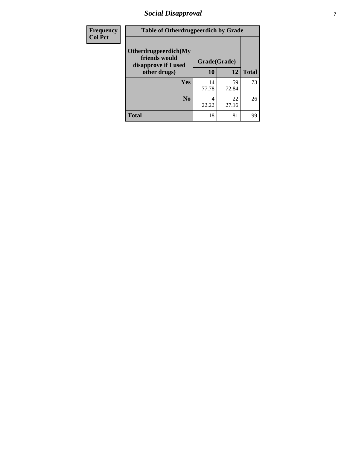# *Social Disapproval* **7**

| Frequency      | <b>Table of Otherdrugpeerdich by Grade</b>                    |              |             |              |  |
|----------------|---------------------------------------------------------------|--------------|-------------|--------------|--|
| <b>Col Pct</b> | Otherdrugpeerdich(My<br>friends would<br>disapprove if I used | Grade(Grade) |             |              |  |
|                | other drugs)                                                  | 10           | 12          | <b>Total</b> |  |
|                | Yes                                                           | 14<br>77.78  | 59<br>72.84 | 73           |  |
|                | N <sub>0</sub>                                                | 4<br>22.22   | 22<br>27.16 | 26           |  |
|                | <b>Total</b>                                                  | 18           | 81          | 99           |  |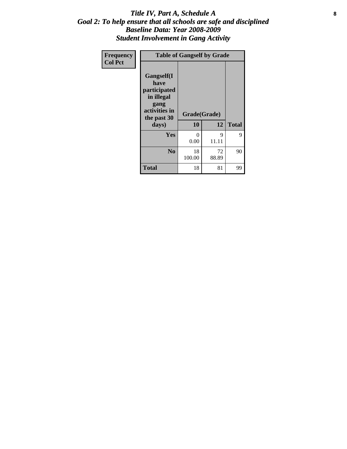### Title IV, Part A, Schedule A **8** *Goal 2: To help ensure that all schools are safe and disciplined Baseline Data: Year 2008-2009 Student Involvement in Gang Activity*

| Frequency      | <b>Table of Gangself by Grade</b>                                                                 |                    |             |              |  |
|----------------|---------------------------------------------------------------------------------------------------|--------------------|-------------|--------------|--|
| <b>Col Pct</b> | Gangself(I<br>have<br>participated<br>in illegal<br>gang<br>activities in<br>the past 30<br>days) | Grade(Grade)<br>10 | 12          | <b>Total</b> |  |
|                | Yes                                                                                               | $\theta$<br>0.00   | 9<br>11.11  | 9            |  |
|                | N <sub>0</sub>                                                                                    | 18<br>100.00       | 72<br>88.89 | 90           |  |
|                | <b>Total</b>                                                                                      | 18                 | 81          | 99           |  |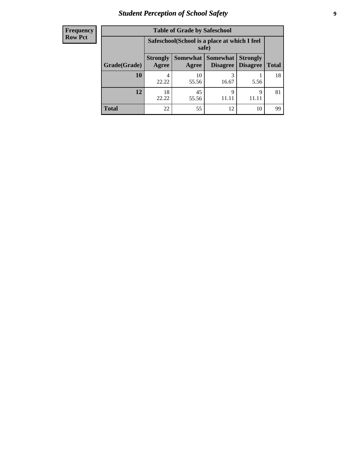# *Student Perception of School Safety* **9**

| <b>Frequency</b><br>Row Pct |
|-----------------------------|
|                             |

| <b>Table of Grade by Safeschool</b> |                          |                                                        |                               |                                    |              |
|-------------------------------------|--------------------------|--------------------------------------------------------|-------------------------------|------------------------------------|--------------|
|                                     |                          | Safeschool (School is a place at which I feel<br>safe) |                               |                                    |              |
| Grade(Grade)                        | <b>Strongly</b><br>Agree | Agree                                                  | Somewhat Somewhat<br>Disagree | <b>Strongly</b><br><b>Disagree</b> | <b>Total</b> |
| 10                                  | 4<br>22.22               | 10<br>55.56                                            | 3<br>16.67                    | 5.56                               | 18           |
| 12                                  | 18<br>22.22              | 45<br>55.56                                            | 9                             | 9                                  | 81           |
| <b>Total</b>                        | 22                       | 55                                                     | 12                            | 10                                 | 99           |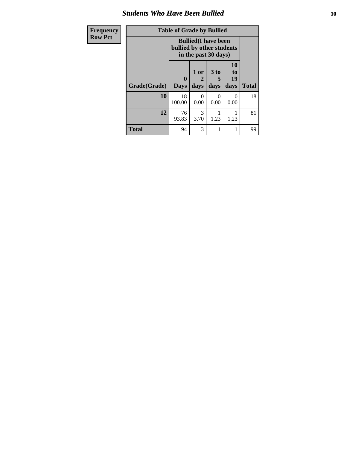### *Students Who Have Been Bullied* **10**

| Frequency      | <b>Table of Grade by Bullied</b>                                                 |                  |              |                   |                               |              |
|----------------|----------------------------------------------------------------------------------|------------------|--------------|-------------------|-------------------------------|--------------|
| <b>Row Pct</b> | <b>Bullied</b> (I have been<br>bullied by other students<br>in the past 30 days) |                  |              |                   |                               |              |
|                | Grade(Grade)                                                                     | 0<br><b>Days</b> | 1 or<br>days | 3 to<br>5<br>days | <b>10</b><br>to<br>19<br>days | <b>Total</b> |
|                | 10                                                                               | 18<br>100.00     | 0<br>0.00    | $\Omega$<br>0.00  | 0<br>0.00                     | 18           |
|                | 12                                                                               | 76<br>93.83      | 3<br>3.70    | 1.23              | 1.23                          | 81           |
|                | <b>Total</b>                                                                     | 94               | 3            | 1                 | 1                             | 99           |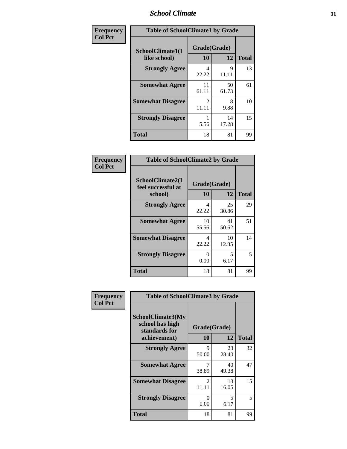### *School Climate* **11**

| Frequency      | <b>Table of SchoolClimate1 by Grade</b> |                    |             |              |  |
|----------------|-----------------------------------------|--------------------|-------------|--------------|--|
| <b>Col Pct</b> | SchoolClimate1(I<br>like school)        | Grade(Grade)<br>10 | 12          | <b>Total</b> |  |
|                | <b>Strongly Agree</b>                   | 4<br>22.22         | 9<br>11.11  | 13           |  |
|                | <b>Somewhat Agree</b>                   | 11<br>61.11        | 50<br>61.73 | 61           |  |
|                | <b>Somewhat Disagree</b>                | 2<br>11.11         | 8<br>9.88   | 10           |  |
|                | <b>Strongly Disagree</b>                | 5.56               | 14<br>17.28 | 15           |  |
|                | <b>Total</b>                            | 18                 | 81          | 99           |  |

| <b>Frequency</b> |
|------------------|
| <b>Col Pct</b>   |

| <b>Table of SchoolClimate2 by Grade</b>           |                    |             |              |  |
|---------------------------------------------------|--------------------|-------------|--------------|--|
| SchoolClimate2(I<br>feel successful at<br>school) | Grade(Grade)<br>10 | 12          | <b>Total</b> |  |
| <b>Strongly Agree</b>                             | 4<br>22.22         | 25<br>30.86 | 29           |  |
| <b>Somewhat Agree</b>                             | 10<br>55.56        | 41<br>50.62 | 51           |  |
| <b>Somewhat Disagree</b>                          | 4<br>22.22         | 10<br>12.35 | 14           |  |
| <b>Strongly Disagree</b>                          | 0<br>0.00          | 5<br>6.17   | 5            |  |
| Total                                             | 18                 | 81          | 99           |  |

| Frequency      | <b>Table of SchoolClimate3 by Grade</b>                                      |                                      |                    |              |
|----------------|------------------------------------------------------------------------------|--------------------------------------|--------------------|--------------|
| <b>Col Pct</b> | <b>SchoolClimate3(My</b><br>school has high<br>standards for<br>achievement) | <b>10</b>                            | Grade(Grade)<br>12 | <b>Total</b> |
|                | <b>Strongly Agree</b>                                                        | 9<br>50.00                           | 23<br>28.40        | 32           |
|                | <b>Somewhat Agree</b>                                                        | 38.89                                | 40<br>49.38        | 47           |
|                | <b>Somewhat Disagree</b>                                                     | $\mathcal{D}_{\mathcal{L}}$<br>11.11 | 13<br>16.05        | 15           |
|                | <b>Strongly Disagree</b>                                                     | $\mathbf{\Omega}$<br>0.00            | 5<br>6.17          | 5            |
|                | Total                                                                        | 18                                   | 81                 | 99           |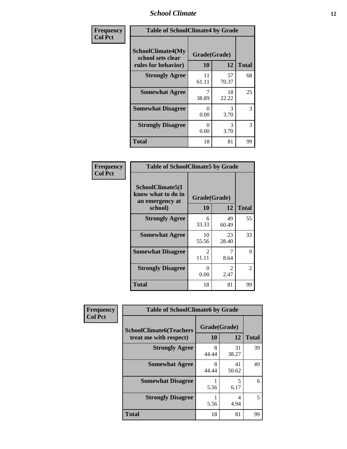### *School Climate* **12**

| Frequency      | <b>Table of SchoolClimate4 by Grade</b>                              |                    |             |              |
|----------------|----------------------------------------------------------------------|--------------------|-------------|--------------|
| <b>Col Pct</b> | <b>SchoolClimate4(My</b><br>school sets clear<br>rules for behavior) | Grade(Grade)<br>10 | 12          | <b>Total</b> |
|                | <b>Strongly Agree</b>                                                | 11<br>61.11        | 57<br>70.37 | 68           |
|                | <b>Somewhat Agree</b>                                                | 7<br>38.89         | 18<br>22.22 | 25           |
|                | <b>Somewhat Disagree</b>                                             | 0<br>0.00          | 3<br>3.70   | 3            |
|                | <b>Strongly Disagree</b>                                             | 0<br>0.00          | 3<br>3.70   | 3            |
|                | Total                                                                | 18                 | 81          | 99           |

| <b>Table of SchoolClimate5 by Grade</b>                              |                         |                        |              |  |  |
|----------------------------------------------------------------------|-------------------------|------------------------|--------------|--|--|
| SchoolClimate5(I<br>know what to do in<br>an emergency at<br>school) | Grade(Grade)<br>10      | 12                     | <b>Total</b> |  |  |
| <b>Strongly Agree</b>                                                | 6<br>33.33              | 49<br>60.49            | 55           |  |  |
| <b>Somewhat Agree</b>                                                | 10<br>55.56             | 23<br>28.40            | 33           |  |  |
| <b>Somewhat Disagree</b>                                             | $\mathfrak{D}$<br>11.11 | 7<br>8.64              | 9            |  |  |
| <b>Strongly Disagree</b>                                             | 0<br>0.00               | $\mathfrak{D}$<br>2.47 | 2            |  |  |
| <b>Total</b>                                                         | 18                      | 81                     | 99           |  |  |

| Frequency      | <b>Table of SchoolClimate6 by Grade</b>                  |                    |             |              |
|----------------|----------------------------------------------------------|--------------------|-------------|--------------|
| <b>Col Pct</b> | <b>SchoolClimate6(Teachers</b><br>treat me with respect) | Grade(Grade)<br>10 | 12          | <b>Total</b> |
|                | <b>Strongly Agree</b>                                    | 8<br>44.44         | 31<br>38.27 | 39           |
|                | <b>Somewhat Agree</b>                                    | 8<br>44.44         | 41<br>50.62 | 49           |
|                | <b>Somewhat Disagree</b>                                 | 5.56               | 5<br>6.17   | 6            |
|                | <b>Strongly Disagree</b>                                 | 5.56               | 4<br>4.94   | 5            |
|                | <b>Total</b>                                             | 18                 | 81          | 99           |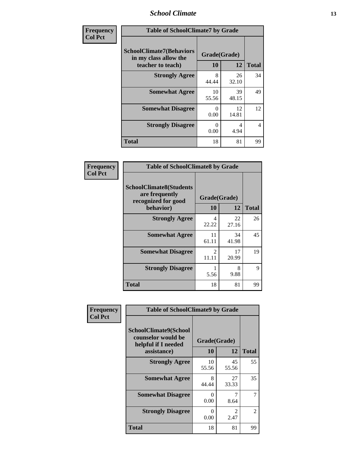### *School Climate* **13**

| Frequency      | <b>Table of SchoolClimate7 by Grade</b>                                       |                           |             |                |
|----------------|-------------------------------------------------------------------------------|---------------------------|-------------|----------------|
| <b>Col Pct</b> | <b>SchoolClimate7(Behaviors</b><br>in my class allow the<br>teacher to teach) | Grade(Grade)<br><b>10</b> | 12          | <b>Total</b>   |
|                | <b>Strongly Agree</b>                                                         | 8<br>44.44                | 26<br>32.10 | 34             |
|                | <b>Somewhat Agree</b>                                                         | 10<br>55.56               | 39<br>48.15 | 49             |
|                | <b>Somewhat Disagree</b>                                                      | $\Omega$<br>0.00          | 12<br>14.81 | 12             |
|                | <b>Strongly Disagree</b>                                                      | $\Omega$<br>0.00          | 4<br>4.94   | $\overline{4}$ |
|                | <b>Total</b>                                                                  | 18                        | 81          | 99             |

| Frequency      | <b>Table of SchoolClimate8 by Grade</b>                                 |                                      |             |              |
|----------------|-------------------------------------------------------------------------|--------------------------------------|-------------|--------------|
| <b>Col Pct</b> | <b>SchoolClimate8(Students</b><br>are frequently<br>recognized for good | Grade(Grade)                         |             |              |
|                | behavior)                                                               | 10                                   | 12          | <b>Total</b> |
|                | <b>Strongly Agree</b>                                                   | 4<br>22.22                           | 22<br>27.16 | 26           |
|                | <b>Somewhat Agree</b>                                                   | 11<br>61.11                          | 34<br>41.98 | 45           |
|                | <b>Somewhat Disagree</b>                                                | $\mathcal{D}_{\mathcal{A}}$<br>11.11 | 17<br>20.99 | 19           |
|                | <b>Strongly Disagree</b>                                                | 5.56                                 | 8<br>9.88   | 9            |
|                | <b>Total</b>                                                            | 18                                   | 81          | 99           |

| Frequency      | <b>Table of SchoolClimate9 by Grade</b>                                           |                    |                        |              |
|----------------|-----------------------------------------------------------------------------------|--------------------|------------------------|--------------|
| <b>Col Pct</b> | SchoolClimate9(School<br>counselor would be<br>helpful if I needed<br>assistance) | Grade(Grade)<br>10 | 12                     | <b>Total</b> |
|                | <b>Strongly Agree</b>                                                             | 10<br>55.56        | 45<br>55.56            | 55           |
|                | <b>Somewhat Agree</b>                                                             | 8<br>44.44         | 27<br>33.33            | 35           |
|                | <b>Somewhat Disagree</b>                                                          | 0<br>0.00          | 7<br>8.64              | 7            |
|                | <b>Strongly Disagree</b>                                                          | 0<br>0.00          | $\mathfrak{D}$<br>2.47 | 2            |
|                | Total                                                                             | 18                 | 81                     | 99           |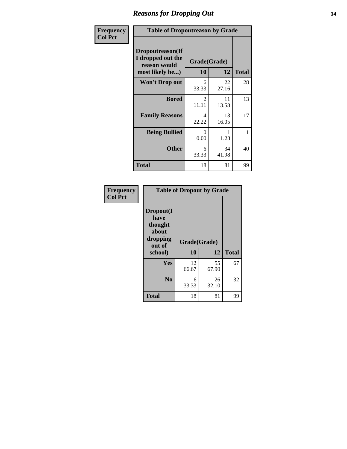### *Reasons for Dropping Out* **14**

| Frequency      | <b>Table of Dropoutreason by Grade</b>                                   |                    |             |              |
|----------------|--------------------------------------------------------------------------|--------------------|-------------|--------------|
| <b>Col Pct</b> | Dropoutreason(If<br>I dropped out the<br>reason would<br>most likely be) | Grade(Grade)<br>10 | 12          | <b>Total</b> |
|                | <b>Won't Drop out</b>                                                    | 6<br>33.33         | 22<br>27.16 | 28           |
|                | <b>Bored</b>                                                             | 2<br>11.11         | 11<br>13.58 | 13           |
|                | <b>Family Reasons</b>                                                    | 4<br>22.22         | 13<br>16.05 | 17           |
|                | <b>Being Bullied</b>                                                     | 0<br>0.00          | 1.23        | 1            |
|                | <b>Other</b>                                                             | 6<br>33.33         | 34<br>41.98 | 40           |
|                | <b>Total</b>                                                             | 18                 | 81          | 99           |

| Frequency      | <b>Table of Dropout by Grade</b>                                       |                    |             |              |
|----------------|------------------------------------------------------------------------|--------------------|-------------|--------------|
| <b>Col Pct</b> | Dropout(I<br>have<br>thought<br>about<br>dropping<br>out of<br>school) | Grade(Grade)<br>10 | 12          | <b>Total</b> |
|                | Yes                                                                    | 12<br>66.67        | 55<br>67.90 | 67           |
|                | N <sub>0</sub>                                                         | 6<br>33.33         | 26<br>32.10 | 32           |
|                | <b>Total</b>                                                           | 18                 | 81          | 99           |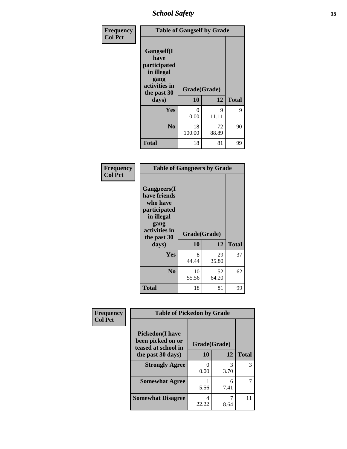*School Safety* **15**

| Frequency      |                                                                                                   | <b>Table of Gangself by Grade</b> |             |              |  |
|----------------|---------------------------------------------------------------------------------------------------|-----------------------------------|-------------|--------------|--|
| <b>Col Pct</b> | Gangself(I<br>have<br>participated<br>in illegal<br>gang<br>activities in<br>the past 30<br>days) | Grade(Grade)<br>10                | 12          | <b>Total</b> |  |
|                | Yes                                                                                               | 0<br>0.00                         | 9<br>11.11  | 9            |  |
|                | N <sub>0</sub>                                                                                    | 18<br>100.00                      | 72<br>88.89 | 90           |  |
|                | <b>Total</b>                                                                                      | 18                                | 81          | 99           |  |

| Frequency<br><b>Col Pct</b> | <b>Table of Gangpeers by Grade</b>                                                                                             |                    |             |              |
|-----------------------------|--------------------------------------------------------------------------------------------------------------------------------|--------------------|-------------|--------------|
|                             | <b>Gangpeers</b> (I<br>have friends<br>who have<br>participated<br>in illegal<br>gang<br>activities in<br>the past 30<br>days) | Grade(Grade)<br>10 | 12          | <b>Total</b> |
|                             | Yes                                                                                                                            | 8<br>44.44         | 29<br>35.80 | 37           |
|                             | N <sub>0</sub>                                                                                                                 | 10<br>55.56        | 52<br>64.20 | 62           |
|                             | <b>Total</b>                                                                                                                   | 18                 | 81          | 99           |

| Frequency      |                                                                     | <b>Table of Pickedon by Grade</b> |           |              |  |  |
|----------------|---------------------------------------------------------------------|-----------------------------------|-----------|--------------|--|--|
| <b>Col Pct</b> | <b>Pickedon</b> (I have<br>been picked on or<br>teased at school in | Grade(Grade)                      |           |              |  |  |
|                | the past 30 days)                                                   | 10                                | 12        | <b>Total</b> |  |  |
|                | <b>Strongly Agree</b>                                               | 0<br>0.00                         | 3<br>3.70 | 3            |  |  |
|                | <b>Somewhat Agree</b>                                               | 5.56                              | 6<br>7.41 |              |  |  |
|                | <b>Somewhat Disagree</b>                                            | 4<br>22.22                        | 8.64      | 11           |  |  |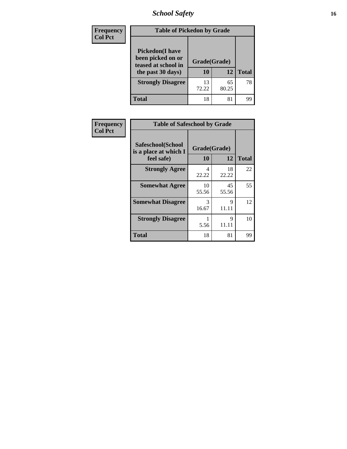# *School Safety* **16**

| Frequency      | <b>Table of Pickedon by Grade</b>                                                        |                    |             |              |  |  |  |  |
|----------------|------------------------------------------------------------------------------------------|--------------------|-------------|--------------|--|--|--|--|
| <b>Col Pct</b> | <b>Pickedon</b> (I have<br>been picked on or<br>teased at school in<br>the past 30 days) | Grade(Grade)<br>10 | 12          | <b>Total</b> |  |  |  |  |
|                | <b>Strongly Disagree</b>                                                                 | 13<br>72.22        | 65<br>80.25 | 78           |  |  |  |  |
|                | Total                                                                                    | 18                 | 81          | 99           |  |  |  |  |

| Frequency      | <b>Table of Safeschool by Grade</b>                      |                    |             |              |
|----------------|----------------------------------------------------------|--------------------|-------------|--------------|
| <b>Col Pct</b> | Safeschool(School<br>is a place at which I<br>feel safe) | Grade(Grade)<br>10 | 12          | <b>Total</b> |
|                | <b>Strongly Agree</b>                                    | 4<br>22.22         | 18<br>22.22 | 22           |
|                | <b>Somewhat Agree</b>                                    | 10<br>55.56        | 45<br>55.56 | 55           |
|                | <b>Somewhat Disagree</b>                                 | 3<br>16.67         | 9<br>11.11  | 12           |
|                | <b>Strongly Disagree</b>                                 | 5.56               | 9<br>11.11  | 10           |
|                | <b>Total</b>                                             | 18                 | 81          | 99           |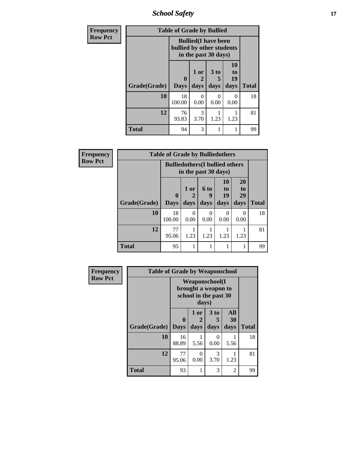*School Safety* **17**

| <b>Frequency</b> |              |                  | <b>Table of Grade by Bullied</b>                                                 |                              |                        |              |  |  |
|------------------|--------------|------------------|----------------------------------------------------------------------------------|------------------------------|------------------------|--------------|--|--|
| <b>Row Pct</b>   |              |                  | <b>Bullied</b> (I have been<br>bullied by other students<br>in the past 30 days) |                              |                        |              |  |  |
|                  | Grade(Grade) | 0<br><b>Days</b> | 1 or<br>$\mathcal{D}_{\mathcal{L}}$<br>days                                      | 3 <sub>to</sub><br>5<br>days | 10<br>to<br>19<br>days | <b>Total</b> |  |  |
|                  | 10           | 18<br>100.00     | 0<br>0.00                                                                        | 0<br>0.00                    | $\Omega$<br>0.00       | 18           |  |  |
|                  | 12           | 76<br>93.83      | 3<br>3.70                                                                        | 1.23                         | 1.23                   | 81           |  |  |
|                  | <b>Total</b> | 94               | 3                                                                                |                              | 1                      | 99           |  |  |

| Frequency      | <b>Table of Grade by Bulliedothers</b> |                         |                  |                                                                |                               |                               |              |  |
|----------------|----------------------------------------|-------------------------|------------------|----------------------------------------------------------------|-------------------------------|-------------------------------|--------------|--|
| <b>Row Pct</b> |                                        |                         |                  | <b>Bulliedothers</b> (I bullied others<br>in the past 30 days) |                               |                               |              |  |
|                | Grade(Grade)                           | $\bf{0}$<br><b>Days</b> | 1 or<br>days     | <b>6 to</b><br>9<br>days                                       | <b>10</b><br>to<br>19<br>days | <b>20</b><br>to<br>29<br>days | <b>Total</b> |  |
|                | 10                                     | 18<br>100.00            | $\theta$<br>0.00 | 0<br>0.00                                                      | 0<br>0.00                     | $\Omega$<br>0.00              | 18           |  |
|                | 12                                     | 77<br>95.06             | 1.23             | 1.23                                                           | 1.23                          | 1.23                          | 81           |  |
|                | <b>Total</b>                           | 95                      |                  |                                                                |                               |                               | 99           |  |

| Frequency      | <b>Table of Grade by Weaponschool</b> |                             |                                                                                 |                              |                   |              |  |  |  |
|----------------|---------------------------------------|-----------------------------|---------------------------------------------------------------------------------|------------------------------|-------------------|--------------|--|--|--|
| <b>Row Pct</b> |                                       |                             | <b>Weaponschool</b> (I<br>brought a weapon to<br>school in the past 30<br>days) |                              |                   |              |  |  |  |
|                | Grade(Grade)                          | $\mathbf{0}$<br><b>Days</b> | 1 or<br>days                                                                    | 3 <sub>to</sub><br>5<br>days | All<br>30<br>days | <b>Total</b> |  |  |  |
|                | 10                                    | 16<br>88.89                 | 5.56                                                                            | 0<br>0.00                    | 5.56              | 18           |  |  |  |
|                | 12                                    | 77<br>95.06                 | 0<br>0.00                                                                       | 3<br>3.70                    | 1.23              | 81           |  |  |  |
|                | <b>Total</b>                          | 93                          | 1                                                                               | 3                            | $\mathfrak{D}$    | 99           |  |  |  |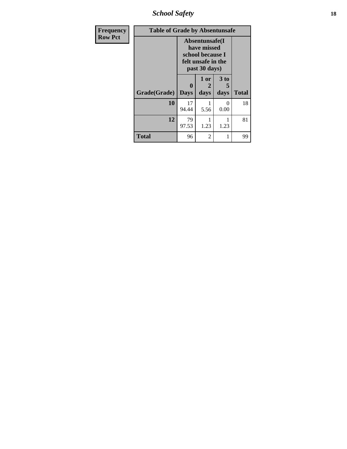*School Safety* **18**

| <b>Frequency</b> | <b>Table of Grade by Absentunsafe</b> |                  |                                                                                           |                   |              |
|------------------|---------------------------------------|------------------|-------------------------------------------------------------------------------------------|-------------------|--------------|
| <b>Row Pct</b>   |                                       |                  | Absentunsafe(I)<br>have missed<br>school because I<br>felt unsafe in the<br>past 30 days) |                   |              |
|                  | Grade(Grade)                          | 0<br><b>Days</b> | 1 or<br>2<br>days                                                                         | 3 to<br>5<br>days | <b>Total</b> |
|                  | 10                                    | 17<br>94.44      | 5.56                                                                                      | 0<br>0.00         | 18           |
|                  | 12                                    | 79<br>97.53      | 1.23                                                                                      | 1.23              | 81           |
|                  | <b>Total</b>                          | 96               | 2                                                                                         |                   | 99           |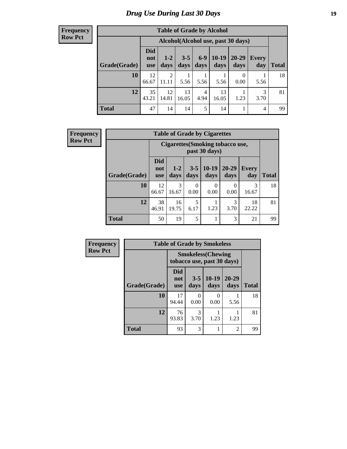# *Drug Use During Last 30 Days* **19**

#### **Frequency Row Pct**

| <b>Table of Grade by Alcohol</b> |                                                                                                                                                                |                         |             |           |             |                                    |           |    |  |
|----------------------------------|----------------------------------------------------------------------------------------------------------------------------------------------------------------|-------------------------|-------------|-----------|-------------|------------------------------------|-----------|----|--|
|                                  |                                                                                                                                                                |                         |             |           |             | Alcohol(Alcohol use, past 30 days) |           |    |  |
| Grade(Grade)                     | <b>Did</b><br>$6-9$<br>$10-19$<br>$20 - 29$<br>$3 - 5$<br>$1 - 2$<br>Every<br>not<br>days<br>days<br>days<br><b>Total</b><br>days<br>day<br>days<br><b>use</b> |                         |             |           |             |                                    |           |    |  |
| 10                               | 12<br>66.67                                                                                                                                                    | $\overline{2}$<br>11.11 | 5.56        | 5.56      | 5.56        | $\theta$<br>0.00                   | 5.56      | 18 |  |
| 12                               | 35<br>43.21                                                                                                                                                    | 12<br>14.81             | 13<br>16.05 | 4<br>4.94 | 13<br>16.05 | 1.23                               | 3<br>3.70 | 81 |  |
| <b>Total</b>                     | 47                                                                                                                                                             | 14                      | 14          | 5         | 14          |                                    | 4         | 99 |  |

| Frequency      |              | <b>Table of Grade by Cigarettes</b>               |               |                 |                  |                   |                     |              |  |  |  |
|----------------|--------------|---------------------------------------------------|---------------|-----------------|------------------|-------------------|---------------------|--------------|--|--|--|
| <b>Row Pct</b> |              | Cigarettes (Smoking tobacco use,<br>past 30 days) |               |                 |                  |                   |                     |              |  |  |  |
|                | Grade(Grade) | <b>Did</b><br>not<br><b>use</b>                   | $1-2$<br>days | $3 - 5$<br>days | $10-19$<br>days  | $20 - 29$<br>days | <b>Every</b><br>day | <b>Total</b> |  |  |  |
|                | 10           | 12<br>66.67                                       | 3<br>16.67    | 0<br>0.00       | $\Omega$<br>0.00 | $\Omega$<br>0.00  | 3<br>16.67          | 18           |  |  |  |
|                | 12           | 38<br>46.91                                       | 16<br>19.75   | 5<br>6.17       | 1.23             | 3<br>3.70         | 18<br>22.22         | 81           |  |  |  |
|                | <b>Total</b> | 50                                                | 19            | 5               |                  | 3                 | 21                  | 99           |  |  |  |

| Frequency      |              |                          | <b>Table of Grade by Smokeless</b> |                                                         |                   |              |  |  |  |  |
|----------------|--------------|--------------------------|------------------------------------|---------------------------------------------------------|-------------------|--------------|--|--|--|--|
| <b>Row Pct</b> |              |                          |                                    | <b>Smokeless</b> (Chewing<br>tobacco use, past 30 days) |                   |              |  |  |  |  |
|                | Grade(Grade) | Did<br>not<br><b>use</b> | $3 - 5$<br>days                    | $10-19$<br>days                                         | $20 - 29$<br>days | <b>Total</b> |  |  |  |  |
|                | 10           | 17<br>94.44              | 0<br>0.00                          | $\Omega$<br>0.00                                        | 5.56              | 18           |  |  |  |  |
|                | 12           | 76<br>93.83              | 3<br>3.70                          | 1.23                                                    | 1.23              | 81           |  |  |  |  |
|                | <b>Total</b> | 93                       | 3                                  |                                                         | $\overline{2}$    | 99           |  |  |  |  |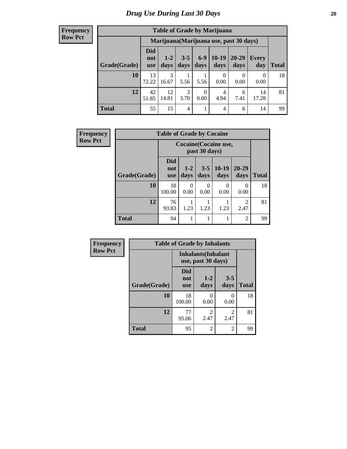| <b>Frequency</b> |
|------------------|
| <b>Row Pct</b>   |

| <b>Table of Grade by Marijuana</b>                                                                                                                         |             |             |           |                  |                |                                         |             |       |  |
|------------------------------------------------------------------------------------------------------------------------------------------------------------|-------------|-------------|-----------|------------------|----------------|-----------------------------------------|-------------|-------|--|
|                                                                                                                                                            |             |             |           |                  |                | Marijuana (Marijuana use, past 30 days) |             |       |  |
| <b>Did</b><br>$6-9$<br>$10-19$<br>20-29<br>$3 - 5$<br>$1 - 2$<br>Every<br>not<br>Grade(Grade)<br>days<br>days<br>days<br>days<br>day<br>days<br><b>use</b> |             |             |           |                  |                |                                         |             | Total |  |
| <b>10</b>                                                                                                                                                  | 13<br>72.22 | 3<br>16.67  | 5.56      | 5.56             | 0<br>0.00      | 0.00                                    | 0<br>0.00   | 18    |  |
| 12                                                                                                                                                         | 42<br>51.85 | 12<br>14.81 | 3<br>3.70 | $\Omega$<br>0.00 | 4<br>4.94      | 6<br>7.41                               | 14<br>17.28 | 81    |  |
| <b>Total</b>                                                                                                                                               | 55          | 15          | 4         |                  | $\overline{4}$ | 6                                       | 14          | 99    |  |

| Frequency      | <b>Table of Grade by Cocaine</b> |                                 |                  |                  |                 |                   |              |  |
|----------------|----------------------------------|---------------------------------|------------------|------------------|-----------------|-------------------|--------------|--|
| <b>Row Pct</b> |                                  | <b>Cocaine</b> (Cocaine use,    |                  |                  |                 |                   |              |  |
|                | Grade(Grade)                     | <b>Did</b><br>not<br><b>use</b> | $1 - 2$<br>days  | $3 - 5$<br>days  | $10-19$<br>days | $20 - 29$<br>days | <b>Total</b> |  |
|                | 10                               | 18<br>100.00                    | $\Omega$<br>0.00 | $\theta$<br>0.00 | 0<br>0.00       | 0<br>0.00         | 18           |  |
|                | 12                               | 76<br>93.83                     | 1.23             | 1.23             | 1.23            | 2<br>2.47         | 81           |  |
|                | <b>Total</b>                     | 94                              | 1                |                  | 1               | $\overline{2}$    | 99           |  |

| <b>Frequency</b> | <b>Table of Grade by Inhalants</b> |                                 |                                                  |                        |              |  |  |
|------------------|------------------------------------|---------------------------------|--------------------------------------------------|------------------------|--------------|--|--|
| <b>Row Pct</b>   |                                    |                                 | <b>Inhalants</b> (Inhalant<br>use, past 30 days) |                        |              |  |  |
|                  | Grade(Grade)                       | <b>Did</b><br>not<br><b>use</b> | $1-2$<br>days                                    | $3 - 5$<br>days        | <b>Total</b> |  |  |
|                  | 10                                 | 18<br>100.00                    | 0<br>0.00                                        | 0<br>0.00              | 18           |  |  |
|                  | 12                                 | 77<br>95.06                     | $\mathfrak{D}$<br>2.47                           | $\mathfrak{D}$<br>2.47 | 81           |  |  |
|                  | <b>Total</b>                       | 95                              | 2                                                | 2                      | 99           |  |  |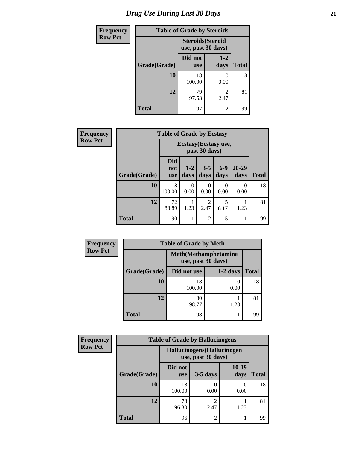# *Drug Use During Last 30 Days* **21**

| <b>Frequency</b> | <b>Table of Grade by Steroids</b> |                                                |                           |              |  |  |
|------------------|-----------------------------------|------------------------------------------------|---------------------------|--------------|--|--|
| <b>Row Pct</b>   |                                   | <b>Steroids</b> (Steroid<br>use, past 30 days) |                           |              |  |  |
|                  | Grade(Grade)                      | Did not<br><b>use</b>                          | $1 - 2$<br>days           | <b>Total</b> |  |  |
|                  | <b>10</b>                         | 18<br>100.00                                   | $\mathbf{\Omega}$<br>0.00 | 18           |  |  |
|                  | 12                                | 79<br>97.53                                    | 2<br>2.47                 | 81           |  |  |
|                  | <b>Total</b>                      | 97                                             | 2                         | 99           |  |  |

| Frequency      | <b>Table of Grade by Ecstasy</b> |                                 |                  |                                        |                          |                   |              |  |
|----------------|----------------------------------|---------------------------------|------------------|----------------------------------------|--------------------------|-------------------|--------------|--|
| <b>Row Pct</b> |                                  |                                 |                  | Ecstasy (Ecstasy use,<br>past 30 days) |                          |                   |              |  |
|                | Grade(Grade)                     | <b>Did</b><br>not<br><b>use</b> | $1 - 2$<br>days  | $3 - 5$<br>days                        | $6 - 9$<br>days          | $20 - 29$<br>days | <b>Total</b> |  |
|                | 10                               | 18<br>100.00                    | $\Omega$<br>0.00 | 0<br>0.00                              | $\left( \right)$<br>0.00 | 0<br>0.00         | 18           |  |
|                | 12                               | 72<br>88.89                     | 1.23             | 2<br>2.47                              | 5<br>6.17                | 1.23              | 81           |  |
|                | <b>Total</b>                     | 90                              |                  | $\mathfrak{D}$                         | 5                        | 1                 | 99           |  |

| <b>Frequency</b> | <b>Table of Grade by Meth</b> |                                                    |            |              |  |  |  |
|------------------|-------------------------------|----------------------------------------------------|------------|--------------|--|--|--|
| <b>Row Pct</b>   |                               | <b>Meth</b> (Methamphetamine<br>use, past 30 days) |            |              |  |  |  |
|                  | Grade(Grade)                  | Did not use                                        | $1-2$ days | <b>Total</b> |  |  |  |
|                  | 10                            | 18<br>100.00                                       | 0.00       | 18           |  |  |  |
|                  | 12                            | 80<br>98.77                                        | 1.23       | 81           |  |  |  |
|                  | <b>Total</b>                  | 98                                                 |            | 99           |  |  |  |

| <b>Frequency</b> | <b>Table of Grade by Hallucinogens</b> |                                                   |                        |               |              |  |  |  |
|------------------|----------------------------------------|---------------------------------------------------|------------------------|---------------|--------------|--|--|--|
| <b>Row Pct</b>   |                                        | Hallucinogens (Hallucinogen<br>use, past 30 days) |                        |               |              |  |  |  |
|                  | Grade(Grade)                           | Did not<br><b>use</b>                             | $3-5$ days             | 10-19<br>days | <b>Total</b> |  |  |  |
|                  | 10                                     | 18<br>100.00                                      | 0.00                   | 0.00          | 18           |  |  |  |
|                  | 12                                     | 78<br>96.30                                       | $\overline{2}$<br>2.47 | 1.23          | 81           |  |  |  |
|                  | <b>Total</b>                           | 96                                                | $\overline{2}$         |               | 99           |  |  |  |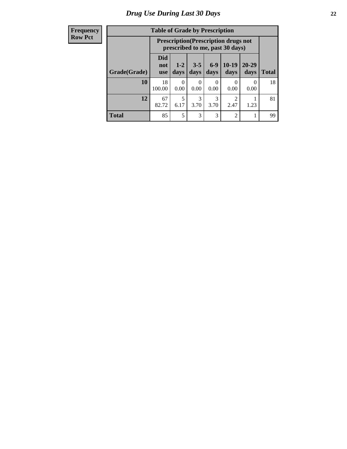#### **Frequency Row Pct**

| <b>Table of Grade by Prescription</b> |                          |                                                                                |                 |               |                        |                   |              |  |
|---------------------------------------|--------------------------|--------------------------------------------------------------------------------|-----------------|---------------|------------------------|-------------------|--------------|--|
|                                       |                          | <b>Prescription</b> (Prescription drugs not<br>prescribed to me, past 30 days) |                 |               |                        |                   |              |  |
| Grade(Grade)                          | Did<br>not<br><b>use</b> | $1 - 2$<br>days                                                                | $3 - 5$<br>days | $6-9$<br>days | $10-19$<br>days        | $20 - 29$<br>days | <b>Total</b> |  |
| 10                                    | 18<br>100.00             | 0<br>0.00                                                                      | 0<br>0.00       | 0.00          | 0<br>0.00              | 0<br>0.00         | 18           |  |
| 12                                    | 67<br>82.72              | 5<br>6.17                                                                      | 3<br>3.70       | 3<br>3.70     | $\overline{c}$<br>2.47 | 1.23              | 81           |  |
| <b>Total</b>                          | 85                       | 5                                                                              | 3               | 3             | $\overline{c}$         |                   | 99           |  |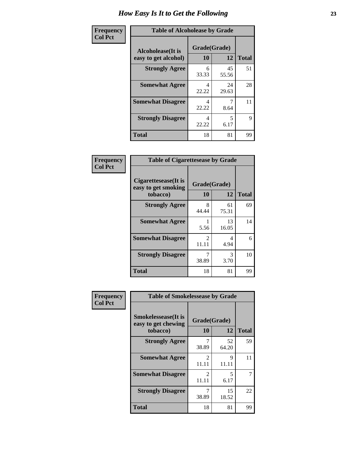| Frequency      | <b>Table of Alcoholease by Grade</b>              |                    |              |    |  |  |  |
|----------------|---------------------------------------------------|--------------------|--------------|----|--|--|--|
| <b>Col Pct</b> | <b>Alcoholease</b> (It is<br>easy to get alcohol) | Grade(Grade)<br>10 | <b>Total</b> |    |  |  |  |
|                | <b>Strongly Agree</b>                             | 6<br>33.33         | 45<br>55.56  | 51 |  |  |  |
|                | <b>Somewhat Agree</b>                             | 4<br>22.22         | 24<br>29.63  | 28 |  |  |  |
|                | <b>Somewhat Disagree</b>                          | 4<br>22.22         | 8.64         | 11 |  |  |  |
|                | <b>Strongly Disagree</b>                          | 4<br>22.22         | 5<br>6.17    | 9  |  |  |  |
|                | <b>Total</b>                                      | 18                 | 81           | 99 |  |  |  |

| Frequency      | <b>Table of Cigarettesease by Grade</b>                 |                           |             |              |  |
|----------------|---------------------------------------------------------|---------------------------|-------------|--------------|--|
| <b>Col Pct</b> | Cigarettesease(It is<br>easy to get smoking<br>tobacco) | Grade(Grade)<br><b>10</b> | 12          | <b>Total</b> |  |
|                | <b>Strongly Agree</b>                                   | 8<br>44.44                | 61<br>75.31 | 69           |  |
|                | <b>Somewhat Agree</b>                                   | 5.56                      | 13<br>16.05 | 14           |  |
|                | <b>Somewhat Disagree</b>                                | 2<br>11.11                | 4<br>4.94   | 6            |  |
|                | <b>Strongly Disagree</b>                                | 7<br>38.89                | 3<br>3.70   | 10           |  |
|                | <b>Total</b>                                            | 18                        | 81          | 99           |  |

| Frequency      | <b>Table of Smokelessease by Grade</b>             |                         |              |    |  |  |  |  |
|----------------|----------------------------------------------------|-------------------------|--------------|----|--|--|--|--|
| <b>Col Pct</b> | <b>Smokelessease</b> (It is<br>easy to get chewing | Grade(Grade)<br>10      | <b>Total</b> |    |  |  |  |  |
|                | tobacco)<br><b>Strongly Agree</b>                  | 7                       | 12<br>52     | 59 |  |  |  |  |
|                |                                                    | 38.89                   | 64.20        |    |  |  |  |  |
|                | <b>Somewhat Agree</b>                              | $\mathfrak{D}$<br>11.11 | 9<br>11.11   | 11 |  |  |  |  |
|                | <b>Somewhat Disagree</b>                           | $\mathfrak{D}$<br>11.11 | 5<br>6.17    | 7  |  |  |  |  |
|                | <b>Strongly Disagree</b>                           | 38.89                   | 15<br>18.52  | 22 |  |  |  |  |
|                | Total                                              | 18                      | 81           | 99 |  |  |  |  |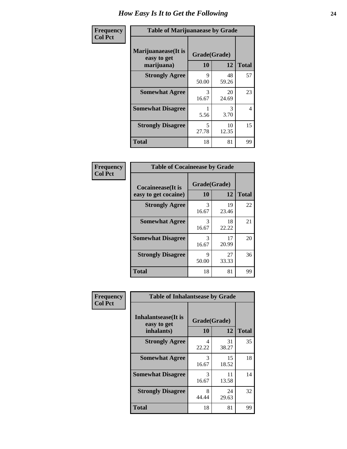| Frequency      | <b>Table of Marijuanaease by Grade</b>           |                    |             |              |  |
|----------------|--------------------------------------------------|--------------------|-------------|--------------|--|
| <b>Col Pct</b> | Marijuanaease(It is<br>easy to get<br>marijuana) | Grade(Grade)<br>10 | 12          | <b>Total</b> |  |
|                | <b>Strongly Agree</b>                            | 9<br>50.00         | 48<br>59.26 | 57           |  |
|                | <b>Somewhat Agree</b>                            | 3<br>16.67         | 20<br>24.69 | 23           |  |
|                | <b>Somewhat Disagree</b>                         | 5.56               | 3<br>3.70   | 4            |  |
|                | <b>Strongly Disagree</b>                         | 5<br>27.78         | 10<br>12.35 | 15           |  |
|                | <b>Total</b>                                     | 18                 | 81          | 99           |  |

| <b>Table of Cocaineease by Grade</b>              |                    |             |              |  |  |  |  |
|---------------------------------------------------|--------------------|-------------|--------------|--|--|--|--|
| <b>Cocaineease</b> (It is<br>easy to get cocaine) | Grade(Grade)<br>10 | 12          | <b>Total</b> |  |  |  |  |
| <b>Strongly Agree</b>                             | 3<br>16.67         | 19<br>23.46 | 22           |  |  |  |  |
| <b>Somewhat Agree</b>                             | 3<br>16.67         | 18<br>22.22 | 21           |  |  |  |  |
| <b>Somewhat Disagree</b>                          | 3<br>16.67         | 17<br>20.99 | 20           |  |  |  |  |
| <b>Strongly Disagree</b>                          | 9<br>50.00         | 27<br>33.33 | 36           |  |  |  |  |
| <b>Total</b>                                      | 18                 | 81          | 99           |  |  |  |  |

| Frequency      | <b>Table of Inhalantsease by Grade</b>                   |                           |              |    |  |  |  |  |  |  |
|----------------|----------------------------------------------------------|---------------------------|--------------|----|--|--|--|--|--|--|
| <b>Col Pct</b> | <b>Inhalantsease</b> (It is<br>easy to get<br>inhalants) | Grade(Grade)<br><b>10</b> | <b>Total</b> |    |  |  |  |  |  |  |
|                | <b>Strongly Agree</b>                                    | 4<br>22.22                | 31<br>38.27  | 35 |  |  |  |  |  |  |
|                | <b>Somewhat Agree</b>                                    | 3<br>16.67                | 15<br>18.52  | 18 |  |  |  |  |  |  |
|                | <b>Somewhat Disagree</b>                                 | 3<br>16.67                | 11<br>13.58  | 14 |  |  |  |  |  |  |
|                | <b>Strongly Disagree</b>                                 | 8<br>44.44                | 24<br>29.63  | 32 |  |  |  |  |  |  |
|                | <b>Total</b>                                             | 18                        | 81           | 99 |  |  |  |  |  |  |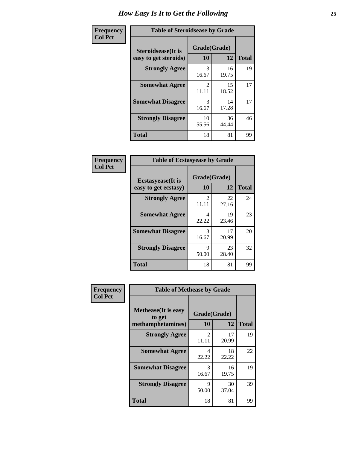| Frequency      | <b>Table of Steroidsease by Grade</b>       |                         |             |              |  |  |  |  |  |  |
|----------------|---------------------------------------------|-------------------------|-------------|--------------|--|--|--|--|--|--|
| <b>Col Pct</b> | Steroidsease(It is<br>easy to get steroids) | Grade(Grade)<br>10      | 12          | <b>Total</b> |  |  |  |  |  |  |
|                | <b>Strongly Agree</b>                       | 3<br>16.67              | 16<br>19.75 | 19           |  |  |  |  |  |  |
|                | <b>Somewhat Agree</b>                       | $\mathfrak{D}$<br>11.11 | 15<br>18.52 | 17           |  |  |  |  |  |  |
|                | <b>Somewhat Disagree</b>                    | 3<br>16.67              | 14<br>17.28 | 17           |  |  |  |  |  |  |
|                | <b>Strongly Disagree</b>                    | 10<br>55.56             | 36<br>44.44 | 46           |  |  |  |  |  |  |
|                | <b>Total</b>                                | 18                      | 81          | 99           |  |  |  |  |  |  |

| Frequency      |                                                   | <b>Table of Ecstasyease by Grade</b> |             |              |  |  |  |  |  |  |  |  |
|----------------|---------------------------------------------------|--------------------------------------|-------------|--------------|--|--|--|--|--|--|--|--|
| <b>Col Pct</b> | <b>Ecstasyease</b> (It is<br>easy to get ecstasy) | Grade(Grade)<br>10                   | 12          | <b>Total</b> |  |  |  |  |  |  |  |  |
|                | <b>Strongly Agree</b>                             | 2<br>11.11                           | 22<br>27.16 | 24           |  |  |  |  |  |  |  |  |
|                | <b>Somewhat Agree</b>                             | 4<br>22.22                           | 19<br>23.46 | 23           |  |  |  |  |  |  |  |  |
|                | <b>Somewhat Disagree</b>                          | 3<br>16.67                           | 17<br>20.99 | 20           |  |  |  |  |  |  |  |  |
|                | <b>Strongly Disagree</b>                          | 9<br>50.00                           | 23<br>28.40 | 32           |  |  |  |  |  |  |  |  |
|                | <b>Total</b>                                      | 18                                   | 81          | 99           |  |  |  |  |  |  |  |  |

| Frequency      | <b>Table of Methease by Grade</b>                          |                         |             |              |
|----------------|------------------------------------------------------------|-------------------------|-------------|--------------|
| <b>Col Pct</b> | <b>Methease</b> (It is easy<br>to get<br>methamphetamines) | Grade(Grade)<br>10      | 12          | <b>Total</b> |
|                | <b>Strongly Agree</b>                                      | $\mathfrak{D}$<br>11.11 | 17<br>20.99 | 19           |
|                | <b>Somewhat Agree</b>                                      | 4<br>22.22              | 18<br>22.22 | 22           |
|                | <b>Somewhat Disagree</b>                                   | 3<br>16.67              | 16<br>19.75 | 19           |
|                | <b>Strongly Disagree</b>                                   | 9<br>50.00              | 30<br>37.04 | 39           |
|                | <b>Total</b>                                               | 18                      | 81          | 99           |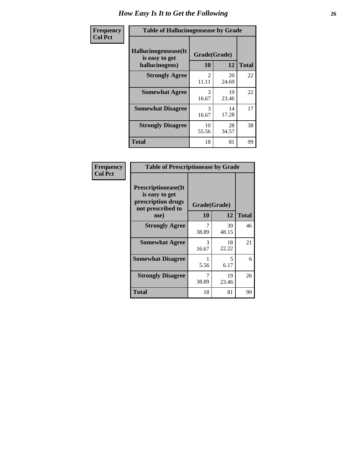| <b>Frequency</b> | <b>Table of Hallucinogensease by Grade</b>               |                                      |             |              |
|------------------|----------------------------------------------------------|--------------------------------------|-------------|--------------|
| <b>Col Pct</b>   | Hallucinogensease(It<br>is easy to get<br>hallucinogens) | Grade(Grade)<br>10                   | 12          | <b>Total</b> |
|                  | <b>Strongly Agree</b>                                    | $\mathcal{D}_{\mathcal{L}}$<br>11.11 | 20<br>24.69 | 22           |
|                  | <b>Somewhat Agree</b>                                    | 3<br>16.67                           | 19<br>23.46 | 22           |
|                  | <b>Somewhat Disagree</b>                                 | 3<br>16.67                           | 14<br>17.28 | 17           |
|                  | <b>Strongly Disagree</b>                                 | 10<br>55.56                          | 28<br>34.57 | 38           |
|                  | <b>Total</b>                                             | 18                                   | 81          | 99           |

| Frequency<br>Col Pct |
|----------------------|
|                      |

| <b>Table of Prescriptionease by Grade</b>                                                |            |              |              |  |  |  |  |  |  |  |
|------------------------------------------------------------------------------------------|------------|--------------|--------------|--|--|--|--|--|--|--|
| <b>Prescriptionease</b> (It<br>is easy to get<br>prescription drugs<br>not prescribed to |            | Grade(Grade) |              |  |  |  |  |  |  |  |
| me)                                                                                      | 10         | 12           | <b>Total</b> |  |  |  |  |  |  |  |
| <b>Strongly Agree</b>                                                                    | 7<br>38.89 | 39<br>48.15  | 46           |  |  |  |  |  |  |  |
| <b>Somewhat Agree</b>                                                                    | 3<br>16.67 | 18<br>22.22  | 21           |  |  |  |  |  |  |  |
| <b>Somewhat Disagree</b>                                                                 | 5.56       | 5.<br>6.17   | 6            |  |  |  |  |  |  |  |
| <b>Strongly Disagree</b>                                                                 | 7<br>38.89 | 19<br>23.46  | 26           |  |  |  |  |  |  |  |
| Total                                                                                    | 18         | 81           | 99           |  |  |  |  |  |  |  |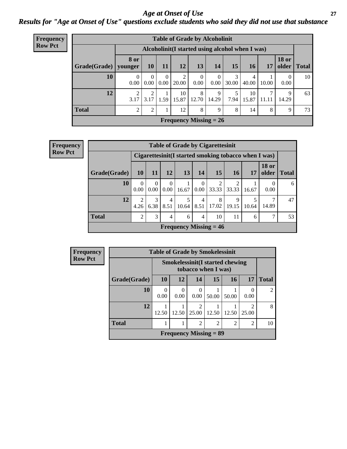### *Age at Onset of Use* **27** *Results for "Age at Onset of Use" questions exclude students who said they did not use that substance*

| <b>Frequency</b> | <b>Table of Grade by Alcoholinit</b> |                  |                  |                  |             |                               |            |            |                                                  |            |                       |              |
|------------------|--------------------------------------|------------------|------------------|------------------|-------------|-------------------------------|------------|------------|--------------------------------------------------|------------|-----------------------|--------------|
| <b>Row Pct</b>   |                                      |                  |                  |                  |             |                               |            |            | Alcoholinit (I started using alcohol when I was) |            |                       |              |
|                  | Grade(Grade)   younger               | 8 or             | <b>10</b>        | <b>11</b>        | 12          | 13                            | 14         | 15         | <b>16</b>                                        | 17         | <b>18 or</b><br>older | <b>Total</b> |
|                  | 10                                   | $\theta$<br>0.00 | $\Omega$<br>0.00 | $\theta$<br>0.00 | 2<br>20.00  | $\theta$<br>0.00              | 0<br>0.00  | 3<br>30.00 | $\overline{4}$<br>40.00                          | 10.00      | $\theta$<br>0.00      | 10           |
|                  | 12                                   | ↑<br>3.17        | ◠<br>3.17        | 1.59             | 10<br>15.87 | 8<br>12.70                    | 9<br>14.29 | 5<br>7.94  | 10<br>15.87                                      | ⇁<br>11.11 | 9<br>14.29            | 63           |
|                  | <b>Total</b>                         | $\gamma$         | $\overline{2}$   |                  | 12          | 8                             | 9          | 8          | 14                                               | 8          | 9                     | 73           |
|                  |                                      |                  |                  |                  |             | <b>Frequency Missing = 26</b> |            |            |                                                  |            |                       |              |

| Frequency      |              |                        |                    |                  |            |                        | <b>Table of Grade by Cigarettesinit</b>              |            |            |              |               |
|----------------|--------------|------------------------|--------------------|------------------|------------|------------------------|------------------------------------------------------|------------|------------|--------------|---------------|
| <b>Row Pct</b> |              |                        |                    |                  |            |                        | Cigarettesinit(I started smoking tobacco when I was) |            |            |              |               |
|                | Grade(Grade) | <b>10</b>              | <b>11</b>          | <b>12</b>        | 13         | <b>14</b>              | 15                                                   | <b>16</b>  | 17         | <b>18 or</b> | older   Total |
|                | 10           | $\theta$<br>0.00       | $\theta$<br>0.00   | $\theta$<br>0.00 | 16.67      | $\theta$<br>0.00       | 33.33                                                | 2<br>33.33 | 16.67      | 0.00         | 6             |
|                | 12           | $\mathfrak{D}$<br>4.26 | 3<br>$6.38$   8.51 | $\overline{4}$   | 5<br>10.64 | $\overline{4}$<br>8.51 | 8<br>17.02                                           | 9<br>19.15 | 5<br>10.64 | ⇁<br>14.89   | 47            |
|                | <b>Total</b> | $\mathfrak{D}$         | 3                  | 4                | 6          | 4                      | 10                                                   | 11         | 6          |              | 53            |
|                |              |                        |                    |                  |            |                        | Frequency Missing $= 46$                             |            |            |              |               |

| Frequency      |              | <b>Table of Grade by Smokelessinit</b> |           |                                                               |                |                |       |                |  |
|----------------|--------------|----------------------------------------|-----------|---------------------------------------------------------------|----------------|----------------|-------|----------------|--|
| <b>Row Pct</b> |              |                                        |           | <b>Smokelessinit(I started chewing</b><br>tobacco when I was) |                |                |       |                |  |
|                | Grade(Grade) | <b>10</b>                              | <b>12</b> | 14                                                            | 15             | 16             | 17    | <b>Total</b>   |  |
|                | 10           | 0<br>0.00                              | 0<br>0.00 | 0<br>0.00                                                     | 50.00          | 50.00          | 0.00  | $\overline{c}$ |  |
|                | 12           | 12.50                                  | 12.50     | $\overline{2}$<br>25.00                                       | 12.50          | 12.50          | 25.00 | 8              |  |
|                | <b>Total</b> |                                        |           | $\overline{2}$                                                | $\overline{c}$ | $\overline{c}$ | 2     | 10             |  |
|                |              |                                        |           | Frequency Missing $= 89$                                      |                |                |       |                |  |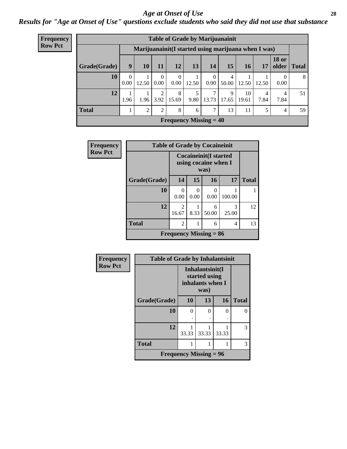### *Age at Onset of Use* **28**

*Results for "Age at Onset of Use" questions exclude students who said they did not use that substance*

| Frequency                                                              | <b>Table of Grade by Marijuanainit</b> |                  |                 |                      |                  |           |                               |            |             |           |                       |       |
|------------------------------------------------------------------------|----------------------------------------|------------------|-----------------|----------------------|------------------|-----------|-------------------------------|------------|-------------|-----------|-----------------------|-------|
| <b>Row Pct</b><br>Marijuanainit (I started using marijuana when I was) |                                        |                  |                 |                      |                  |           |                               |            |             |           |                       |       |
|                                                                        | Grade(Grade)                           | 9                | 10 <sup>1</sup> | 11                   | 12               | 13        | <b>14</b>                     | 15         | 16          | 17        | <b>18 or</b><br>older | Total |
|                                                                        | 10                                     | $\theta$<br>0.00 | 12.50           | $\mathbf{0}$<br>0.00 | $\theta$<br>0.00 | 12.50     | $\overline{0}$<br>0.00        | 4<br>50.00 | 12.50       | 12.50     | 0<br>0.00             | 8     |
|                                                                        | 12                                     | 1.96             | 1.96            | 2<br>3.92            | 8<br>15.69       | 5<br>9.80 | 7<br>13.73                    | 9<br>17.65 | 10<br>19.61 | 4<br>7.84 | 4<br>7.84             | 51    |
|                                                                        | <b>Total</b>                           |                  | 2               | 2                    | 8                | 6         | 7                             | 13         | 11          | 5         | $\overline{4}$        | 59    |
|                                                                        |                                        |                  |                 |                      |                  |           | <b>Frequency Missing = 40</b> |            |             |           |                       |       |

| <b>Frequency</b> | <b>Table of Grade by Cocaineinit</b> |                |           |                                                              |            |              |  |  |  |  |
|------------------|--------------------------------------|----------------|-----------|--------------------------------------------------------------|------------|--------------|--|--|--|--|
| <b>Row Pct</b>   |                                      |                |           | <b>Cocaineinit(I started</b><br>using cocaine when I<br>was) |            |              |  |  |  |  |
|                  | Grade(Grade)                         | 14             | 15        | 16                                                           | 17         | <b>Total</b> |  |  |  |  |
|                  | 10                                   | 0.00           | 0<br>0.00 | 0<br>0.00                                                    | 100.00     |              |  |  |  |  |
|                  | 12                                   | 2<br>16.67     | 8.33      | 6<br>50.00                                                   | 3<br>25.00 | 12           |  |  |  |  |
|                  | <b>Total</b>                         | $\overline{2}$ |           | 6                                                            | 4          | 13           |  |  |  |  |
|                  |                                      |                |           | Frequency Missing $= 86$                                     |            |              |  |  |  |  |

| Frequency      | <b>Table of Grade by Inhalantsinit</b> |       |                                                              |       |              |  |  |
|----------------|----------------------------------------|-------|--------------------------------------------------------------|-------|--------------|--|--|
| <b>Row Pct</b> |                                        |       | Inhalantsinit(I<br>started using<br>inhalants when I<br>was) |       |              |  |  |
|                | Grade(Grade)                           | 10    | 13                                                           | 16    | <b>Total</b> |  |  |
|                | 10                                     | 0     | 0                                                            | ∩     | $\Omega$     |  |  |
|                |                                        |       |                                                              |       |              |  |  |
|                | 12                                     | 33.33 | 33.33                                                        | 33.33 | 3            |  |  |
|                | <b>Total</b>                           | 1     |                                                              |       | 3            |  |  |
|                | <b>Frequency Missing = 96</b>          |       |                                                              |       |              |  |  |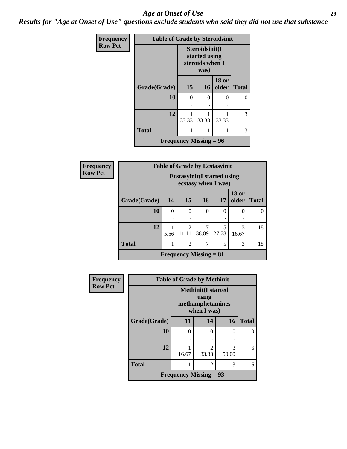#### *Age at Onset of Use* **29**

*Results for "Age at Onset of Use" questions exclude students who said they did not use that substance*

| <b>Frequency</b> | <b>Table of Grade by Steroidsinit</b> |                                                            |           |                       |              |  |  |  |
|------------------|---------------------------------------|------------------------------------------------------------|-----------|-----------------------|--------------|--|--|--|
| <b>Row Pct</b>   |                                       | Steroidsinit(I<br>started using<br>steroids when I<br>was) |           |                       |              |  |  |  |
|                  | Grade(Grade)                          | 15                                                         | <b>16</b> | <b>18 or</b><br>older | <b>Total</b> |  |  |  |
|                  | 10                                    | $\Omega$                                                   | $\Omega$  | $\Omega$              | 0            |  |  |  |
|                  |                                       |                                                            |           |                       |              |  |  |  |
|                  | 12                                    | 33.33                                                      | 33.33     | 33.33                 | 3            |  |  |  |
|                  | <b>Total</b>                          | 1                                                          | 1         |                       | 3            |  |  |  |
|                  | Frequency Missing $= 96$              |                                                            |           |                       |              |  |  |  |

| <b>Frequency</b> | <b>Table of Grade by Ecstasyinit</b> |               |                         |          |                                                            |                       |              |  |  |  |
|------------------|--------------------------------------|---------------|-------------------------|----------|------------------------------------------------------------|-----------------------|--------------|--|--|--|
| <b>Row Pct</b>   |                                      |               |                         |          | <b>Ecstasyinit</b> (I started using<br>ecstasy when I was) |                       |              |  |  |  |
|                  | Grade(Grade)                         | 14            | 15                      | 16       | 17                                                         | <b>18 or</b><br>older | <b>Total</b> |  |  |  |
|                  | 10                                   | $\theta$<br>٠ | $\Omega$<br>٠           | $\theta$ | $\Omega$<br>٠                                              | 0                     |              |  |  |  |
|                  | 12                                   | 5.56          | $\mathfrak{D}$<br>11.11 | 38.89    | 5<br>27.78                                                 | 3<br>16.67            | 18           |  |  |  |
|                  | <b>Total</b>                         | 1             | $\overline{2}$          | 7        | 5                                                          | 3                     | 18           |  |  |  |
|                  | <b>Frequency Missing = 81</b>        |               |                         |          |                                                            |                       |              |  |  |  |

| Frequency      |                               | <b>Table of Grade by Methinit</b> |                                                                        |            |              |  |  |  |  |
|----------------|-------------------------------|-----------------------------------|------------------------------------------------------------------------|------------|--------------|--|--|--|--|
| <b>Row Pct</b> |                               |                                   | <b>Methinit</b> (I started<br>using<br>methamphetamines<br>when I was) |            |              |  |  |  |  |
|                | Grade(Grade)                  | 11                                | 14                                                                     | 16         | <b>Total</b> |  |  |  |  |
|                | 10                            | 0                                 | 0                                                                      | 0          | 0            |  |  |  |  |
|                |                               | ٠                                 | ٠                                                                      | ٠          |              |  |  |  |  |
|                | 12                            | 16.67                             | $\mathfrak{D}$<br>33.33                                                | 3<br>50.00 | 6            |  |  |  |  |
|                | <b>Total</b>                  |                                   | 2                                                                      | 3          | 6            |  |  |  |  |
|                | <b>Frequency Missing = 93</b> |                                   |                                                                        |            |              |  |  |  |  |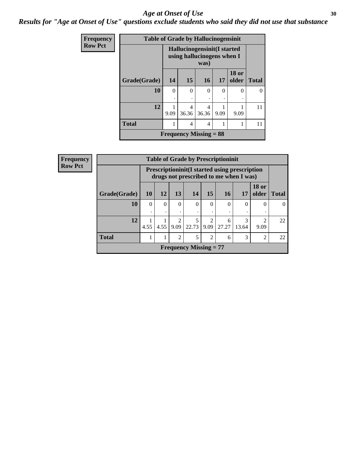#### Age at Onset of Use **30**

*Results for "Age at Onset of Use" questions exclude students who said they did not use that substance*

| Frequency      | <b>Table of Grade by Hallucinogensinit</b> |                                                                    |               |                          |          |                       |              |
|----------------|--------------------------------------------|--------------------------------------------------------------------|---------------|--------------------------|----------|-----------------------|--------------|
| <b>Row Pct</b> |                                            | Hallucinogensinit (I started<br>using hallucinogens when I<br>was) |               |                          |          |                       |              |
|                | Grade(Grade)                               | 14                                                                 | 15            | <b>16</b>                | 17       | <b>18 or</b><br>older | <b>Total</b> |
|                | 10                                         | $\Omega$                                                           | $\theta$<br>٠ | $\Omega$                 | $\Omega$ | 0                     |              |
|                | 12                                         | 9.09                                                               | 4<br>36.36    | 4<br>36.36               | 9.09     | 9.09                  | 11           |
|                | <b>Total</b>                               |                                                                    | 4             | 4                        |          |                       | 11           |
|                |                                            |                                                                    |               | Frequency Missing $= 88$ |          |                       |              |

| <b>Frequency</b> | <b>Table of Grade by Prescriptioninit</b> |          |                                                                                                |                       |                               |                        |            |            |                        |              |  |
|------------------|-------------------------------------------|----------|------------------------------------------------------------------------------------------------|-----------------------|-------------------------------|------------------------|------------|------------|------------------------|--------------|--|
| <b>Row Pct</b>   |                                           |          | <b>Prescriptioninit(I started using prescription</b><br>drugs not prescribed to me when I was) |                       |                               |                        |            |            |                        |              |  |
|                  | Grade(Grade)                              | 10       | 12                                                                                             | 13                    | 14                            | 15                     | <b>16</b>  | <b>17</b>  | <b>18 or</b><br>older  | <b>Total</b> |  |
|                  | 10                                        | $\Omega$ | $\Omega$                                                                                       | $\Omega$              | $\Omega$                      | $\Omega$               | $\Omega$   | $\Omega$   | $\Omega$               | $\theta$     |  |
|                  | 12                                        | 4.55     | 4.55                                                                                           | $\mathcal{D}$<br>9.09 | 5<br>22.73                    | $\mathfrak{D}$<br>9.09 | 6<br>27.27 | 3<br>13.64 | $\overline{c}$<br>9.09 | 22           |  |
|                  | <b>Total</b>                              |          |                                                                                                | $\overline{2}$        | 5                             | $\overline{2}$         | 6          | 3          | $\overline{2}$         | 22           |  |
|                  |                                           |          |                                                                                                |                       | <b>Frequency Missing = 77</b> |                        |            |            |                        |              |  |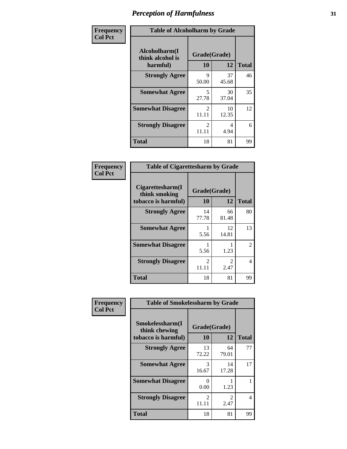| Frequency      | <b>Table of Alcoholharm by Grade</b>          |                                      |             |              |  |
|----------------|-----------------------------------------------|--------------------------------------|-------------|--------------|--|
| <b>Col Pct</b> | Alcoholharm(I<br>think alcohol is<br>harmful) | Grade(Grade)<br>10                   | 12          | <b>Total</b> |  |
|                | <b>Strongly Agree</b>                         | 9<br>50.00                           | 37<br>45.68 | 46           |  |
|                | <b>Somewhat Agree</b>                         | 5<br>27.78                           | 30<br>37.04 | 35           |  |
|                | <b>Somewhat Disagree</b>                      | $\mathcal{D}_{\mathcal{L}}$<br>11.11 | 10<br>12.35 | 12           |  |
|                | <b>Strongly Disagree</b>                      | $\mathcal{D}_{\mathcal{L}}$<br>11.11 | 4<br>4.94   | 6            |  |
|                | <b>Total</b>                                  | 18                                   | 81          | 99           |  |

| <b>Table of Cigarettesharm by Grade</b>                  |                         |                        |              |  |  |  |  |
|----------------------------------------------------------|-------------------------|------------------------|--------------|--|--|--|--|
| Cigarettesharm(I<br>think smoking<br>tobacco is harmful) | Grade(Grade)<br>10      | 12                     | <b>Total</b> |  |  |  |  |
| <b>Strongly Agree</b>                                    | 14<br>77.78             | 66<br>81.48            | 80           |  |  |  |  |
| <b>Somewhat Agree</b>                                    | 1<br>5.56               | 12<br>14.81            | 13           |  |  |  |  |
| <b>Somewhat Disagree</b>                                 | 1<br>5.56               | 1.23                   | 2            |  |  |  |  |
| <b>Strongly Disagree</b>                                 | $\mathfrak{D}$<br>11.11 | $\mathfrak{D}$<br>2.47 | 4            |  |  |  |  |
| <b>Total</b>                                             | 18                      | 81                     | 99           |  |  |  |  |

| Frequency      | <b>Table of Smokelessharm by Grade</b>                  |                           |             |              |  |  |  |  |
|----------------|---------------------------------------------------------|---------------------------|-------------|--------------|--|--|--|--|
| <b>Col Pct</b> | Smokelessharm(I<br>think chewing<br>tobacco is harmful) | Grade(Grade)<br>10        | 12          | <b>Total</b> |  |  |  |  |
|                | <b>Strongly Agree</b>                                   | 13<br>72.22               | 64<br>79.01 | 77           |  |  |  |  |
|                | <b>Somewhat Agree</b>                                   | 3<br>16.67                | 14<br>17.28 | 17           |  |  |  |  |
|                | <b>Somewhat Disagree</b>                                | $\mathbf{\Omega}$<br>0.00 | 1.23        |              |  |  |  |  |
|                | <b>Strongly Disagree</b>                                | $\mathcal{L}$<br>11.11    | 2<br>2.47   | 4            |  |  |  |  |
|                | <b>Total</b>                                            | 18                        | 81          | 99           |  |  |  |  |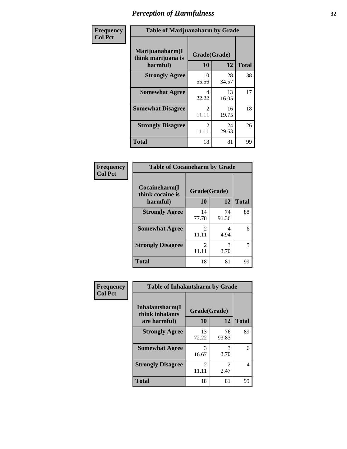| Frequency      | <b>Table of Marijuanaharm by Grade</b>            |                         |             |              |  |
|----------------|---------------------------------------------------|-------------------------|-------------|--------------|--|
| <b>Col Pct</b> | Marijuanaharm(I<br>think marijuana is<br>harmful) | Grade(Grade)<br>10      | 12          | <b>Total</b> |  |
|                | <b>Strongly Agree</b>                             | 10<br>55.56             | 28<br>34.57 | 38           |  |
|                | <b>Somewhat Agree</b>                             | 4<br>22.22              | 13<br>16.05 | 17           |  |
|                | <b>Somewhat Disagree</b>                          | $\mathfrak{D}$<br>11.11 | 16<br>19.75 | 18           |  |
|                | <b>Strongly Disagree</b>                          | $\mathfrak{D}$<br>11.11 | 24<br>29.63 | 26           |  |
|                | <b>Total</b>                                      | 18                      | 81          | 99           |  |

#### **Frequency Col Pct**

| <b>Table of Cocaineharm by Grade</b> |                        |             |              |  |  |  |  |
|--------------------------------------|------------------------|-------------|--------------|--|--|--|--|
| Cocaineharm(I<br>think cocaine is    | Grade(Grade)           |             |              |  |  |  |  |
| harmful)                             | 10                     | 12          | <b>Total</b> |  |  |  |  |
| <b>Strongly Agree</b>                | 14<br>77.78            | 74<br>91.36 | 88           |  |  |  |  |
| <b>Somewhat Agree</b>                | 2<br>11.11             | 4<br>4.94   | 6            |  |  |  |  |
| <b>Strongly Disagree</b>             | $\mathcal{L}$<br>11.11 | 3<br>3.70   | 5            |  |  |  |  |
| <b>Total</b>                         | 18                     | 81          | 99           |  |  |  |  |

| <b>Table of Inhalantsharm by Grade</b> |                         |             |              |  |  |  |  |
|----------------------------------------|-------------------------|-------------|--------------|--|--|--|--|
| Inhalantsharm(I<br>think inhalants     | Grade(Grade)            |             |              |  |  |  |  |
| are harmful)                           | 10                      | 12          | <b>Total</b> |  |  |  |  |
| <b>Strongly Agree</b>                  | 13<br>72.22             | 76<br>93.83 | 89           |  |  |  |  |
| <b>Somewhat Agree</b>                  | 3<br>16.67              | 3<br>3.70   | 6            |  |  |  |  |
| <b>Strongly Disagree</b>               | $\mathfrak{D}$<br>11.11 | 2<br>2.47   | 4            |  |  |  |  |
| <b>Total</b>                           | 18                      | 81          | gg           |  |  |  |  |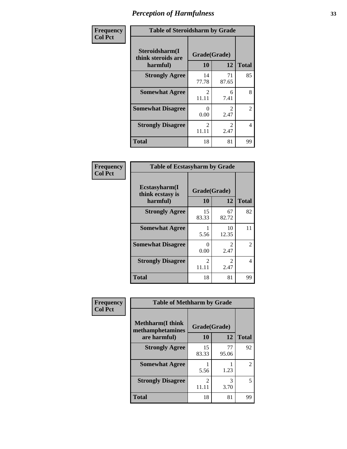| Frequency      | <b>Table of Steroidsharm by Grade</b>            |                                      |                        |              |
|----------------|--------------------------------------------------|--------------------------------------|------------------------|--------------|
| <b>Col Pct</b> | Steroidsharm(I<br>think steroids are<br>harmful) | Grade(Grade)<br>10                   | 12                     | <b>Total</b> |
|                | <b>Strongly Agree</b>                            | 14<br>77.78                          | 71<br>87.65            | 85           |
|                | <b>Somewhat Agree</b>                            | $\mathcal{D}_{\mathcal{L}}$<br>11.11 | 6<br>7.41              | 8            |
|                | <b>Somewhat Disagree</b>                         | $\Omega$<br>0.00                     | $\mathfrak{D}$<br>2.47 | 2            |
|                | <b>Strongly Disagree</b>                         | $\mathcal{D}_{\mathcal{L}}$<br>11.11 | $\mathfrak{D}$<br>2.47 | 4            |
|                | <b>Total</b>                                     | 18                                   | 81                     | 99           |

| <b>Table of Ecstasyharm by Grade</b>          |                    |                        |    |  |
|-----------------------------------------------|--------------------|------------------------|----|--|
| Ecstasyharm(I<br>think ecstasy is<br>harmful) | Grade(Grade)<br>10 | <b>Total</b>           |    |  |
| <b>Strongly Agree</b>                         | 15<br>83.33        | 67<br>82.72            | 82 |  |
| <b>Somewhat Agree</b>                         | 5.56               | 10<br>12.35            | 11 |  |
| <b>Somewhat Disagree</b>                      | 0<br>0.00          | 2<br>2.47              | 2  |  |
| <b>Strongly Disagree</b>                      | 2<br>11.11         | $\mathfrak{D}$<br>2.47 | 4  |  |
| <b>Total</b>                                  | 18                 | 81                     | 99 |  |

| Frequency      | <b>Table of Methharm by Grade</b>            |                         |             |               |
|----------------|----------------------------------------------|-------------------------|-------------|---------------|
| <b>Col Pct</b> | <b>Methharm</b> (I think<br>methamphetamines | Grade(Grade)            |             |               |
|                | are harmful)                                 | 10                      | 12          | <b>Total</b>  |
|                | <b>Strongly Agree</b>                        | 15<br>83.33             | 77<br>95.06 | 92            |
|                | <b>Somewhat Agree</b>                        | 5.56                    | 1.23        | $\mathcal{L}$ |
|                | <b>Strongly Disagree</b>                     | $\mathfrak{D}$<br>11.11 | 3<br>3.70   | 5             |
|                | <b>Total</b>                                 | 18                      | 81          | 99            |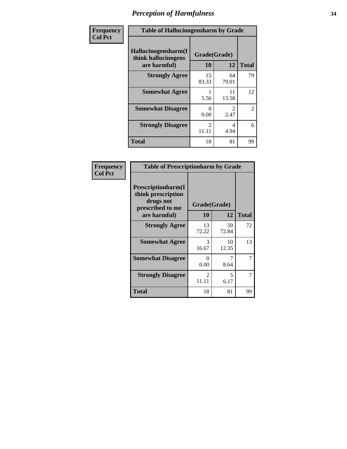| Frequency      | <b>Table of Hallucinogensharm by Grade</b>                 |                        |                       |                |
|----------------|------------------------------------------------------------|------------------------|-----------------------|----------------|
| <b>Col Pct</b> | Hallucinogensharm(I<br>think hallucinogens<br>are harmful) | Grade(Grade)<br>10     | 12                    | <b>Total</b>   |
|                | <b>Strongly Agree</b>                                      | 15<br>83.33            | 64<br>79.01           | 79             |
|                | <b>Somewhat Agree</b>                                      | 5.56                   | 11<br>13.58           | 12             |
|                | <b>Somewhat Disagree</b>                                   | 0<br>0.00              | $\mathcal{L}$<br>2.47 | $\overline{2}$ |
|                | <b>Strongly Disagree</b>                                   | $\mathcal{L}$<br>11.11 | 4<br>4.94             | 6              |
|                | <b>Total</b>                                               | 18                     | 81                    | 99             |

| <b>Table of Prescriptionharm by Grade</b>                                                         |                    |                                  |              |  |
|---------------------------------------------------------------------------------------------------|--------------------|----------------------------------|--------------|--|
| <b>Prescriptionharm</b> (I<br>think prescription<br>drugs not<br>prescribed to me<br>are harmful) | Grade(Grade)<br>10 | 12                               | <b>Total</b> |  |
|                                                                                                   | 13                 | 59                               | 72           |  |
| <b>Strongly Agree</b>                                                                             | 72.22              | 72.84                            |              |  |
| <b>Somewhat Agree</b>                                                                             | 3<br>16.67         | 10<br>12.35                      | 13           |  |
| <b>Somewhat Disagree</b>                                                                          | 0<br>0.00          | 8.64                             | 7            |  |
| <b>Strongly Disagree</b>                                                                          | 2<br>11.11         | $\overline{\mathcal{L}}$<br>6.17 | 7            |  |
| Total                                                                                             | 18                 | 81                               | 99           |  |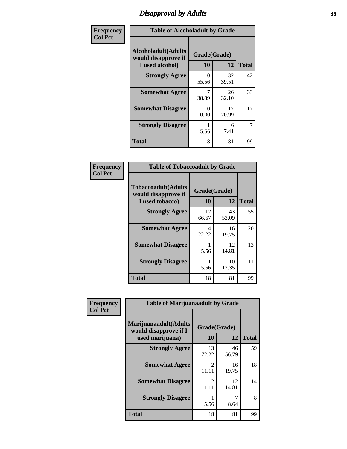# *Disapproval by Adults* **35**

| Frequency      | <b>Table of Alcoholadult by Grade</b>                                 |                    |             |              |
|----------------|-----------------------------------------------------------------------|--------------------|-------------|--------------|
| <b>Col Pct</b> | <b>Alcoholadult</b> (Adults<br>would disapprove if<br>I used alcohol) | Grade(Grade)<br>10 | 12          | <b>Total</b> |
|                | <b>Strongly Agree</b>                                                 | 10<br>55.56        | 32<br>39.51 | 42           |
|                | <b>Somewhat Agree</b>                                                 | 7<br>38.89         | 26<br>32.10 | 33           |
|                | <b>Somewhat Disagree</b>                                              | 0<br>0.00          | 17<br>20.99 | 17           |
|                | <b>Strongly Disagree</b>                                              | 1<br>5.56          | 6<br>7.41   | 7            |
|                | <b>Total</b>                                                          | 18                 | 81          | 99           |

| <b>Table of Tobaccoadult by Grade</b>                                 |                    |             |              |  |  |
|-----------------------------------------------------------------------|--------------------|-------------|--------------|--|--|
| <b>Tobaccoadult</b> (Adults<br>would disapprove if<br>I used tobacco) | Grade(Grade)<br>10 | 12          | <b>Total</b> |  |  |
| <b>Strongly Agree</b>                                                 | 12<br>66.67        | 43<br>53.09 | 55           |  |  |
| <b>Somewhat Agree</b>                                                 | 4<br>22.22         | 16<br>19.75 | 20           |  |  |
| <b>Somewhat Disagree</b>                                              | 5.56               | 12<br>14.81 | 13           |  |  |
| <b>Strongly Disagree</b>                                              | 5.56               | 10<br>12.35 | 11           |  |  |
| <b>Total</b>                                                          | 18                 | 81          | 99           |  |  |

| Frequency      | <b>Table of Marijuanaadult by Grade</b>                           |                         |             |              |
|----------------|-------------------------------------------------------------------|-------------------------|-------------|--------------|
| <b>Col Pct</b> | Marijuanaadult(Adults<br>would disapprove if I<br>used marijuana) | Grade(Grade)<br>10      | 12          | <b>Total</b> |
|                | <b>Strongly Agree</b>                                             | 13<br>72.22             | 46<br>56.79 | 59           |
|                | <b>Somewhat Agree</b>                                             | $\mathfrak{D}$<br>11.11 | 16<br>19.75 | 18           |
|                | <b>Somewhat Disagree</b>                                          | $\mathfrak{D}$<br>11.11 | 12<br>14.81 | 14           |
|                | <b>Strongly Disagree</b>                                          | 5.56                    | 7<br>8.64   | 8            |
|                | <b>Total</b>                                                      | 18                      | 81          | 99           |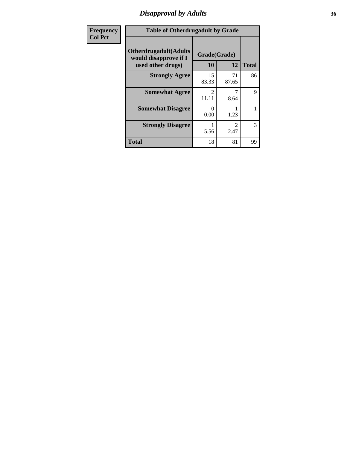### *Disapproval by Adults* **36**

| <b>Frequency</b> | <b>Table of Otherdrugadult by Grade</b>                                     |                        |             |              |
|------------------|-----------------------------------------------------------------------------|------------------------|-------------|--------------|
| <b>Col Pct</b>   | <b>Otherdrugadult</b> (Adults<br>would disapprove if I<br>used other drugs) | Grade(Grade)<br>10     | 12          | <b>Total</b> |
|                  | <b>Strongly Agree</b>                                                       | 15<br>83.33            | 71<br>87.65 | 86           |
|                  | <b>Somewhat Agree</b>                                                       | $\mathcal{D}$<br>11.11 | 8.64        | 9            |
|                  | <b>Somewhat Disagree</b>                                                    | ∩<br>0.00              | 1.23        |              |
|                  | <b>Strongly Disagree</b>                                                    | 5.56                   | 2<br>2.47   | 3            |
|                  | <b>Total</b>                                                                | 18                     | 81          | 99           |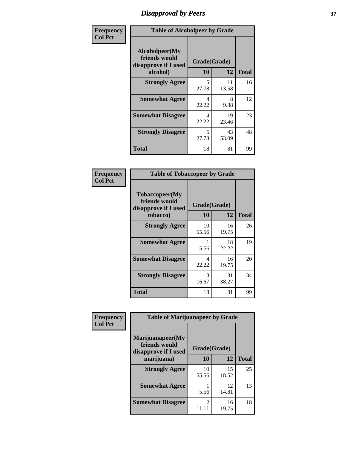## *Disapproval by Peers* **37**

| Frequency      | <b>Table of Alcoholpeer by Grade</b>                    |              |             |              |  |
|----------------|---------------------------------------------------------|--------------|-------------|--------------|--|
| <b>Col Pct</b> | Alcoholpeer(My<br>friends would<br>disapprove if I used | Grade(Grade) |             |              |  |
|                | alcohol)                                                | 10           | 12          | <b>Total</b> |  |
|                | <b>Strongly Agree</b>                                   | 5<br>27.78   | 11<br>13.58 | 16           |  |
|                | <b>Somewhat Agree</b>                                   | 4<br>22.22   | 8<br>9.88   | 12           |  |
|                | <b>Somewhat Disagree</b>                                | 4<br>22.22   | 19<br>23.46 | 23           |  |
|                | <b>Strongly Disagree</b>                                | 5<br>27.78   | 43<br>53.09 | 48           |  |
|                | Total                                                   | 18           | 81          | 99           |  |

| Frequency      | <b>Table of Tobaccopeer by Grade</b>                                |                    |             |              |
|----------------|---------------------------------------------------------------------|--------------------|-------------|--------------|
| <b>Col Pct</b> | Tobaccopeer(My<br>friends would<br>disapprove if I used<br>tobacco) | Grade(Grade)<br>10 | 12          | <b>Total</b> |
|                | <b>Strongly Agree</b>                                               | 10<br>55.56        | 16<br>19.75 | 26           |
|                | <b>Somewhat Agree</b>                                               | 5.56               | 18<br>22.22 | 19           |
|                | <b>Somewhat Disagree</b>                                            | 4<br>22.22         | 16<br>19.75 | 20           |
|                | <b>Strongly Disagree</b>                                            | 3<br>16.67         | 31<br>38.27 | 34           |
|                | <b>Total</b>                                                        | 18                 | 81          | 99           |

| Frequency      | <b>Table of Marijuanapeer by Grade</b>                    |                |             |              |
|----------------|-----------------------------------------------------------|----------------|-------------|--------------|
| <b>Col Pct</b> | Marijuanapeer(My<br>friends would<br>disapprove if I used | Grade(Grade)   |             |              |
|                | marijuana)                                                | 10             | 12          | <b>Total</b> |
|                | <b>Strongly Agree</b>                                     | 10<br>55.56    | 15<br>18.52 | 25           |
|                | <b>Somewhat Agree</b>                                     | 5.56           | 12<br>14.81 | 13           |
|                | <b>Somewhat Disagree</b>                                  | $\mathfrak{D}$ | 16<br>19.75 | 18           |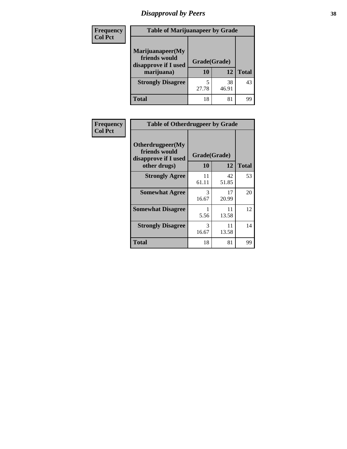# *Disapproval by Peers* **38**

| <b>Frequency</b> | <b>Table of Marijuanapeer by Grade</b>                                  |                    |             |              |  |
|------------------|-------------------------------------------------------------------------|--------------------|-------------|--------------|--|
| <b>Col Pct</b>   | Marijuanapeer(My<br>friends would<br>disapprove if I used<br>marijuana) | Grade(Grade)<br>10 | 12          | <b>Total</b> |  |
|                  | <b>Strongly Disagree</b>                                                | 27.78              | 38<br>46.91 | 43           |  |
|                  | <b>Total</b>                                                            | 18                 | 81          | 99           |  |

| <b>Frequency</b> | <b>Table of Otherdrugpeer by Grade</b>                                    |                    |             |              |
|------------------|---------------------------------------------------------------------------|--------------------|-------------|--------------|
| <b>Col Pct</b>   | Otherdrugpeer(My<br>friends would<br>disapprove if I used<br>other drugs) | Grade(Grade)<br>10 | 12          | <b>Total</b> |
|                  | <b>Strongly Agree</b>                                                     | 11<br>61.11        | 42<br>51.85 | 53           |
|                  | <b>Somewhat Agree</b>                                                     | 3<br>16.67         | 17<br>20.99 | 20           |
|                  | <b>Somewhat Disagree</b>                                                  | 5.56               | 11<br>13.58 | 12           |
|                  | <b>Strongly Disagree</b>                                                  | 3<br>16.67         | 11<br>13.58 | 14           |
|                  | <b>Total</b>                                                              | 18                 | 81          | 99           |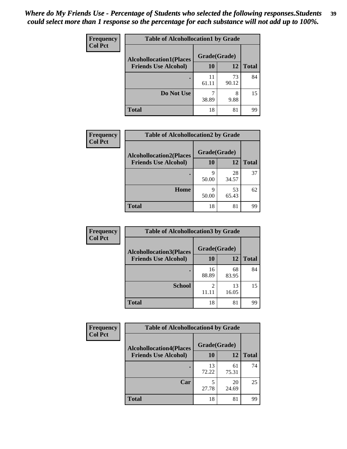| Frequency      | <b>Table of Alcohollocation1 by Grade</b> |              |             |              |  |
|----------------|-------------------------------------------|--------------|-------------|--------------|--|
| <b>Col Pct</b> | <b>Alcohollocation1(Places</b>            | Grade(Grade) |             |              |  |
|                | <b>Friends Use Alcohol)</b>               | 10           | 12          | <b>Total</b> |  |
|                |                                           | 11<br>61.11  | 73<br>90.12 | 84           |  |
|                | Do Not Use                                | 38.89        | 8<br>9.88   | 15           |  |
|                | <b>Total</b>                              | 18           | 81          | 99           |  |

| Frequency      | <b>Table of Alcohollocation2 by Grade</b>                     |                    |             |              |
|----------------|---------------------------------------------------------------|--------------------|-------------|--------------|
| <b>Col Pct</b> | <b>Alcohollocation2(Places</b><br><b>Friends Use Alcohol)</b> | Grade(Grade)<br>10 | 12          | <b>Total</b> |
|                |                                                               | q<br>50.00         | 28<br>34.57 | 37           |
|                | Home                                                          | q<br>50.00         | 53<br>65.43 | 62           |
|                | <b>Total</b>                                                  | 18                 | 81          | 99           |

| Frequency<br><b>Col Pct</b> | <b>Table of Alcohollocation 3 by Grade</b> |              |             |              |  |
|-----------------------------|--------------------------------------------|--------------|-------------|--------------|--|
|                             | <b>Alcohollocation3(Places</b>             | Grade(Grade) |             |              |  |
|                             | <b>Friends Use Alcohol)</b>                | 10           | 12          | <b>Total</b> |  |
|                             |                                            | 16<br>88.89  | 68<br>83.95 | 84           |  |
|                             | <b>School</b>                              | 2<br>11.11   | 13<br>16.05 | 15           |  |
|                             | <b>Total</b>                               | 18           | 81          | 99           |  |

| Frequency      | <b>Table of Alcohollocation4 by Grade</b> |              |             |              |  |
|----------------|-------------------------------------------|--------------|-------------|--------------|--|
| <b>Col Pct</b> | <b>Alcohollocation4(Places</b>            | Grade(Grade) |             |              |  |
|                | <b>Friends Use Alcohol)</b>               | 10           | 12          | <b>Total</b> |  |
|                |                                           | 13<br>72.22  | 61<br>75.31 | 74           |  |
|                | Car                                       | 5<br>27.78   | 20<br>24.69 | 25           |  |
|                | <b>Total</b>                              | 18           | 81          | 99           |  |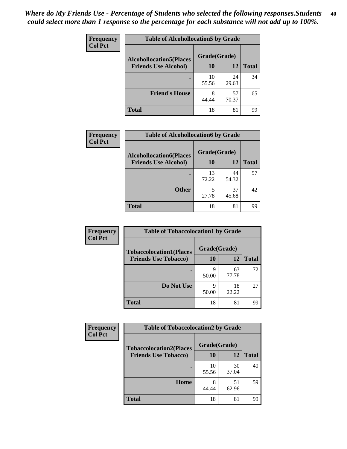| Frequency<br><b>Col Pct</b> | <b>Table of Alcohollocation5 by Grade</b>      |             |             |              |  |
|-----------------------------|------------------------------------------------|-------------|-------------|--------------|--|
|                             | Grade(Grade)<br><b>Alcohollocation5(Places</b> |             |             |              |  |
|                             | <b>Friends Use Alcohol)</b>                    | 10          | 12          | <b>Total</b> |  |
|                             |                                                | 10<br>55.56 | 24<br>29.63 | 34           |  |
|                             | <b>Friend's House</b>                          | 8<br>44.44  | 57<br>70.37 | 65           |  |
|                             | <b>Total</b>                                   | 18          | 81          | 99           |  |

| <b>Frequency</b> | <b>Table of Alcohollocation6 by Grade</b> |              |             |              |
|------------------|-------------------------------------------|--------------|-------------|--------------|
| <b>Col Pct</b>   | <b>Alcohollocation6(Places</b>            | Grade(Grade) |             |              |
|                  | <b>Friends Use Alcohol)</b>               | 10           | 12          | <b>Total</b> |
|                  |                                           | 13<br>72.22  | 44<br>54.32 | 57           |
|                  | <b>Other</b>                              | 5<br>27.78   | 37<br>45.68 | 42           |
|                  | <b>Total</b>                              | 18           | 81          | 99           |

| Frequency      | <b>Table of Tobaccolocation1 by Grade</b> |              |             |              |
|----------------|-------------------------------------------|--------------|-------------|--------------|
| <b>Col Pct</b> | <b>Tobaccolocation1(Places</b>            | Grade(Grade) |             |              |
|                | <b>Friends Use Tobacco)</b>               | 10           | 12          | <b>Total</b> |
|                |                                           | q<br>50.00   | 63<br>77.78 | 72           |
|                | Do Not Use                                | q<br>50.00   | 18<br>22.22 | 27           |
|                | <b>Total</b>                              | 18           | 81          | 99           |

| <b>Frequency</b> | <b>Table of Tobaccolocation2 by Grade</b> |              |             |              |  |
|------------------|-------------------------------------------|--------------|-------------|--------------|--|
| <b>Col Pct</b>   | <b>Tobaccolocation2(Places</b>            | Grade(Grade) |             |              |  |
|                  | <b>Friends Use Tobacco)</b>               | 10           | 12          | <b>Total</b> |  |
|                  |                                           | 10<br>55.56  | 30<br>37.04 | 40           |  |
|                  | Home                                      | 8<br>44.44   | 51<br>62.96 | 59           |  |
|                  | <b>Total</b>                              | 18           | 81          | 99           |  |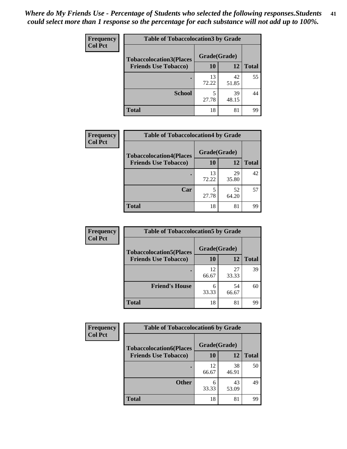| Frequency      | <b>Table of Tobaccolocation 3 by Grade</b> |              |             |              |  |
|----------------|--------------------------------------------|--------------|-------------|--------------|--|
| <b>Col Pct</b> | <b>Tobaccolocation3(Places</b>             | Grade(Grade) |             |              |  |
|                | <b>Friends Use Tobacco)</b>                | 10           | 12          | <b>Total</b> |  |
|                |                                            | 13<br>72.22  | 42<br>51.85 | 55           |  |
|                | <b>School</b>                              | 5<br>27.78   | 39<br>48.15 | 44           |  |
|                | <b>Total</b>                               | 18           | 81          | 99           |  |

| Frequency      | <b>Table of Tobaccolocation4 by Grade</b> |              |             |              |
|----------------|-------------------------------------------|--------------|-------------|--------------|
| <b>Col Pct</b> | <b>Tobaccolocation4(Places</b>            | Grade(Grade) |             |              |
|                | <b>Friends Use Tobacco)</b>               | 10           | 12          | <b>Total</b> |
|                |                                           | 13<br>72.22  | 29<br>35.80 | 42           |
|                | Car                                       | 5<br>27.78   | 52<br>64.20 | 57           |
|                | <b>Total</b>                              | 18           | 81          | 99           |

| Frequency<br><b>Col Pct</b> | <b>Table of Tobaccolocation5 by Grade</b> |              |             |              |
|-----------------------------|-------------------------------------------|--------------|-------------|--------------|
|                             | <b>Tobaccolocation5(Places</b>            | Grade(Grade) |             |              |
|                             | <b>Friends Use Tobacco)</b>               | 10           | <b>12</b>   | <b>Total</b> |
|                             |                                           | 12<br>66.67  | 27<br>33.33 | 39           |
|                             | <b>Friend's House</b>                     | 6<br>33.33   | 54<br>66.67 | 60           |
|                             | <b>Total</b>                              | 18           | 81          | 99           |

| <b>Frequency</b> | <b>Table of Tobaccolocation6 by Grade</b> |              |             |              |  |
|------------------|-------------------------------------------|--------------|-------------|--------------|--|
| <b>Col Pct</b>   | <b>Tobaccolocation6(Places</b>            | Grade(Grade) |             |              |  |
|                  | <b>Friends Use Tobacco)</b>               | 10           | 12          | <b>Total</b> |  |
|                  |                                           | 12<br>66.67  | 38<br>46.91 | 50           |  |
|                  | <b>Other</b>                              | 6<br>33.33   | 43<br>53.09 | 49           |  |
|                  | <b>Total</b>                              | 18           | 81          | 99           |  |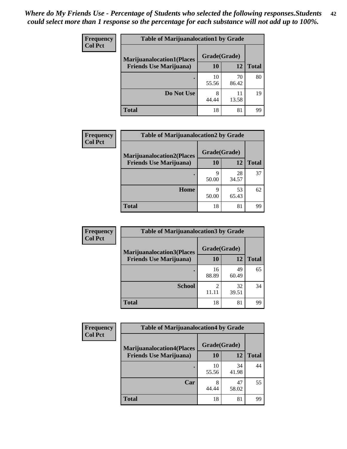| <b>Frequency</b> | <b>Table of Marijuanalocation1 by Grade</b> |              |             |              |
|------------------|---------------------------------------------|--------------|-------------|--------------|
| <b>Col Pct</b>   | <b>Marijuanalocation1(Places</b>            | Grade(Grade) |             |              |
|                  | <b>Friends Use Marijuana</b> )              | 10           | 12          | <b>Total</b> |
|                  |                                             | 10<br>55.56  | 70<br>86.42 | 80           |
|                  | Do Not Use                                  | 8<br>44.44   | 11<br>13.58 | 19           |
|                  | Total                                       | 18           | 81          | 99           |

| <b>Frequency</b> | <b>Table of Marijuanalocation2 by Grade</b>                        |                    |             |              |
|------------------|--------------------------------------------------------------------|--------------------|-------------|--------------|
| <b>Col Pct</b>   | <b>Marijuanalocation2(Places</b><br><b>Friends Use Marijuana</b> ) | Grade(Grade)<br>10 | 12          | <b>Total</b> |
|                  |                                                                    | q<br>50.00         | 28<br>34.57 | 37           |
|                  | Home                                                               | Q<br>50.00         | 53<br>65.43 | 62           |
|                  | <b>Total</b>                                                       | 18                 | 81          | 99           |

| Frequency<br><b>Col Pct</b> | <b>Table of Marijuanalocation3 by Grade</b> |              |             |              |
|-----------------------------|---------------------------------------------|--------------|-------------|--------------|
|                             | <b>Marijuanalocation3</b> (Places           | Grade(Grade) |             |              |
|                             | <b>Friends Use Marijuana</b> )              | 10           | 12          | <b>Total</b> |
|                             |                                             | 16<br>88.89  | 49<br>60.49 | 65           |
|                             | <b>School</b>                               | 11.11        | 32<br>39.51 | 34           |
|                             | <b>Total</b>                                | 18           | 81          | 99           |

| <b>Frequency</b> | <b>Table of Marijuanalocation4 by Grade</b> |              |             |              |  |
|------------------|---------------------------------------------|--------------|-------------|--------------|--|
| <b>Col Pct</b>   | <b>Marijuanalocation4(Places</b>            | Grade(Grade) |             |              |  |
|                  | <b>Friends Use Marijuana</b> )              | <b>10</b>    | 12          | <b>Total</b> |  |
|                  |                                             | 10<br>55.56  | 34<br>41.98 | 44           |  |
|                  | Car                                         | 8<br>44.44   | 47<br>58.02 | 55           |  |
|                  | <b>Total</b>                                | 18           | 81          | 99           |  |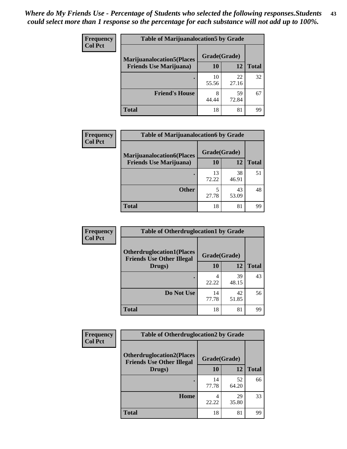| <b>Frequency</b> | <b>Table of Marijuanalocation5 by Grade</b> |              |             |              |
|------------------|---------------------------------------------|--------------|-------------|--------------|
| <b>Col Pct</b>   | <b>Marijuanalocation5</b> (Places           | Grade(Grade) |             |              |
|                  | <b>Friends Use Marijuana</b> )              | 10           | 12          | <b>Total</b> |
|                  |                                             | 10<br>55.56  | 22<br>27.16 | 32           |
|                  | <b>Friend's House</b>                       | 8<br>44.44   | 59<br>72.84 | 67           |
|                  | <b>Total</b>                                | 18           | 81          | 99           |

| <b>Frequency</b> | <b>Table of Marijuanalocation6 by Grade</b>                        |                    |             |              |
|------------------|--------------------------------------------------------------------|--------------------|-------------|--------------|
| <b>Col Pct</b>   | <b>Marijuanalocation6(Places</b><br><b>Friends Use Marijuana</b> ) | Grade(Grade)<br>10 | 12          | <b>Total</b> |
|                  |                                                                    | 13<br>72.22        | 38<br>46.91 | 51           |
|                  | <b>Other</b>                                                       | 27.78              | 43<br>53.09 | 48           |
|                  | <b>Total</b>                                                       | 18                 | 81          | 99           |

| <b>Frequency</b> | <b>Table of Otherdruglocation1 by Grade</b>                          |              |             |              |
|------------------|----------------------------------------------------------------------|--------------|-------------|--------------|
| <b>Col Pct</b>   | <b>Otherdruglocation1(Places</b><br><b>Friends Use Other Illegal</b> | Grade(Grade) |             |              |
|                  | Drugs)                                                               | 10           | 12          | <b>Total</b> |
|                  |                                                                      | 4<br>22.22   | 39<br>48.15 | 43           |
|                  | Do Not Use                                                           | 14<br>77.78  | 42<br>51.85 | 56           |
|                  | <b>Total</b>                                                         | 18           | 81          | 99           |

| Frequency      | <b>Table of Otherdruglocation2 by Grade</b>                          |              |             |              |
|----------------|----------------------------------------------------------------------|--------------|-------------|--------------|
| <b>Col Pct</b> | <b>Otherdruglocation2(Places</b><br><b>Friends Use Other Illegal</b> | Grade(Grade) |             |              |
|                | Drugs)                                                               | 10           | 12          | <b>Total</b> |
|                |                                                                      | 14<br>77.78  | 52<br>64.20 | 66           |
|                | Home                                                                 | 4<br>22.22   | 29<br>35.80 | 33           |
|                | Total                                                                | 18           | 81          | 99           |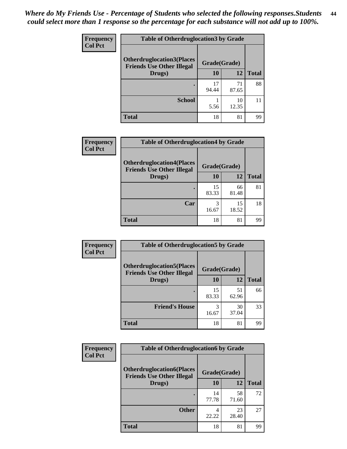| <b>Frequency</b> | <b>Table of Otherdruglocation 3 by Grade</b>                         |              |             |              |
|------------------|----------------------------------------------------------------------|--------------|-------------|--------------|
| <b>Col Pct</b>   | <b>Otherdruglocation3(Places</b><br><b>Friends Use Other Illegal</b> | Grade(Grade) |             |              |
|                  | Drugs)                                                               | 10           | 12          | <b>Total</b> |
|                  |                                                                      | 17<br>94.44  | 71<br>87.65 | 88           |
|                  | <b>School</b>                                                        | 5.56         | 10<br>12.35 |              |
|                  | <b>Total</b>                                                         | 18           | 81          | 99           |

| Frequency      | <b>Table of Otherdruglocation4 by Grade</b>                          |              |             |              |
|----------------|----------------------------------------------------------------------|--------------|-------------|--------------|
| <b>Col Pct</b> | <b>Otherdruglocation4(Places</b><br><b>Friends Use Other Illegal</b> | Grade(Grade) |             |              |
|                | Drugs)                                                               | 10           | 12          | <b>Total</b> |
|                |                                                                      | 15<br>83.33  | 66<br>81.48 | 81           |
|                | Car                                                                  | 16.67        | 15<br>18.52 | 18           |
|                | <b>Total</b>                                                         | 18           | 81          | 99           |

| Frequency      | <b>Table of Otherdruglocation5 by Grade</b>                          |              |             |              |
|----------------|----------------------------------------------------------------------|--------------|-------------|--------------|
| <b>Col Pct</b> | <b>Otherdruglocation5(Places</b><br><b>Friends Use Other Illegal</b> | Grade(Grade) |             |              |
|                | Drugs)                                                               | 10           | 12          | <b>Total</b> |
|                |                                                                      | 15<br>83.33  | 51<br>62.96 | 66           |
|                | <b>Friend's House</b>                                                | 3<br>16.67   | 30<br>37.04 | 33           |
|                | <b>Total</b>                                                         | 18           | 81          | 99           |

| <b>Frequency</b> | <b>Table of Otherdruglocation6 by Grade</b>                          |              |             |              |
|------------------|----------------------------------------------------------------------|--------------|-------------|--------------|
| <b>Col Pct</b>   | <b>Otherdruglocation6(Places</b><br><b>Friends Use Other Illegal</b> | Grade(Grade) |             |              |
|                  | Drugs)                                                               | <b>10</b>    | 12          | <b>Total</b> |
|                  |                                                                      | 14<br>77.78  | 58<br>71.60 | 72           |
|                  | <b>Other</b>                                                         | 22.22        | 23<br>28.40 | 27           |
|                  | <b>Total</b>                                                         | 18           | 81          | 99           |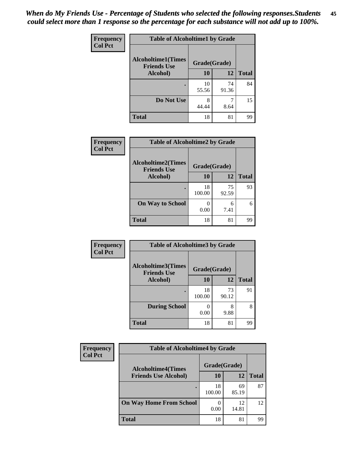| Frequency      | <b>Table of Alcoholtime1 by Grade</b>           |              |             |              |
|----------------|-------------------------------------------------|--------------|-------------|--------------|
| <b>Col Pct</b> | <b>Alcoholtime1(Times</b><br><b>Friends Use</b> | Grade(Grade) |             |              |
|                | Alcohol)                                        | 10           | 12          | <b>Total</b> |
|                |                                                 | 10<br>55.56  | 74<br>91.36 | 84           |
|                | Do Not Use                                      | 8<br>44.44   | 8.64        | 15           |
|                | <b>Total</b>                                    | 18           | 81          | 99           |

| Frequency      | <b>Table of Alcoholtime2 by Grade</b>           |              |             |              |
|----------------|-------------------------------------------------|--------------|-------------|--------------|
| <b>Col Pct</b> | <b>Alcoholtime2(Times</b><br><b>Friends Use</b> | Grade(Grade) |             |              |
|                | Alcohol)                                        | 10           | 12          | <b>Total</b> |
|                |                                                 | 18<br>100.00 | 75<br>92.59 | 93           |
|                | <b>On Way to School</b>                         | 0.00         | 6<br>7.41   | 6            |
|                | <b>Total</b>                                    | 18           | 81          | 99           |

| Frequency<br><b>Col Pct</b> | <b>Table of Alcoholtime3 by Grade</b>                           |              |             |              |
|-----------------------------|-----------------------------------------------------------------|--------------|-------------|--------------|
|                             | <b>Alcoholtime3(Times</b><br>Grade(Grade)<br><b>Friends Use</b> |              |             |              |
|                             | Alcohol)                                                        | 10           | 12          | <b>Total</b> |
|                             |                                                                 | 18<br>100.00 | 73<br>90.12 | 91           |
|                             | <b>During School</b>                                            | 0.00         | 8<br>9.88   | 8            |
|                             | <b>Total</b>                                                    | 18           | 81          | 99           |

| <b>Frequency</b><br><b>Col Pct</b> | <b>Table of Alcoholtime4 by Grade</b> |              |             |              |
|------------------------------------|---------------------------------------|--------------|-------------|--------------|
|                                    | <b>Alcoholtime4(Times</b>             | Grade(Grade) |             |              |
|                                    | <b>Friends Use Alcohol)</b>           | 10           | 12          | <b>Total</b> |
|                                    |                                       | 18<br>100.00 | 69<br>85.19 | 87           |
|                                    | <b>On Way Home From School</b>        | 0.00         | 12<br>14.81 | 12           |
|                                    | <b>Total</b>                          | 18           | 81          | 99           |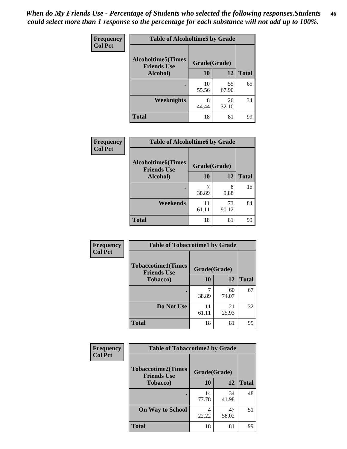*When do My Friends Use - Percentage of Students who selected the following responses.Students could select more than 1 response so the percentage for each substance will not add up to 100%.* **46**

| <b>Frequency</b> | <b>Table of Alcoholtime5 by Grade</b>           |              |             |              |
|------------------|-------------------------------------------------|--------------|-------------|--------------|
| <b>Col Pct</b>   | <b>Alcoholtime5(Times</b><br><b>Friends Use</b> | Grade(Grade) |             |              |
|                  | Alcohol)                                        | 10           | 12          | <b>Total</b> |
|                  |                                                 | 10<br>55.56  | 55<br>67.90 | 65           |
|                  | Weeknights                                      | 8<br>44.44   | 26<br>32.10 | 34           |
|                  | <b>Total</b>                                    | 18           | 81          | 99           |

| Frequency      |                                                 | <b>Table of Alcoholtime6 by Grade</b> |             |              |  |
|----------------|-------------------------------------------------|---------------------------------------|-------------|--------------|--|
| <b>Col Pct</b> | <b>Alcoholtime6(Times</b><br><b>Friends Use</b> | Grade(Grade)                          |             |              |  |
|                | Alcohol)                                        | 10                                    | 12          | <b>Total</b> |  |
|                |                                                 | 38.89                                 | 8<br>9.88   | 15           |  |
|                | Weekends                                        | 11<br>61.11                           | 73<br>90.12 | 84           |  |
|                | <b>Total</b>                                    | 18                                    | 81          | 99           |  |

| Frequency      | <b>Table of Tobaccotime1 by Grade</b>           |              |             |              |
|----------------|-------------------------------------------------|--------------|-------------|--------------|
| <b>Col Pct</b> | <b>Tobaccotime1(Times</b><br><b>Friends Use</b> | Grade(Grade) |             |              |
|                | <b>Tobacco</b> )                                | 10           | 12          | <b>Total</b> |
|                |                                                 | 38.89        | 60<br>74.07 | 67           |
|                | Do Not Use                                      | 11<br>61.11  | 21<br>25.93 | 32           |
|                | <b>Total</b>                                    | 18           | 81          | 99           |

| Frequency      | <b>Table of Tobaccotime2 by Grade</b>           |              |             |              |
|----------------|-------------------------------------------------|--------------|-------------|--------------|
| <b>Col Pct</b> | <b>Tobaccotime2(Times</b><br><b>Friends Use</b> | Grade(Grade) |             |              |
|                | <b>Tobacco</b> )                                | 10           | 12          | <b>Total</b> |
|                |                                                 | 14<br>77.78  | 34<br>41.98 | 48           |
|                | <b>On Way to School</b>                         | 22.22        | 47<br>58.02 | 51           |
|                | <b>Total</b>                                    | 18           | 81          | 99           |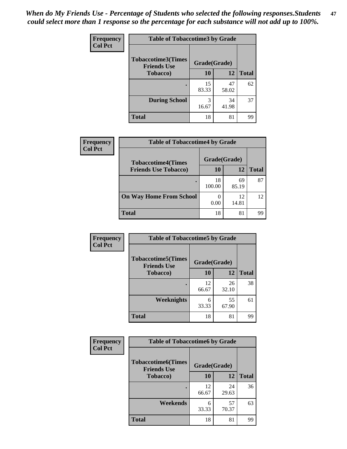*When do My Friends Use - Percentage of Students who selected the following responses.Students could select more than 1 response so the percentage for each substance will not add up to 100%.* **47**

| <b>Frequency</b> | <b>Table of Tobaccotime3 by Grade</b>           |             |              |              |  |
|------------------|-------------------------------------------------|-------------|--------------|--------------|--|
| <b>Col Pct</b>   | <b>Tobaccotime3(Times</b><br><b>Friends Use</b> |             | Grade(Grade) |              |  |
|                  | <b>Tobacco</b> )                                | 10          | <b>12</b>    | <b>Total</b> |  |
|                  |                                                 | 15<br>83.33 | 47<br>58.02  | 62           |  |
|                  | <b>During School</b>                            | 3<br>16.67  | 34<br>41.98  | 37           |  |
|                  | <b>Total</b>                                    | 18          | 81           | 99           |  |

| <b>Frequency</b> | <b>Table of Tobaccotime4 by Grade</b> |              |             |              |
|------------------|---------------------------------------|--------------|-------------|--------------|
| <b>Col Pct</b>   | <b>Tobaccotime4(Times</b>             | Grade(Grade) |             |              |
|                  | <b>Friends Use Tobacco)</b>           | 10           | 12          | <b>Total</b> |
|                  |                                       | 18<br>100.00 | 69<br>85.19 | 87           |
|                  | <b>On Way Home From School</b>        | 0.00         | 12<br>14.81 | 12           |
|                  | <b>Total</b>                          | 18           | 81          | 99           |

| Frequency      | <b>Table of Tobaccotime5 by Grade</b>           |              |             |              |
|----------------|-------------------------------------------------|--------------|-------------|--------------|
| <b>Col Pct</b> | <b>Tobaccotime5(Times</b><br><b>Friends Use</b> | Grade(Grade) |             |              |
|                | <b>Tobacco</b> )                                | 10           | 12          | <b>Total</b> |
|                |                                                 | 12<br>66.67  | 26<br>32.10 | 38           |
|                | Weeknights                                      | 6<br>33.33   | 55<br>67.90 | 61           |
|                | <b>Total</b>                                    | 18           | 81          | 99           |

| Frequency      | <b>Table of Tobaccotime6 by Grade</b>           |              |             |              |  |
|----------------|-------------------------------------------------|--------------|-------------|--------------|--|
| <b>Col Pct</b> | <b>Tobaccotime6(Times</b><br><b>Friends Use</b> | Grade(Grade) |             |              |  |
|                | <b>Tobacco</b> )                                | 10           | <b>12</b>   | <b>Total</b> |  |
|                | ٠                                               | 12<br>66.67  | 24<br>29.63 | 36           |  |
|                | Weekends                                        | 6<br>33.33   | 57<br>70.37 | 63           |  |
|                | <b>Total</b>                                    | 18           | 81          | 99           |  |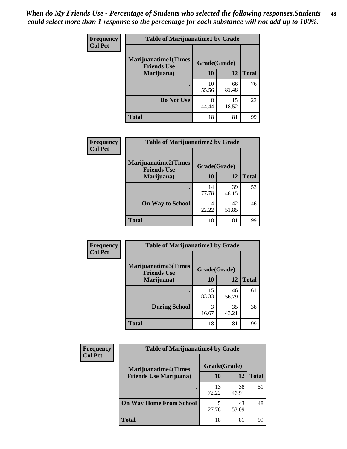| Frequency      | <b>Table of Marijuanatime1 by Grade</b>           |              |             |              |
|----------------|---------------------------------------------------|--------------|-------------|--------------|
| <b>Col Pct</b> | <b>Marijuanatime1(Times</b><br><b>Friends Use</b> | Grade(Grade) |             |              |
|                | Marijuana)                                        | 10           | 12          | <b>Total</b> |
|                |                                                   | 10<br>55.56  | 66<br>81.48 | 76           |
|                | Do Not Use                                        | 8<br>44.44   | 15<br>18.52 | 23           |
|                | <b>Total</b>                                      | 18           | 81          | 99           |

| Frequency      | <b>Table of Marijuanatime2 by Grade</b>           |              |             |              |
|----------------|---------------------------------------------------|--------------|-------------|--------------|
| <b>Col Pct</b> | <b>Marijuanatime2(Times</b><br><b>Friends Use</b> | Grade(Grade) |             |              |
|                | Marijuana)                                        | 10           | 12          | <b>Total</b> |
|                |                                                   | 14<br>77.78  | 39<br>48.15 | 53           |
|                | <b>On Way to School</b>                           | 4<br>22.22   | 42<br>51.85 | 46           |
|                | <b>Total</b>                                      | 18           | 81          | 99           |

| Frequency      | <b>Table of Marijuanatime3 by Grade</b>    |              |             |              |
|----------------|--------------------------------------------|--------------|-------------|--------------|
| <b>Col Pct</b> | Marijuanatime3(Times<br><b>Friends Use</b> | Grade(Grade) |             |              |
|                | Marijuana)                                 | 10           | 12          | <b>Total</b> |
|                |                                            | 15<br>83.33  | 46<br>56.79 | 61           |
|                | <b>During School</b>                       | 3<br>16.67   | 35<br>43.21 | 38           |
|                | <b>Total</b>                               | 18           | 81          | 99           |

| <b>Frequency</b><br><b>Col Pct</b> | <b>Table of Marijuanatime4 by Grade</b> |              |             |       |
|------------------------------------|-----------------------------------------|--------------|-------------|-------|
|                                    | <b>Marijuanatime4(Times</b>             | Grade(Grade) |             |       |
|                                    | <b>Friends Use Marijuana</b> )          | 10           | 12          | Total |
|                                    |                                         | 13<br>72.22  | 38<br>46.91 | 51    |
|                                    | <b>On Way Home From School</b>          | 27.78        | 43<br>53.09 | 48    |
|                                    | <b>Total</b>                            | 18           | 81          | 99    |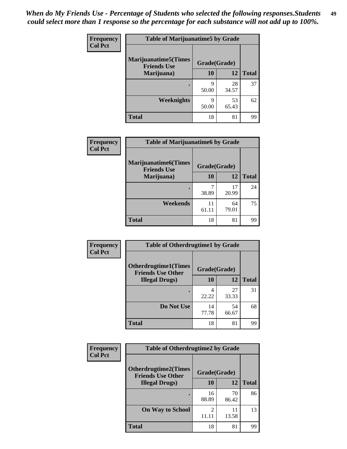| Frequency      | <b>Table of Marijuanatime5 by Grade</b>            |              |             |              |
|----------------|----------------------------------------------------|--------------|-------------|--------------|
| <b>Col Pct</b> | <b>Marijuanatime5</b> (Times<br><b>Friends Use</b> | Grade(Grade) |             |              |
|                | Marijuana)                                         | 10           | 12          | <b>Total</b> |
|                |                                                    | 9<br>50.00   | 28<br>34.57 | 37           |
|                | Weeknights                                         | Q<br>50.00   | 53<br>65.43 | 62           |
|                | <b>Total</b>                                       | 18           | 81          | 99           |

| Frequency      | <b>Table of Marijuanatime6 by Grade</b>           |              |             |              |
|----------------|---------------------------------------------------|--------------|-------------|--------------|
| <b>Col Pct</b> | <b>Marijuanatime6(Times</b><br><b>Friends Use</b> | Grade(Grade) |             |              |
|                | Marijuana)                                        | 10           | 12          | <b>Total</b> |
|                |                                                   | 7<br>38.89   | 17<br>20.99 | 24           |
|                | Weekends                                          | 11<br>61.11  | 64<br>79.01 | 75           |
|                | <b>Total</b>                                      | 18           | 81          | 99           |

| Frequency      | <b>Table of Otherdrugtime1 by Grade</b>                 |              |             |              |
|----------------|---------------------------------------------------------|--------------|-------------|--------------|
| <b>Col Pct</b> | <b>Otherdrugtime1(Times</b><br><b>Friends Use Other</b> | Grade(Grade) |             |              |
|                | <b>Illegal Drugs</b> )                                  | 10           | 12          | <b>Total</b> |
|                |                                                         | 4<br>22.22   | 27<br>33.33 | 31           |
|                | Do Not Use                                              | 14<br>77.78  | 54<br>66.67 | 68           |
|                | Total                                                   | 18           | 81          | 99           |

| Frequency      | <b>Table of Otherdrugtime2 by Grade</b>                 |                                   |             |              |  |  |
|----------------|---------------------------------------------------------|-----------------------------------|-------------|--------------|--|--|
| <b>Col Pct</b> | <b>Otherdrugtime2(Times</b><br><b>Friends Use Other</b> | Grade(Grade)                      |             |              |  |  |
|                | <b>Illegal Drugs</b> )                                  | 10                                | 12          | <b>Total</b> |  |  |
|                |                                                         | 16<br>88.89                       | 70<br>86.42 | 86           |  |  |
|                | <b>On Way to School</b>                                 | $\overline{\mathcal{L}}$<br>11.11 | 11<br>13.58 | 13           |  |  |
|                | <b>Total</b>                                            | 18                                | 81          | 99           |  |  |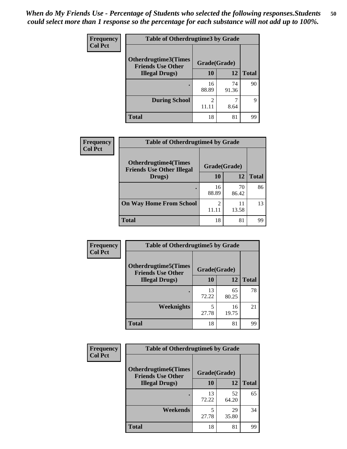| <b>Frequency</b> | <b>Table of Otherdrugtime3 by Grade</b>          |                         |             |              |  |  |
|------------------|--------------------------------------------------|-------------------------|-------------|--------------|--|--|
| <b>Col Pct</b>   | Otherdrugtime3(Times<br><b>Friends Use Other</b> | Grade(Grade)            |             |              |  |  |
|                  | <b>Illegal Drugs</b> )                           | 10                      | 12          | <b>Total</b> |  |  |
|                  |                                                  | 16<br>88.89             | 74<br>91.36 | 90           |  |  |
|                  | <b>During School</b>                             | $\mathfrak{D}$<br>11.11 | 8.64        | 9            |  |  |
|                  | <b>Total</b>                                     | 18                      | 81          | 99           |  |  |

| Frequency      | <b>Table of Otherdrugtime4 by Grade</b>                         |              |             |              |  |  |
|----------------|-----------------------------------------------------------------|--------------|-------------|--------------|--|--|
| <b>Col Pct</b> | <b>Otherdrugtime4(Times</b><br><b>Friends Use Other Illegal</b> | Grade(Grade) |             |              |  |  |
|                | Drugs)                                                          | 10           | 12          | <b>Total</b> |  |  |
|                | $\bullet$                                                       | 16<br>88.89  | 70<br>86.42 | 86           |  |  |
|                | <b>On Way Home From School</b>                                  | 2<br>11.11   | 11<br>13.58 | 13           |  |  |
|                | <b>Total</b>                                                    | 18           | 81          | 99           |  |  |

| <b>Frequency</b> | <b>Table of Otherdrugtime5 by Grade</b>                  |              |             |              |  |  |
|------------------|----------------------------------------------------------|--------------|-------------|--------------|--|--|
| <b>Col Pct</b>   | <b>Otherdrugtime5</b> (Times<br><b>Friends Use Other</b> | Grade(Grade) |             |              |  |  |
|                  | <b>Illegal Drugs</b> )                                   | 10           | 12          | <b>Total</b> |  |  |
|                  |                                                          | 13<br>72.22  | 65<br>80.25 | 78           |  |  |
|                  | <b>Weeknights</b>                                        | 5<br>27.78   | 16<br>19.75 | 21           |  |  |
|                  | <b>Total</b>                                             | 18           | 81          | 99           |  |  |

| <b>Frequency</b> | <b>Table of Otherdrugtime6 by Grade</b>                                 |             |             |              |  |  |
|------------------|-------------------------------------------------------------------------|-------------|-------------|--------------|--|--|
| <b>Col Pct</b>   | <b>Otherdrugtime6(Times</b><br>Grade(Grade)<br><b>Friends Use Other</b> |             |             |              |  |  |
|                  | <b>Illegal Drugs</b> )                                                  | 10          | 12          | <b>Total</b> |  |  |
|                  |                                                                         | 13<br>72.22 | 52<br>64.20 | 65           |  |  |
|                  | Weekends                                                                | 5<br>27.78  | 29<br>35.80 | 34           |  |  |
|                  | Total                                                                   | 18          | 81          | 99           |  |  |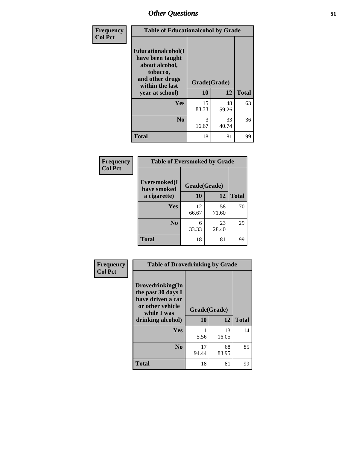| Frequency      | <b>Table of Educationalcohol by Grade</b>                                                                  |              |             |              |  |  |
|----------------|------------------------------------------------------------------------------------------------------------|--------------|-------------|--------------|--|--|
| <b>Col Pct</b> | Educationalcohol(I<br>have been taught<br>about alcohol,<br>tobacco,<br>and other drugs<br>within the last | Grade(Grade) |             |              |  |  |
|                | year at school)                                                                                            | 10           | 12          | <b>Total</b> |  |  |
|                | Yes                                                                                                        | 15<br>83.33  | 48<br>59.26 | 63           |  |  |
|                | N <sub>0</sub>                                                                                             | 3<br>16.67   | 33<br>40.74 | 36           |  |  |
|                | <b>Total</b>                                                                                               | 18           | 81          | 99           |  |  |

| Frequency      | <b>Table of Eversmoked by Grade</b> |             |             |              |  |  |
|----------------|-------------------------------------|-------------|-------------|--------------|--|--|
| <b>Col Pct</b> | Eversmoked(I<br>have smoked         |             |             |              |  |  |
|                | a cigarette)                        | 10          | 12          | <b>Total</b> |  |  |
|                | Yes                                 | 12<br>66.67 | 58<br>71.60 | 70           |  |  |
|                | N <sub>0</sub>                      | 6<br>33.33  | 23<br>28.40 | 29           |  |  |
|                | <b>Total</b>                        | 18          | 81          | 99           |  |  |

| Frequency<br><b>Col Pct</b> | <b>Table of Drovedrinking by Grade</b>                                                                              |                    |             |              |  |  |
|-----------------------------|---------------------------------------------------------------------------------------------------------------------|--------------------|-------------|--------------|--|--|
|                             | Drovedrinking(In<br>the past 30 days I<br>have driven a car<br>or other vehicle<br>while I was<br>drinking alcohol) | Grade(Grade)<br>10 | 12          | <b>Total</b> |  |  |
|                             | <b>Yes</b>                                                                                                          | 5.56               | 13<br>16.05 | 14           |  |  |
|                             | N <sub>0</sub>                                                                                                      | 17<br>94.44        | 68<br>83.95 | 85           |  |  |
|                             | <b>Total</b>                                                                                                        | 18                 | 81          | 99           |  |  |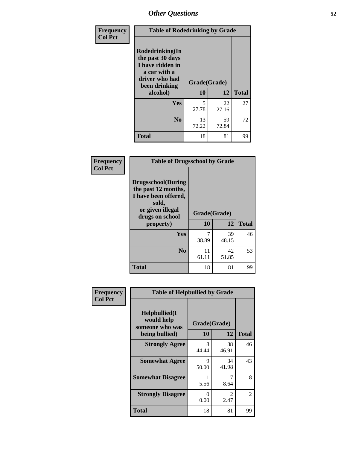| Frequency<br><b>Col Pct</b> | <b>Table of Rodedrinking by Grade</b>                                                                      |              |             |              |  |  |
|-----------------------------|------------------------------------------------------------------------------------------------------------|--------------|-------------|--------------|--|--|
|                             | Rodedrinking(In<br>the past 30 days<br>I have ridden in<br>a car with a<br>driver who had<br>been drinking | Grade(Grade) |             |              |  |  |
|                             | alcohol)                                                                                                   | 10           | 12          | <b>Total</b> |  |  |
|                             | <b>Yes</b>                                                                                                 | 5<br>27.78   | 22<br>27.16 | 27           |  |  |
|                             | N <sub>0</sub>                                                                                             | 13<br>72.22  | 59<br>72.84 | 72           |  |  |
|                             | <b>Total</b>                                                                                               | 18           | 81          | 99           |  |  |

#### **Frequency Col Pct**

| <b>Table of Drugsschool by Grade</b>                                                                                      |              |             |              |  |  |  |  |
|---------------------------------------------------------------------------------------------------------------------------|--------------|-------------|--------------|--|--|--|--|
| <b>Drugsschool</b> (During<br>the past 12 months,<br>I have been offered,<br>sold,<br>or given illegal<br>drugs on school | Grade(Grade) |             |              |  |  |  |  |
| property)                                                                                                                 | 10           | 12          | <b>Total</b> |  |  |  |  |
| Yes                                                                                                                       |              |             | 46           |  |  |  |  |
|                                                                                                                           | 38.89        | 39<br>48.15 |              |  |  |  |  |
| N <sub>0</sub>                                                                                                            | 11<br>61.11  | 42<br>51.85 | 53           |  |  |  |  |

| Frequency      | <b>Table of Helpbullied by Grade</b>                 |                  |                        |               |  |  |  |
|----------------|------------------------------------------------------|------------------|------------------------|---------------|--|--|--|
| <b>Col Pct</b> | $Helpb$ ullied $(I$<br>would help<br>someone who was | Grade(Grade)     |                        |               |  |  |  |
|                | being bullied)                                       | 10               | 12                     | <b>Total</b>  |  |  |  |
|                | <b>Strongly Agree</b>                                | 8<br>44.44       | 38<br>46.91            | 46            |  |  |  |
|                | <b>Somewhat Agree</b>                                | 9<br>50.00       | 34<br>41.98            | 43            |  |  |  |
|                | <b>Somewhat Disagree</b>                             | 5.56             | 7<br>8.64              | 8             |  |  |  |
|                | <b>Strongly Disagree</b>                             | $\Omega$<br>0.00 | $\mathfrak{D}$<br>2.47 | $\mathcal{L}$ |  |  |  |
|                | <b>Total</b>                                         | 18               | 81                     | 99            |  |  |  |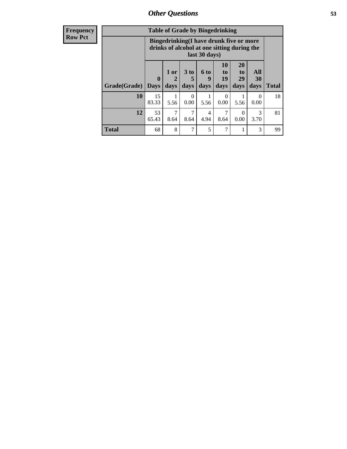| Frequency      | <b>Table of Grade by Bingedrinking</b> |                         |                |                   |                   |                                                                                                         |                               |                          |              |
|----------------|----------------------------------------|-------------------------|----------------|-------------------|-------------------|---------------------------------------------------------------------------------------------------------|-------------------------------|--------------------------|--------------|
| <b>Row Pct</b> |                                        |                         |                |                   |                   | Bingedrinking(I have drunk five or more<br>drinks of alcohol at one sitting during the<br>last 30 days) |                               |                          |              |
|                | Grade(Grade)                           | $\bf{0}$<br><b>Days</b> | $1$ or<br>days | 3 to<br>5<br>days | 6 to<br>9<br>days | <b>10</b><br>to<br>19<br>days                                                                           | <b>20</b><br>to<br>29<br>days | <b>All</b><br>30<br>days | <b>Total</b> |
|                | <b>10</b>                              | 15<br>83.33             | 5.56           | $\Omega$<br>0.00  | 5.56              | $\Omega$<br>0.00                                                                                        | 5.56                          | $\Omega$<br>0.00         | 18           |
|                | 12                                     | 53<br>65.43             | 7<br>8.64      | 7<br>8.64         | 4<br>4.94         | 8.64                                                                                                    | 0<br>0.00                     | 3<br>3.70                | 81           |
|                | <b>Total</b>                           | 68                      | 8              | $\mathcal{I}$     | 5                 | 7                                                                                                       |                               | 3                        | 99           |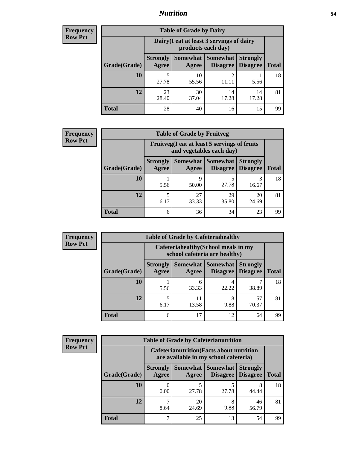### *Nutrition* **54**

| <b>Frequency</b> |
|------------------|
| <b>Row Pct</b>   |

| <b>Table of Grade by Dairy</b> |                                                                                                                            |                                                                 |                |             |    |  |  |  |  |
|--------------------------------|----------------------------------------------------------------------------------------------------------------------------|-----------------------------------------------------------------|----------------|-------------|----|--|--|--|--|
|                                |                                                                                                                            | Dairy (I eat at least 3 servings of dairy<br>products each day) |                |             |    |  |  |  |  |
| Grade(Grade)                   | Somewhat   Somewhat<br><b>Strongly</b><br><b>Strongly</b><br><b>Disagree</b><br>Disagree<br><b>Total</b><br>Agree<br>Agree |                                                                 |                |             |    |  |  |  |  |
| 10                             | 5<br>27.78                                                                                                                 | 10<br>55.56                                                     | $\mathfrak{D}$ | 5.56        | 18 |  |  |  |  |
| 12                             | 23<br>28.40                                                                                                                | 30<br>37.04                                                     | 14<br>17.28    | 14<br>17.28 | 81 |  |  |  |  |
| <b>Total</b>                   | 28                                                                                                                         | 40                                                              | 16             | 15          | 99 |  |  |  |  |

| <b>Frequency</b> |
|------------------|
| <b>Row Pct</b>   |

| y | <b>Table of Grade by Fruitveg</b> |                          |                                                                          |                                    |                                    |              |  |  |  |
|---|-----------------------------------|--------------------------|--------------------------------------------------------------------------|------------------------------------|------------------------------------|--------------|--|--|--|
|   |                                   |                          | Fruitveg(I eat at least 5 servings of fruits<br>and vegetables each day) |                                    |                                    |              |  |  |  |
|   | Grade(Grade)                      | <b>Strongly</b><br>Agree | Somewhat  <br>Agree                                                      | <b>Somewhat</b><br><b>Disagree</b> | <b>Strongly</b><br><b>Disagree</b> | <b>Total</b> |  |  |  |
|   | 10                                | 5.56                     | 9<br>50.00                                                               | 27.78                              | 3<br>16.67                         | 18           |  |  |  |
|   | 12                                | 5<br>6.17                | 27<br>33.33                                                              | 29<br>35.80                        | 20<br>24.69                        | 81           |  |  |  |
|   | <b>Total</b>                      | 6                        | 36                                                                       | 34                                 | 23                                 | 99           |  |  |  |

| <b>Frequency</b><br>Row Pct |
|-----------------------------|

| <b>Table of Grade by Cafeteriahealthy</b> |                                                                                                                      |                                                                       |            |       |    |  |  |  |  |
|-------------------------------------------|----------------------------------------------------------------------------------------------------------------------|-----------------------------------------------------------------------|------------|-------|----|--|--|--|--|
|                                           |                                                                                                                      | Cafeteriahealthy (School meals in my<br>school cafeteria are healthy) |            |       |    |  |  |  |  |
| Grade(Grade)                              | Somewhat   Somewhat  <br><b>Strongly</b><br><b>Strongly</b><br>Disagree   Disagree<br><b>Total</b><br>Agree<br>Agree |                                                                       |            |       |    |  |  |  |  |
| 10                                        | 5.56                                                                                                                 | 6<br>33.33                                                            | 4<br>22.22 | 38.89 | 18 |  |  |  |  |
| 12                                        | 57<br>5<br>11<br>8<br>9.88<br>70.37<br>6.17<br>13.58                                                                 |                                                                       |            |       |    |  |  |  |  |
| <b>Total</b>                              | 6                                                                                                                    | 17                                                                    | 12         | 64    | 99 |  |  |  |  |

| <b>Frequency</b> |
|------------------|
| <b>Row Pct</b>   |

 $\blacksquare$ 

| <b>Table of Grade by Cafeterianutrition</b> |              |                                                                                                                               |                                                                                           |           |             |    |  |  |  |
|---------------------------------------------|--------------|-------------------------------------------------------------------------------------------------------------------------------|-------------------------------------------------------------------------------------------|-----------|-------------|----|--|--|--|
|                                             |              |                                                                                                                               | <b>Cafeterianutrition</b> (Facts about nutrition<br>are available in my school cafeteria) |           |             |    |  |  |  |
|                                             | Grade(Grade) | Somewhat<br><b>Strongly</b><br>Somewhat  <br><b>Strongly</b><br><b>Disagree</b><br><b>Total</b><br>Agree<br>Disagree<br>Agree |                                                                                           |           |             |    |  |  |  |
|                                             | 10           | 0<br>0.00                                                                                                                     | 27.78                                                                                     | 27.78     | 8<br>44.44  | 18 |  |  |  |
|                                             | 12           | 8.64                                                                                                                          | 20<br>24.69                                                                               | 8<br>9.88 | 46<br>56.79 | 81 |  |  |  |
|                                             | <b>Total</b> | 7                                                                                                                             | 25                                                                                        | 13        | 54          | 99 |  |  |  |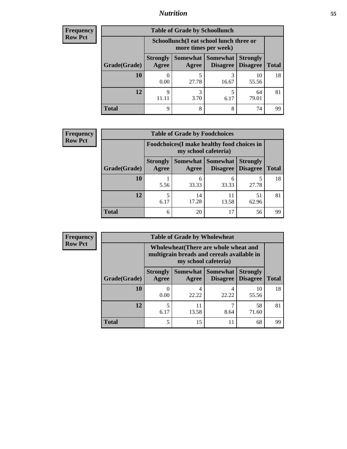## *Nutrition* **55**

| <b>Frequency</b> |
|------------------|
| Row Pct          |

| <b>Table of Grade by Schoollunch</b> |                          |                                                                                                  |            |             |    |  |  |  |  |
|--------------------------------------|--------------------------|--------------------------------------------------------------------------------------------------|------------|-------------|----|--|--|--|--|
|                                      |                          | Schoollunch(I eat school lunch three or<br>more times per week)                                  |            |             |    |  |  |  |  |
| Grade(Grade)                         | <b>Strongly</b><br>Agree | Somewhat   Somewhat  <br><b>Strongly</b><br><b>Disagree</b><br><b>Total</b><br>Disagree<br>Agree |            |             |    |  |  |  |  |
| 10                                   | 0.00                     | 27.78                                                                                            | 3<br>16.67 | 10<br>55.56 | 18 |  |  |  |  |
| 12                                   | q                        | 3<br>3.70                                                                                        | 5<br>6.17  | 64<br>79.01 | 81 |  |  |  |  |
| <b>Total</b>                         | q                        | 8                                                                                                | 8          | 74          | 99 |  |  |  |  |

| Frequency      | <b>Table of Grade by Foodchoices</b> |                                                                            |                     |                      |                                    |              |  |  |
|----------------|--------------------------------------|----------------------------------------------------------------------------|---------------------|----------------------|------------------------------------|--------------|--|--|
| <b>Row Pct</b> |                                      | <b>Foodchoices</b> (I make healthy food choices in<br>my school cafeteria) |                     |                      |                                    |              |  |  |
|                | Grade(Grade)                         | <b>Strongly</b><br>Agree                                                   | Somewhat  <br>Agree | Somewhat<br>Disagree | <b>Strongly</b><br><b>Disagree</b> | <b>Total</b> |  |  |
|                | 10                                   | 5.56                                                                       | 6<br>33.33          | 33.33                | 27.78                              | 18           |  |  |
|                | 12                                   | 6.17                                                                       | 14<br>17.28         | 13.58                | 51<br>62.96                        | 81           |  |  |
|                | <b>Total</b>                         | 6                                                                          | 20                  |                      | 56                                 | 99           |  |  |

| <b>Frequency</b> | <b>Table of Grade by Wholewheat</b> |                                                                                                             |             |                                        |                                    |              |  |  |
|------------------|-------------------------------------|-------------------------------------------------------------------------------------------------------------|-------------|----------------------------------------|------------------------------------|--------------|--|--|
| <b>Row Pct</b>   |                                     | Wholewheat (There are whole wheat and<br>multigrain breads and cereals available in<br>my school cafeteria) |             |                                        |                                    |              |  |  |
|                  | Grade(Grade)                        | <b>Strongly</b><br>Agree                                                                                    | Agree       | Somewhat   Somewhat<br><b>Disagree</b> | <b>Strongly</b><br><b>Disagree</b> | <b>Total</b> |  |  |
|                  | 10                                  | 0.00                                                                                                        | 4<br>22.22  | 22.22                                  | 10<br>55.56                        | 18           |  |  |
|                  | 12                                  | 5<br>6.17                                                                                                   | 11<br>13.58 | 8.64                                   | 58<br>71.60                        | 81           |  |  |
|                  | <b>Total</b>                        | 5                                                                                                           | 15          | 11                                     | 68                                 | 99           |  |  |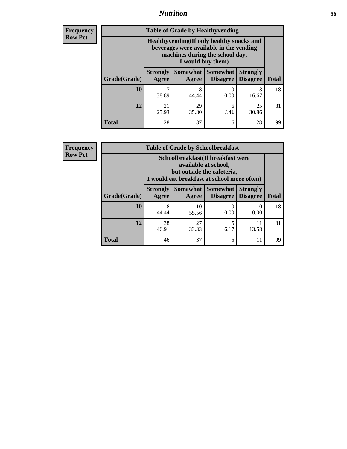### *Nutrition* **56**

**Frequency Row Pct**

| <b>Table of Grade by Healthyvending</b> |                                                                                                                                               |                          |                                    |                                    |              |
|-----------------------------------------|-----------------------------------------------------------------------------------------------------------------------------------------------|--------------------------|------------------------------------|------------------------------------|--------------|
|                                         | Healthyvending (If only healthy snacks and<br>beverages were available in the vending<br>machines during the school day,<br>I would buy them) |                          |                                    |                                    |              |
| Grade(Grade)                            | <b>Strongly</b><br>Agree                                                                                                                      | <b>Somewhat</b><br>Agree | <b>Somewhat</b><br><b>Disagree</b> | <b>Strongly</b><br><b>Disagree</b> | <b>Total</b> |
| 10                                      | 7<br>38.89                                                                                                                                    | 8<br>44.44               | 0<br>0.00                          | 3<br>16.67                         | 18           |
| 12                                      | 21<br>25.93                                                                                                                                   | 29<br>35.80              | 6<br>7.41                          | 25<br>30.86                        | 81           |
| Total                                   | 28                                                                                                                                            | 37                       | 6                                  | 28                                 | 99           |

**Frequency Row Pct**

| <b>Table of Grade by Schoolbreakfast</b> |                                                                                                                                         |             |                               |                                    |              |  |  |
|------------------------------------------|-----------------------------------------------------------------------------------------------------------------------------------------|-------------|-------------------------------|------------------------------------|--------------|--|--|
|                                          | Schoolbreakfast (If breakfast were<br>available at school,<br>but outside the cafeteria,<br>I would eat breakfast at school more often) |             |                               |                                    |              |  |  |
| Grade(Grade)                             | <b>Strongly</b><br><b>Agree</b>                                                                                                         | Agree       | Somewhat Somewhat<br>Disagree | <b>Strongly</b><br><b>Disagree</b> | <b>Total</b> |  |  |
| 10                                       | 8<br>44.44                                                                                                                              | 10<br>55.56 | 0.00                          | $\mathbf{0}$<br>0.00               | 18           |  |  |
| 12                                       | 38<br>46.91                                                                                                                             | 27<br>33.33 | 5<br>6.17                     | 11<br>13.58                        | 81           |  |  |
| <b>Total</b>                             | 46                                                                                                                                      | 37          | 5                             | 11                                 | 99           |  |  |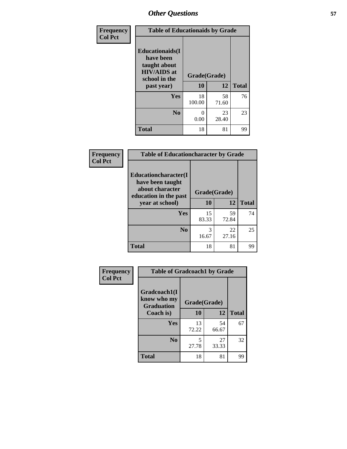| Frequency<br><b>Col Pct</b> |                                                                                                           | <b>Table of Educationaids by Grade</b> |             |              |  |
|-----------------------------|-----------------------------------------------------------------------------------------------------------|----------------------------------------|-------------|--------------|--|
|                             | <b>Educationaids</b> (I<br>have been<br>taught about<br><b>HIV/AIDS</b> at<br>school in the<br>past year) | Grade(Grade)<br>10                     | 12          | <b>Total</b> |  |
|                             | <b>Yes</b>                                                                                                | 18<br>100.00                           | 58<br>71.60 | 76           |  |
|                             | N <sub>0</sub>                                                                                            | 0<br>0.00                              | 23<br>28.40 | 23           |  |
|                             | <b>Total</b>                                                                                              | 18                                     | 81          | 99           |  |

| Frequency<br><b>Col Pct</b> | <b>Table of Educationcharacter by Grade</b>                 |              |             |              |  |
|-----------------------------|-------------------------------------------------------------|--------------|-------------|--------------|--|
|                             | Educationcharacter(I<br>have been taught<br>about character |              |             |              |  |
|                             | education in the past                                       | Grade(Grade) |             |              |  |
|                             | year at school)                                             | 10           | 12          | <b>Total</b> |  |
|                             | Yes                                                         | 15<br>83.33  | 59<br>72.84 | 74           |  |
|                             | N <sub>0</sub>                                              | 3<br>16.67   | 22<br>27.16 | 25           |  |
|                             | <b>Total</b>                                                | 18           | 81          | 99           |  |

| Frequency      | <b>Table of Gradcoach1 by Grade</b>              |              |             |              |
|----------------|--------------------------------------------------|--------------|-------------|--------------|
| <b>Col Pct</b> | Gradcoach1(I<br>know who my<br><b>Graduation</b> | Grade(Grade) |             |              |
|                | Coach is)                                        | 10           | 12          | <b>Total</b> |
|                | Yes                                              | 13<br>72.22  | 54<br>66.67 | 67           |
|                | N <sub>0</sub>                                   | 5<br>27.78   | 27<br>33.33 | 32           |
|                | <b>Total</b>                                     | 18           | 81          | 99           |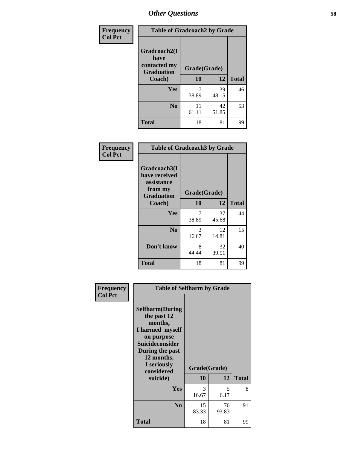| Frequency      | <b>Table of Gradcoach2 by Grade</b> |              |             |              |
|----------------|-------------------------------------|--------------|-------------|--------------|
| <b>Col Pct</b> |                                     |              |             |              |
|                | Gradcoach2(I<br>have                |              |             |              |
|                | contacted my<br><b>Graduation</b>   | Grade(Grade) |             |              |
|                | Coach)                              | 10           | 12          | <b>Total</b> |
|                | Yes                                 | 7<br>38.89   | 39<br>48.15 | 46           |
|                | N <sub>0</sub>                      | 11<br>61.11  | 42<br>51.85 | 53           |
|                | <b>Total</b>                        | 18           | 81          | 99           |

| <b>Frequency</b><br><b>Col Pct</b> | <b>Table of Gradcoach3 by Grade</b>                                         |              |             |              |
|------------------------------------|-----------------------------------------------------------------------------|--------------|-------------|--------------|
|                                    | Gradcoach3(I<br>have received<br>assistance<br>from my<br><b>Graduation</b> | Grade(Grade) |             |              |
|                                    | Coach)                                                                      | 10           | 12          | <b>Total</b> |
|                                    | Yes                                                                         | 7<br>38.89   | 37<br>45.68 | 44           |
|                                    | N <sub>0</sub>                                                              | 3<br>16.67   | 12<br>14.81 | 15           |
|                                    | Don't know                                                                  | 8<br>44.44   | 32<br>39.51 | 40           |
|                                    | <b>Total</b>                                                                | 18           | 81          | 99           |

| Frequency<br><b>Col Pct</b> | <b>Table of Selfharm by Grade</b>                                                                                                                                                      |                    |             |              |
|-----------------------------|----------------------------------------------------------------------------------------------------------------------------------------------------------------------------------------|--------------------|-------------|--------------|
|                             | <b>Selfharm</b> (During<br>the past 12<br>months,<br>I harmed myself<br>on purpose<br><b>Suicideconsider</b><br>During the past<br>12 months,<br>I seriously<br>considered<br>suicide) | Grade(Grade)<br>10 | 12          | <b>Total</b> |
|                             |                                                                                                                                                                                        |                    |             |              |
|                             | Yes                                                                                                                                                                                    | 3<br>16.67         | 5<br>6.17   | 8            |
|                             | N <sub>0</sub>                                                                                                                                                                         | 15<br>83.33        | 76<br>93.83 | 91           |
|                             | <b>Total</b>                                                                                                                                                                           | 18                 | 81          | 99           |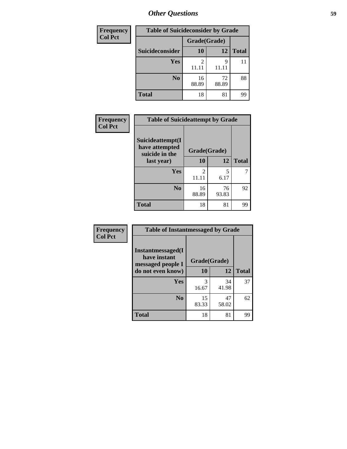| <b>Frequency</b> | <b>Table of Suicideconsider by Grade</b> |              |             |              |
|------------------|------------------------------------------|--------------|-------------|--------------|
| <b>Col Pct</b>   |                                          | Grade(Grade) |             |              |
|                  | Suicideconsider                          | 10           | 12          | <b>Total</b> |
|                  | Yes                                      | 11.11        | q<br>11.11  | 11           |
|                  | N <sub>0</sub>                           | 16<br>88.89  | 72<br>88.89 | 88           |
|                  | <b>Total</b>                             | 18           | 81          | 99           |

| Frequency      | <b>Table of Suicideattempt by Grade</b>              |              |             |              |
|----------------|------------------------------------------------------|--------------|-------------|--------------|
| <b>Col Pct</b> | Suicideattempt(I<br>have attempted<br>suicide in the | Grade(Grade) |             |              |
|                | last year)                                           | 10           | 12          | <b>Total</b> |
|                | Yes                                                  | 2<br>11.11   | 5<br>6.17   |              |
|                | N <sub>0</sub>                                       | 16<br>88.89  | 76<br>93.83 | 92           |
|                | <b>Total</b>                                         | 18           | 81          | 99           |

| Frequency      | <b>Table of Instantmessaged by Grade</b>               |              |             |              |
|----------------|--------------------------------------------------------|--------------|-------------|--------------|
| <b>Col Pct</b> | Instantmessaged(I<br>have instant<br>messaged people I | Grade(Grade) |             |              |
|                | do not even know)                                      | 10           | 12          | <b>Total</b> |
|                | Yes                                                    | 3<br>16.67   | 34<br>41.98 | 37           |
|                | N <sub>0</sub>                                         | 15<br>83.33  | 47<br>58.02 | 62           |
|                | <b>Total</b>                                           | 18           | 81          | 99           |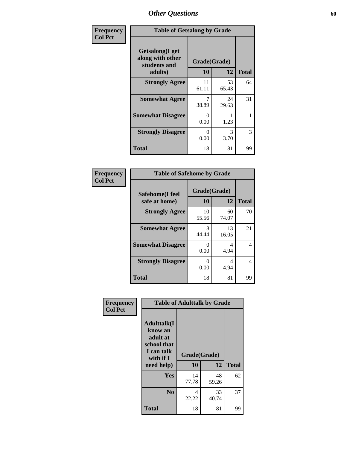| Frequency      | <b>Table of Getsalong by Grade</b>                  |              |             |              |
|----------------|-----------------------------------------------------|--------------|-------------|--------------|
| <b>Col Pct</b> | Getsalong(I get<br>along with other<br>students and | Grade(Grade) |             |              |
|                | adults)                                             | 10           | 12          | <b>Total</b> |
|                | <b>Strongly Agree</b>                               | 11<br>61.11  | 53<br>65.43 | 64           |
|                | <b>Somewhat Agree</b>                               | 38.89        | 24<br>29.63 | 31           |
|                | <b>Somewhat Disagree</b>                            | 0<br>0.00    | 1.23        | 1            |
|                | <b>Strongly Disagree</b>                            | 0<br>0.00    | 3<br>3.70   | 3            |
|                | <b>Total</b>                                        | 18           | 81          | 99           |

| Frequency      | <b>Table of Safehome by Grade</b> |                           |             |              |  |  |
|----------------|-----------------------------------|---------------------------|-------------|--------------|--|--|
| <b>Col Pct</b> | Safehome(I feel<br>safe at home)  | Grade(Grade)<br><b>10</b> | 12          | <b>Total</b> |  |  |
|                | <b>Strongly Agree</b>             | 10<br>55.56               | 60<br>74.07 | 70           |  |  |
|                | <b>Somewhat Agree</b>             | 8<br>44.44                | 13<br>16.05 | 21           |  |  |
|                | <b>Somewhat Disagree</b>          | $\mathcal{O}$<br>0.00     | 4<br>4.94   | 4            |  |  |
|                | <b>Strongly Disagree</b>          | 0<br>0.00                 | 4<br>4.94   | 4            |  |  |
|                | <b>Total</b>                      | 18                        | 81          | 99           |  |  |

| Frequency      |                                                                                     | <b>Table of Adulttalk by Grade</b> |             |              |
|----------------|-------------------------------------------------------------------------------------|------------------------------------|-------------|--------------|
| <b>Col Pct</b> | <b>Adulttalk(I</b><br>know an<br>adult at<br>school that<br>I can talk<br>with if I | Grade(Grade)                       |             |              |
|                | need help)                                                                          | 10                                 | 12          | <b>Total</b> |
|                | <b>Yes</b>                                                                          | 14<br>77.78                        | 48<br>59.26 | 62           |
|                | N <sub>0</sub>                                                                      | 4<br>22.22                         | 33<br>40.74 | 37           |
|                | <b>Total</b>                                                                        | 18                                 | 81          | 99           |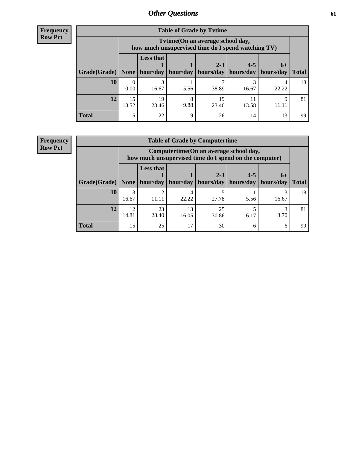**Frequency Row Pct**

| <b>Table of Grade by Tytime</b>                       |                  |                                                                                        |           |             |                       |           |              |  |  |  |
|-------------------------------------------------------|------------------|----------------------------------------------------------------------------------------|-----------|-------------|-----------------------|-----------|--------------|--|--|--|
|                                                       |                  | Tvtime(On an average school day,<br>how much unsupervised time do I spend watching TV) |           |             |                       |           |              |  |  |  |
|                                                       |                  | <b>Less that</b><br>$2 - 3$<br>$4 - 5$<br>$6+$                                         |           |             |                       |           |              |  |  |  |
| Grade(Grade)   None   hour/day   hour/day   hours/day |                  |                                                                                        |           |             | hours/day   hours/day |           | <b>Total</b> |  |  |  |
| 10                                                    | $\left($<br>0.00 | 16.67                                                                                  | 5.56      | 38.89       | 16.67                 | 22.22     | 18           |  |  |  |
| 12                                                    | 15<br>18.52      | 19<br>23.46                                                                            | 8<br>9.88 | 19<br>23.46 | 13.58                 | Q<br>11.1 | 81           |  |  |  |
| <b>Total</b>                                          | 15               | 22                                                                                     | Q         | 26          | 14                    | 13        | 99           |  |  |  |

**Frequency Row Pct**

| <b>Table of Grade by Computertime</b> |             |                                                                                                                               |             |             |      |       |    |  |  |
|---------------------------------------|-------------|-------------------------------------------------------------------------------------------------------------------------------|-------------|-------------|------|-------|----|--|--|
|                                       |             | Computertime (On an average school day,<br>how much unsupervised time do I spend on the computer)                             |             |             |      |       |    |  |  |
| Grade(Grade)                          | None        | <b>Less that</b><br>$2 - 3$<br>$4 - 5$<br>$6+$<br>hour/day<br>hours/day<br>hour/day<br>hours/day<br>hours/day<br><b>Total</b> |             |             |      |       |    |  |  |
| 10                                    | 3<br>16.67  | ∍<br>11.11                                                                                                                    | 22.22       | 27.78       | 5.56 | 16.67 | 18 |  |  |
| 12                                    | 12<br>14.81 | 23<br>28.40                                                                                                                   | 13<br>16.05 | 25<br>30.86 | 6.17 | 3.70  | 81 |  |  |
| <b>Total</b>                          | 15          | 25                                                                                                                            | 17          | 30          | 6    | 6     | 99 |  |  |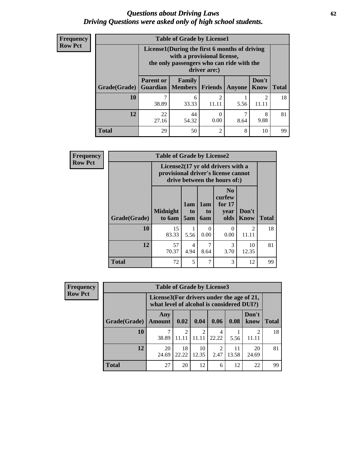#### *Questions about Driving Laws* **62** *Driving Questions were asked only of high school students.*

| <b>Frequency</b> |
|------------------|
| <b>Row Pct</b>   |

| <b>Table of Grade by License1</b> |                                                                                                                                           |                                                                                                         |                         |      |            |    |  |  |  |
|-----------------------------------|-------------------------------------------------------------------------------------------------------------------------------------------|---------------------------------------------------------------------------------------------------------|-------------------------|------|------------|----|--|--|--|
|                                   | License1(During the first 6 months of driving<br>with a provisional license,<br>the only passengers who can ride with the<br>driver are:) |                                                                                                         |                         |      |            |    |  |  |  |
| Grade(Grade)                      | <b>Parent or</b>                                                                                                                          | Don't<br><b>Family</b><br><b>Guardian   Members</b><br><b>Friends</b><br><b>Total</b><br>Know<br>Anyone |                         |      |            |    |  |  |  |
| 10                                | 38.89                                                                                                                                     | 6<br>33.33                                                                                              | $\overline{2}$<br>11.11 | 5.56 | 2<br>11.11 | 18 |  |  |  |
| 12                                | 22<br>44<br>7<br>8<br>$\theta$<br>9.88<br>27.16<br>0.00<br>54.32<br>8.64                                                                  |                                                                                                         |                         |      |            |    |  |  |  |
| Total                             | 29                                                                                                                                        | 50                                                                                                      | $\overline{c}$          | 8    | 10         | qq |  |  |  |

| <b>Frequency</b> |                     | <b>Table of Grade by License2</b>                                                                        |                  |                                     |                                                      |                         |              |
|------------------|---------------------|----------------------------------------------------------------------------------------------------------|------------------|-------------------------------------|------------------------------------------------------|-------------------------|--------------|
| <b>Row Pct</b>   |                     | License2(17 yr old drivers with a<br>provisional driver's license cannot<br>drive between the hours of:) |                  |                                     |                                                      |                         |              |
|                  | <b>Grade(Grade)</b> | <b>Midnight</b><br>to 6am                                                                                | 1am<br>to<br>5am | 1am<br>t <sub>0</sub><br><b>6am</b> | N <sub>0</sub><br>curfew<br>for $17$<br>year<br>olds | Don't<br><b>Know</b>    | <b>Total</b> |
|                  | 10                  | 15<br>83.33                                                                                              | 5.56             | 0<br>0.00                           | $\Omega$<br>0.00                                     | $\mathfrak{D}$<br>11.11 | 18           |
|                  | 12                  | 57<br>70.37                                                                                              | 4<br>4.94        | 7<br>8.64                           | 3<br>3.70                                            | 10<br>12.35             | 81           |
|                  | <b>Total</b>        | 72                                                                                                       | 5                | $\overline{7}$                      | 3                                                    | 12                      | 99           |

| <b>Frequency</b> | <b>Table of Grade by License3</b> |                      |                                                                                        |             |            |       |                         |              |  |
|------------------|-----------------------------------|----------------------|----------------------------------------------------------------------------------------|-------------|------------|-------|-------------------------|--------------|--|
| <b>Row Pct</b>   |                                   |                      | License3(For drivers under the age of 21,<br>what level of alcohol is considered DUI?) |             |            |       |                         |              |  |
|                  | <b>Grade(Grade)</b>               | Any<br><b>Amount</b> | 0.02                                                                                   | 0.04        | 0.06       | 0.08  | Don't<br>know           | <b>Total</b> |  |
|                  | 10                                | 38.89                | $\mathfrak{D}$<br>11.11                                                                | 11.11       | 4<br>22.22 | 5.56  | $\overline{2}$<br>11.11 | 18           |  |
|                  | 12                                | 20<br>24.69          | 18<br>22.22                                                                            | 10<br>12.35 | 2.47       | 13.58 | 20<br>24.69             | 81           |  |
|                  | Total                             | 27                   | 20                                                                                     | 12          | 6          | 12    | 22                      | 99           |  |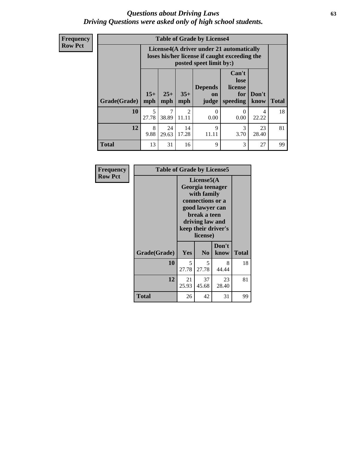#### *Questions about Driving Laws* **63** *Driving Questions were asked only of high school students.*

**Frequency Row Pct**

| <b>Table of Grade by License4</b> |            |                                                                                                                                        |                         |                  |           |             |    |  |
|-----------------------------------|------------|----------------------------------------------------------------------------------------------------------------------------------------|-------------------------|------------------|-----------|-------------|----|--|
|                                   |            | License4(A driver under 21 automatically<br>loses his/her license if caught exceeding the<br>posted speet limit by:)                   |                         |                  |           |             |    |  |
| Grade(Grade)                      | mph        | Can't<br>lose<br><b>Depends</b><br>license<br>$15+$<br>$35+$<br>$25+$<br>Don't<br>for<br>on<br>mph<br>speeding<br>mph<br>judge<br>know |                         |                  |           |             |    |  |
| 10                                | 5<br>27.78 | 38.89                                                                                                                                  | $\mathfrak{D}$<br>11.11 | $\Omega$<br>0.00 | 0<br>0.00 | 4<br>22.22  | 18 |  |
| 12                                | 8<br>9.88  | 24<br>29.63                                                                                                                            | 14<br>17.28             | 9<br>11.11       | 3<br>3.70 | 23<br>28.40 | 81 |  |
| <b>Total</b>                      | 13         | 31                                                                                                                                     | 16                      | 9                | 3         | 27          | 99 |  |

| Frequency      | <b>Table of Grade by License5</b> |                                                                                                                                                             |                |               |              |
|----------------|-----------------------------------|-------------------------------------------------------------------------------------------------------------------------------------------------------------|----------------|---------------|--------------|
| <b>Row Pct</b> |                                   | License5(A)<br>Georgia teenager<br>with family<br>connections or a<br>good lawyer can<br>break a teen<br>driving law and<br>keep their driver's<br>license) |                |               |              |
|                | Grade(Grade)                      | Yes                                                                                                                                                         | N <sub>0</sub> | Don't<br>know | <b>Total</b> |
|                | 10                                | 5<br>27.78                                                                                                                                                  | 5<br>27.78     | 8<br>44.44    | 18           |
|                | 12                                | 21<br>25.93                                                                                                                                                 | 37<br>45.68    | 23<br>28.40   | 81           |
|                | Total                             | 26                                                                                                                                                          | 42             | 31            | 99           |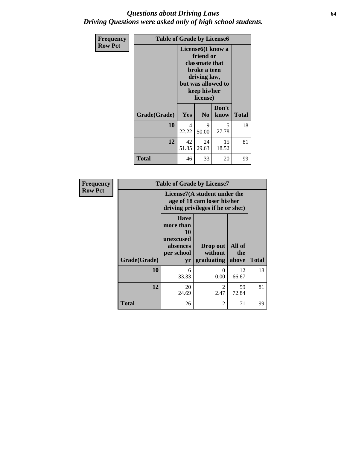### *Questions about Driving Laws* **64** *Driving Questions were asked only of high school students.*

| Frequency      | <b>Table of Grade by License6</b> |                   |                                                                                                               |                                   |              |  |
|----------------|-----------------------------------|-------------------|---------------------------------------------------------------------------------------------------------------|-----------------------------------|--------------|--|
| <b>Row Pct</b> |                                   | License6(I know a | friend or<br>classmate that<br>broke a teen<br>driving law,<br>but was allowed to<br>keep his/her<br>license) |                                   |              |  |
|                | Grade(Grade)                      | Yes               | N <sub>0</sub>                                                                                                | Don't<br>know                     | <b>Total</b> |  |
|                | 10                                | 4<br>22.22        | 9<br>50.00                                                                                                    | $\overline{\phantom{0}}$<br>27.78 | 18           |  |
|                | 12                                | 42<br>51.85       | 24<br>29.63                                                                                                   | 15<br>18.52                       | 81           |  |
|                | Total                             | 46                | 33                                                                                                            | 20                                | 99           |  |

| Frequency      |              |                                                                       | <b>Table of Grade by License7</b>                                                                |             |              |  |  |  |
|----------------|--------------|-----------------------------------------------------------------------|--------------------------------------------------------------------------------------------------|-------------|--------------|--|--|--|
| <b>Row Pct</b> |              |                                                                       | License7(A student under the<br>age of 18 cam loser his/her<br>driving privileges if he or she:) |             |              |  |  |  |
|                |              | <b>Have</b><br>more than<br>10<br>unexcused<br>absences<br>per school | Drop out<br>All of<br>without<br>the                                                             |             |              |  |  |  |
|                | Grade(Grade) | yr                                                                    | graduating                                                                                       | above       | <b>Total</b> |  |  |  |
|                | 10           | 6<br>33.33                                                            | $\theta$<br>0.00                                                                                 | 12<br>66.67 | 18           |  |  |  |
|                | 12           | 20<br>24.69                                                           | $\mathcal{D}_{\mathcal{L}}$<br>2.47                                                              | 59<br>72.84 | 81           |  |  |  |
|                | Total        | 26                                                                    | 2                                                                                                | 71          | 99           |  |  |  |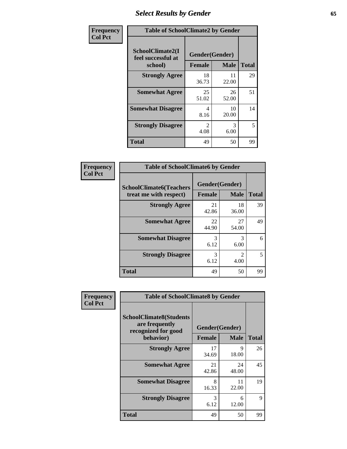# *Select Results by Gender* **65**

| Frequency      | <b>Table of SchoolClimate2 by Gender</b>          |                                 |             |              |  |
|----------------|---------------------------------------------------|---------------------------------|-------------|--------------|--|
| <b>Col Pct</b> | SchoolClimate2(I<br>feel successful at<br>school) | Gender(Gender)<br><b>Female</b> | <b>Male</b> | <b>Total</b> |  |
|                | <b>Strongly Agree</b>                             | 18<br>36.73                     | 11<br>22.00 | 29           |  |
|                | <b>Somewhat Agree</b>                             | 25<br>51.02                     | 26<br>52.00 | 51           |  |
|                | <b>Somewhat Disagree</b>                          | 4<br>8.16                       | 10<br>20.00 | 14           |  |
|                | <b>Strongly Disagree</b>                          | $\mathfrak{D}$<br>4.08          | 3<br>6.00   | 5            |  |
|                | <b>Total</b>                                      | 49                              | 50          | 99           |  |

| <b>Frequency</b> | <b>Table of SchoolClimate6 by Gender</b> |             |                       |              |  |  |
|------------------|------------------------------------------|-------------|-----------------------|--------------|--|--|
| <b>Col Pct</b>   | <b>SchoolClimate6(Teachers</b>           |             | Gender(Gender)        |              |  |  |
|                  | treat me with respect)                   | Female      | <b>Male</b>           | <b>Total</b> |  |  |
|                  | <b>Strongly Agree</b>                    | 21<br>42.86 | 18<br>36.00           | 39           |  |  |
|                  | <b>Somewhat Agree</b>                    | 22<br>44.90 | 27<br>54.00           | 49           |  |  |
|                  | <b>Somewhat Disagree</b>                 | 3<br>6.12   | 3<br>6.00             | 6            |  |  |
|                  | <b>Strongly Disagree</b>                 | 3<br>6.12   | $\mathcal{D}$<br>4.00 | 5            |  |  |
|                  | <b>Total</b>                             | 49          | 50                    | 99           |  |  |

| <b>Frequency</b> | <b>Table of SchoolClimate8 by Gender</b>                                             |               |                               |              |  |
|------------------|--------------------------------------------------------------------------------------|---------------|-------------------------------|--------------|--|
| <b>Col Pct</b>   | <b>SchoolClimate8(Students</b><br>are frequently<br>recognized for good<br>behavior) | <b>Female</b> | Gender(Gender)<br><b>Male</b> | <b>Total</b> |  |
|                  |                                                                                      |               |                               |              |  |
|                  | <b>Strongly Agree</b>                                                                | 17<br>34.69   | 9<br>18.00                    | 26           |  |
|                  | <b>Somewhat Agree</b>                                                                | 21<br>42.86   | 24<br>48.00                   | 45           |  |
|                  | <b>Somewhat Disagree</b>                                                             | 8<br>16.33    | 11<br>22.00                   | 19           |  |
|                  | <b>Strongly Disagree</b>                                                             | 3<br>6.12     | 6<br>12.00                    | 9            |  |
|                  | Total                                                                                | 49            | 50                            | 99           |  |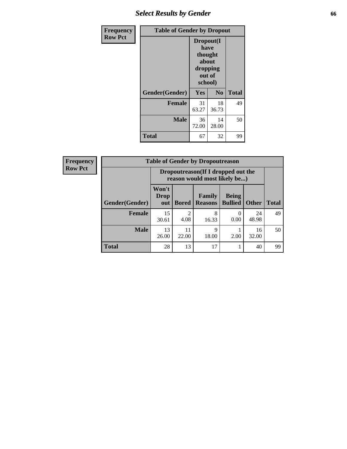## *Select Results by Gender* **66**

| <b>Frequency</b> | <b>Table of Gender by Dropout</b> |                                                                        |             |              |
|------------------|-----------------------------------|------------------------------------------------------------------------|-------------|--------------|
| <b>Row Pct</b>   |                                   | Dropout(I<br>have<br>thought<br>about<br>dropping<br>out of<br>school) |             |              |
|                  | Gender(Gender)                    | Yes                                                                    | No          | <b>Total</b> |
|                  | <b>Female</b>                     | 31<br>63.27                                                            | 18<br>36.73 | 49           |
|                  | <b>Male</b>                       | 36<br>72.00                                                            | 14<br>28.00 | 50           |
|                  | <b>Total</b>                      | 67                                                                     | 32          | 99           |

| <b>Frequency</b> |                       | <b>Table of Gender by Dropoutreason</b>                            |                        |                          |                                |              |              |
|------------------|-----------------------|--------------------------------------------------------------------|------------------------|--------------------------|--------------------------------|--------------|--------------|
| <b>Row Pct</b>   |                       | Dropoutreason(If I dropped out the<br>reason would most likely be) |                        |                          |                                |              |              |
|                  | <b>Gender(Gender)</b> | Won't<br><b>Drop</b><br>out                                        | <b>Bored</b>           | Family<br><b>Reasons</b> | <b>Being</b><br><b>Bullied</b> | <b>Other</b> | <b>Total</b> |
|                  | <b>Female</b>         | 15<br>30.61                                                        | $\overline{2}$<br>4.08 | 8<br>16.33               | 0.00                           | 24<br>48.98  | 49           |
|                  | <b>Male</b>           | 13<br>26.00                                                        | 11<br>22.00            | 9<br>18.00               | 2.00                           | 16<br>32.00  | 50           |
|                  | <b>Total</b>          | 28                                                                 | 13                     | 17                       |                                | 40           | 99           |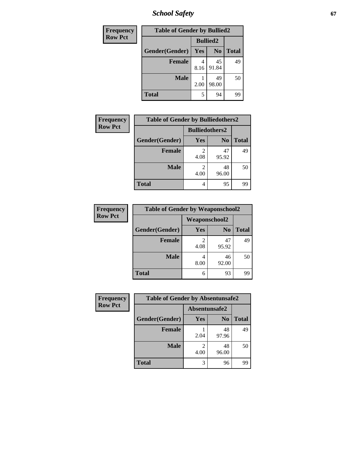*School Safety* **67**

| Frequency      | <b>Table of Gender by Bullied2</b> |                 |                |              |
|----------------|------------------------------------|-----------------|----------------|--------------|
| <b>Row Pct</b> |                                    | <b>Bullied2</b> |                |              |
|                | Gender(Gender)                     | Yes             | N <sub>0</sub> | <b>Total</b> |
|                | <b>Female</b>                      | 8.16            | 45<br>91.84    | 49           |
|                | <b>Male</b>                        | 2.00            | 49<br>98.00    | 50           |
|                | <b>Total</b>                       | 5               | 94             | 99           |

| <b>Frequency</b> | <b>Table of Gender by Bulliedothers2</b> |                       |                |              |
|------------------|------------------------------------------|-----------------------|----------------|--------------|
| <b>Row Pct</b>   |                                          | <b>Bulliedothers2</b> |                |              |
|                  | Gender(Gender)                           | <b>Yes</b>            | N <sub>0</sub> | <b>Total</b> |
|                  | <b>Female</b>                            | 4.08                  | 47<br>95.92    | 49           |
|                  | <b>Male</b>                              | 2<br>4.00             | 48<br>96.00    | 50           |
|                  | <b>Total</b>                             | 4                     | 95             | 99           |

| Frequency      | <b>Table of Gender by Weaponschool2</b> |                      |                |              |
|----------------|-----------------------------------------|----------------------|----------------|--------------|
| <b>Row Pct</b> |                                         | <b>Weaponschool2</b> |                |              |
|                | Gender(Gender)                          | Yes                  | N <sub>0</sub> | <b>Total</b> |
|                | <b>Female</b>                           | 4.08                 | 47<br>95.92    | 49           |
|                | <b>Male</b>                             | 8.00                 | 46<br>92.00    | 50           |
|                | <b>Total</b>                            | 6                    | 93             | 99           |

| Frequency      | <b>Table of Gender by Absentunsafe2</b> |               |                |              |
|----------------|-----------------------------------------|---------------|----------------|--------------|
| <b>Row Pct</b> |                                         | Absentunsafe2 |                |              |
|                | Gender(Gender)                          | Yes           | N <sub>0</sub> | <b>Total</b> |
|                | <b>Female</b>                           | 2.04          | 48<br>97.96    | 49           |
|                | <b>Male</b>                             | 4.00          | 48<br>96.00    | 50           |
|                | <b>Total</b>                            | 3             | 96             | 99           |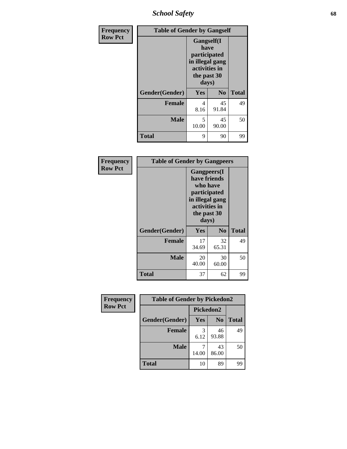*School Safety* **68**

| Frequency      | <b>Table of Gender by Gangself</b> |                                                                                                        |                |              |
|----------------|------------------------------------|--------------------------------------------------------------------------------------------------------|----------------|--------------|
| <b>Row Pct</b> |                                    | <b>Gangself</b> (I<br>have<br>participated<br>in illegal gang<br>activities in<br>the past 30<br>days) |                |              |
|                | Gender(Gender)                     | Yes                                                                                                    | N <sub>0</sub> | <b>Total</b> |
|                | <b>Female</b>                      | 4<br>8.16                                                                                              | 45<br>91.84    | 49           |
|                | <b>Male</b>                        | 5<br>10.00                                                                                             | 45<br>90.00    | 50           |
|                | <b>Total</b>                       | 9                                                                                                      | 90             | 99           |

| Frequency      | <b>Table of Gender by Gangpeers</b> |                                                                                                                             |                |              |
|----------------|-------------------------------------|-----------------------------------------------------------------------------------------------------------------------------|----------------|--------------|
| <b>Row Pct</b> |                                     | <b>Gangpeers</b> (I<br>have friends<br>who have<br>participated<br>in illegal gang<br>activities in<br>the past 30<br>days) |                |              |
|                | Gender(Gender)                      | <b>Yes</b>                                                                                                                  | N <sub>0</sub> | <b>Total</b> |
|                | <b>Female</b>                       | 17<br>34.69                                                                                                                 | 32<br>65.31    | 49           |
|                | <b>Male</b>                         | 20<br>40.00                                                                                                                 | 30<br>60.00    | 50           |
|                | <b>Total</b>                        | 37                                                                                                                          | 62             | 99           |

| Frequency      | <b>Table of Gender by Pickedon2</b> |            |                |              |
|----------------|-------------------------------------|------------|----------------|--------------|
| <b>Row Pct</b> |                                     | Pickedon2  |                |              |
|                | Gender(Gender)                      | <b>Yes</b> | N <sub>0</sub> | <b>Total</b> |
|                | <b>Female</b>                       | 3<br>6.12  | 46<br>93.88    | 49           |
|                | <b>Male</b>                         | 14.00      | 43<br>86.00    | 50           |
|                | <b>Total</b>                        | 10         | 89             | 99           |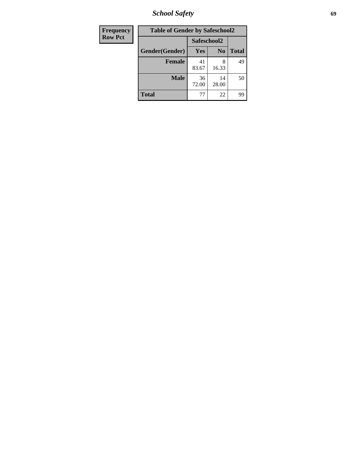*School Safety* **69**

| Frequency      | <b>Table of Gender by Safeschool2</b> |             |                |              |  |
|----------------|---------------------------------------|-------------|----------------|--------------|--|
| <b>Row Pct</b> |                                       |             | Safeschool2    |              |  |
|                | Gender(Gender)                        | Yes         | N <sub>0</sub> | <b>Total</b> |  |
|                | <b>Female</b>                         | 41<br>83.67 | 8<br>16.33     | 49           |  |
|                | <b>Male</b>                           | 36<br>72.00 | 14<br>28.00    | 50           |  |
|                | <b>Total</b>                          | 77          | 22             | 99           |  |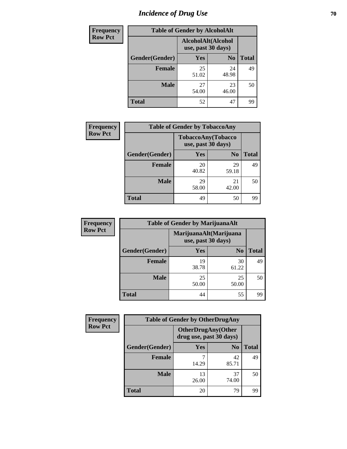# *Incidence of Drug Use* **70**

| <b>Frequency</b> | <b>Table of Gender by AlcoholAlt</b> |                                          |                |              |  |
|------------------|--------------------------------------|------------------------------------------|----------------|--------------|--|
| <b>Row Pct</b>   |                                      | AlcoholAlt(Alcohol<br>use, past 30 days) |                |              |  |
|                  | Gender(Gender)                       | <b>Yes</b>                               | N <sub>0</sub> | <b>Total</b> |  |
|                  | <b>Female</b>                        | 25<br>51.02                              | 24<br>48.98    | 49           |  |
|                  | <b>Male</b>                          | 27<br>54.00                              | 23<br>46.00    | 50           |  |
|                  | <b>Total</b>                         | 52                                       | 47             | 99           |  |

| Frequency      | <b>Table of Gender by TobaccoAny</b> |                    |                    |              |  |
|----------------|--------------------------------------|--------------------|--------------------|--------------|--|
| <b>Row Pct</b> |                                      | use, past 30 days) | TobaccoAny(Tobacco |              |  |
|                | Gender(Gender)                       | Yes                | N <sub>0</sub>     | <b>Total</b> |  |
|                | <b>Female</b>                        | 20<br>40.82        | 29<br>59.18        | 49           |  |
|                | <b>Male</b>                          | 29<br>58.00        | 21<br>42.00        | 50           |  |
|                | Total                                | 49                 | 50                 | 99           |  |

| <b>Frequency</b> | <b>Table of Gender by MarijuanaAlt</b> |                                              |                |              |
|------------------|----------------------------------------|----------------------------------------------|----------------|--------------|
| <b>Row Pct</b>   |                                        | MarijuanaAlt(Marijuana<br>use, past 30 days) |                |              |
|                  | Gender(Gender)                         | <b>Yes</b>                                   | N <sub>0</sub> | <b>Total</b> |
|                  | <b>Female</b>                          | 19<br>38.78                                  | 30<br>61.22    | 49           |
|                  | <b>Male</b>                            | 25<br>50.00                                  | 25<br>50.00    | 50           |
|                  | <b>Total</b>                           | 44                                           | 55             | 99           |

| <b>Frequency</b> | <b>Table of Gender by OtherDrugAny</b> |                                                      |                |              |  |
|------------------|----------------------------------------|------------------------------------------------------|----------------|--------------|--|
| <b>Row Pct</b>   |                                        | <b>OtherDrugAny(Other</b><br>drug use, past 30 days) |                |              |  |
|                  | Gender(Gender)                         | <b>Yes</b>                                           | N <sub>0</sub> | <b>Total</b> |  |
|                  | <b>Female</b>                          | 14.29                                                | 42<br>85.71    | 49           |  |
|                  | <b>Male</b>                            | 13<br>26.00                                          | 37<br>74.00    | 50           |  |
|                  | <b>Total</b>                           | 20                                                   | 79             | 99           |  |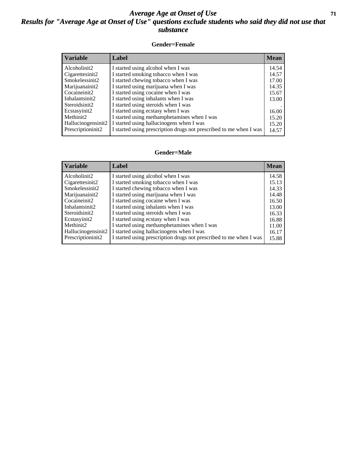### *Average Age at Onset of Use* **71** *Results for "Average Age at Onset of Use" questions exclude students who said they did not use that substance*

#### **Gender=Female**

| <i><b>Variable</b></i> | <b>Label</b>                                                       | <b>Mean</b> |
|------------------------|--------------------------------------------------------------------|-------------|
| Alcoholinit2           | I started using alcohol when I was                                 | 14.54       |
| Cigarettesinit2        | I started smoking tobacco when I was                               | 14.57       |
| Smokelessinit2         | I started chewing tobacco when I was                               | 17.00       |
| Marijuanainit2         | I started using marijuana when I was                               | 14.35       |
| Cocaineinit2           | I started using cocaine when I was                                 | 15.67       |
| Inhalantsinit2         | I started using inhalants when I was                               | 13.00       |
| Steroidsinit2          | I started using steroids when I was                                |             |
| Ecstasyinit2           | I started using ecstasy when I was                                 | 16.00       |
| Methinit2              | I started using methamphetamines when I was                        | 15.20       |
| Hallucinogensinit2     | I started using hallucinogens when I was                           | 15.20       |
| Prescription in t2     | I started using prescription drugs not prescribed to me when I was | 14.57       |

#### **Gender=Male**

| <b>Variable</b>    | Label                                                              | <b>Mean</b> |
|--------------------|--------------------------------------------------------------------|-------------|
| Alcoholinit2       | I started using alcohol when I was                                 | 14.58       |
| Cigarettesinit2    | I started smoking tobacco when I was                               | 15.13       |
| Smokelessinit2     | I started chewing tobacco when I was                               | 14.33       |
| Marijuanainit2     | I started using marijuana when I was                               | 14.48       |
| Cocaineinit2       | I started using cocaine when I was                                 | 16.50       |
| Inhalantsinit2     | I started using inhalants when I was                               | 13.00       |
| Steroidsinit2      | I started using steroids when I was                                | 16.33       |
| Ecstasyinit2       | I started using ecstasy when I was                                 | 16.88       |
| Methinit2          | I started using methamphetamines when I was                        | 11.00       |
| Hallucinogensinit2 | I started using hallucinogens when I was                           | 16.17       |
| Prescriptioninit2  | I started using prescription drugs not prescribed to me when I was | 15.88       |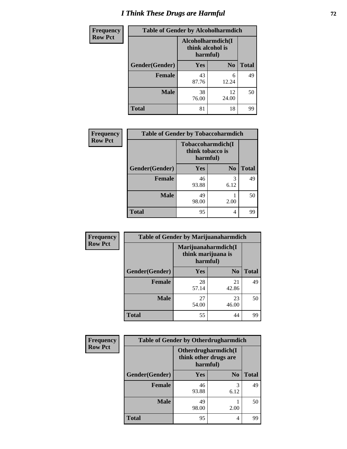# *I Think These Drugs are Harmful* **72**

| <b>Frequency</b> | <b>Table of Gender by Alcoholharmdich</b> |                                                   |                |              |  |
|------------------|-------------------------------------------|---------------------------------------------------|----------------|--------------|--|
| <b>Row Pct</b>   |                                           | Alcoholharmdich(I<br>think alcohol is<br>harmful) |                |              |  |
|                  | Gender(Gender)                            | <b>Yes</b>                                        | N <sub>0</sub> | <b>Total</b> |  |
|                  | <b>Female</b>                             | 43<br>87.76                                       | 6<br>12.24     | 49           |  |
|                  | <b>Male</b>                               | 38<br>76.00                                       | 12<br>24.00    | 50           |  |
|                  | <b>Total</b>                              | 81                                                | 18             | 99           |  |

| Frequency      | <b>Table of Gender by Tobaccoharmdich</b> |                              |                   |              |  |
|----------------|-------------------------------------------|------------------------------|-------------------|--------------|--|
| <b>Row Pct</b> |                                           | think tobacco is<br>harmful) | Tobaccoharmdich(I |              |  |
|                | Gender(Gender)                            | Yes                          | N <sub>0</sub>    | <b>Total</b> |  |
|                | <b>Female</b>                             | 46<br>93.88                  | 3<br>6.12         | 49           |  |
|                | <b>Male</b>                               | 49<br>98.00                  | 2.00              | 50           |  |
|                | <b>Total</b>                              | 95                           | 4                 | 99           |  |

| Frequency      | <b>Table of Gender by Marijuanaharmdich</b> |                                                       |                |              |  |
|----------------|---------------------------------------------|-------------------------------------------------------|----------------|--------------|--|
| <b>Row Pct</b> |                                             | Marijuanaharmdich(I<br>think marijuana is<br>harmful) |                |              |  |
|                | Gender(Gender)                              | <b>Yes</b>                                            | N <sub>0</sub> | <b>Total</b> |  |
|                | <b>Female</b>                               | 28<br>57.14                                           | 21<br>42.86    | 49           |  |
|                | <b>Male</b>                                 | 27<br>54.00                                           | 23<br>46.00    | 50           |  |
|                | <b>Total</b>                                | 55                                                    | 44             | 99           |  |

| Frequency      | <b>Table of Gender by Otherdrugharmdich</b> |                                                          |                |              |  |
|----------------|---------------------------------------------|----------------------------------------------------------|----------------|--------------|--|
| <b>Row Pct</b> |                                             | Otherdrugharmdich(I<br>think other drugs are<br>harmful) |                |              |  |
|                | Gender(Gender)                              | <b>Yes</b>                                               | N <sub>0</sub> | <b>Total</b> |  |
|                | <b>Female</b>                               | 46<br>93.88                                              | 3<br>6.12      | 49           |  |
|                | <b>Male</b>                                 | 49<br>98.00                                              | 2.00           | 50           |  |
|                | <b>Total</b>                                | 95                                                       | 4              | 99           |  |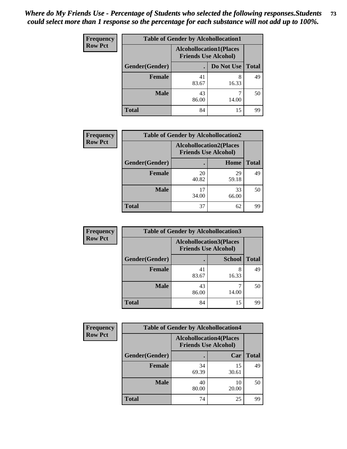| <b>Frequency</b> | <b>Table of Gender by Alcohollocation1</b> |                                                               |            |              |
|------------------|--------------------------------------------|---------------------------------------------------------------|------------|--------------|
| <b>Row Pct</b>   |                                            | <b>Alcohollocation1(Places</b><br><b>Friends Use Alcohol)</b> |            |              |
|                  | Gender(Gender)                             |                                                               | Do Not Use | <b>Total</b> |
|                  | <b>Female</b>                              | 41<br>83.67                                                   | 8<br>16.33 | 49           |
|                  | <b>Male</b>                                | 43<br>86.00                                                   | 14.00      | 50           |
|                  | <b>Total</b>                               | 84                                                            | 15         | 99           |

| <b>Frequency</b> | <b>Table of Gender by Alcohollocation2</b> |             |                                                               |              |
|------------------|--------------------------------------------|-------------|---------------------------------------------------------------|--------------|
| <b>Row Pct</b>   |                                            |             | <b>Alcohollocation2(Places</b><br><b>Friends Use Alcohol)</b> |              |
|                  | Gender(Gender)                             |             | Home                                                          | <b>Total</b> |
|                  | <b>Female</b>                              | 20<br>40.82 | 29<br>59.18                                                   | 49           |
|                  | <b>Male</b>                                | 17<br>34.00 | 33<br>66.00                                                   | 50           |
|                  | <b>Total</b>                               | 37          | 62                                                            | 99           |

| Frequency      | <b>Table of Gender by Alcohollocation3</b> |                                                               |               |              |
|----------------|--------------------------------------------|---------------------------------------------------------------|---------------|--------------|
| <b>Row Pct</b> |                                            | <b>Alcohollocation3(Places</b><br><b>Friends Use Alcohol)</b> |               |              |
|                | Gender(Gender)                             |                                                               | <b>School</b> | <b>Total</b> |
|                | <b>Female</b>                              | 41<br>83.67                                                   | 8<br>16.33    | 49           |
|                | <b>Male</b>                                | 43<br>86.00                                                   | 14.00         | 50           |
|                | <b>Total</b>                               | 84                                                            | 15            | 99           |

| Frequency      | <b>Table of Gender by Alcohollocation4</b> |                                                               |             |              |
|----------------|--------------------------------------------|---------------------------------------------------------------|-------------|--------------|
| <b>Row Pct</b> |                                            | <b>Alcohollocation4(Places</b><br><b>Friends Use Alcohol)</b> |             |              |
|                | Gender(Gender)                             |                                                               | Car         | <b>Total</b> |
|                | Female                                     | 34<br>69.39                                                   | 15<br>30.61 | 49           |
|                | <b>Male</b>                                | 40<br>80.00                                                   | 10<br>20.00 | 50           |
|                | <b>Total</b>                               | 74                                                            | 25          | 99           |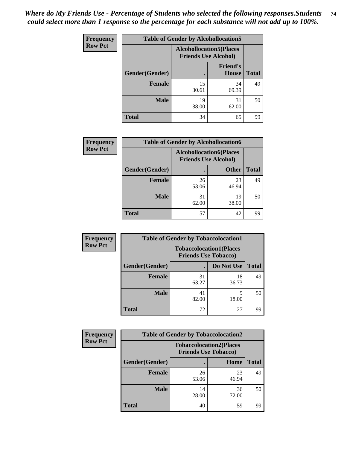| <b>Frequency</b> |                | <b>Table of Gender by Alcohollocation5</b> |                                                                |              |
|------------------|----------------|--------------------------------------------|----------------------------------------------------------------|--------------|
| <b>Row Pct</b>   |                |                                            | <b>Alcohollocation5</b> (Places<br><b>Friends Use Alcohol)</b> |              |
|                  | Gender(Gender) |                                            | <b>Friend's</b><br><b>House</b>                                | <b>Total</b> |
|                  | <b>Female</b>  | 15<br>30.61                                | 34<br>69.39                                                    | 49           |
|                  | <b>Male</b>    | 19<br>38.00                                | 31<br>62.00                                                    | 50           |
|                  | <b>Total</b>   | 34                                         | 65                                                             | 99           |

| <b>Frequency</b> | <b>Table of Gender by Alcohollocation6</b> |                                                               |              |              |
|------------------|--------------------------------------------|---------------------------------------------------------------|--------------|--------------|
| <b>Row Pct</b>   |                                            | <b>Alcohollocation6(Places</b><br><b>Friends Use Alcohol)</b> |              |              |
|                  | Gender(Gender)                             |                                                               | <b>Other</b> | <b>Total</b> |
|                  | <b>Female</b>                              | 26<br>53.06                                                   | 23<br>46.94  | 49           |
|                  | <b>Male</b>                                | 31<br>62.00                                                   | 19<br>38.00  | 50           |
|                  | <b>Total</b>                               | 57                                                            | 42           | 99           |

| Frequency      | <b>Table of Gender by Tobaccolocation1</b> |                                                               |             |              |  |
|----------------|--------------------------------------------|---------------------------------------------------------------|-------------|--------------|--|
| <b>Row Pct</b> |                                            | <b>Tobaccolocation1(Places</b><br><b>Friends Use Tobacco)</b> |             |              |  |
|                | Gender(Gender)                             |                                                               | Do Not Use  | <b>Total</b> |  |
|                | Female                                     | 31<br>63.27                                                   | 18<br>36.73 | 49           |  |
|                | <b>Male</b>                                | 41<br>82.00                                                   | q<br>18.00  | 50           |  |
|                | <b>Total</b>                               | 72                                                            | 27          | 99           |  |

| <b>Frequency</b> | <b>Table of Gender by Tobaccolocation2</b> |                                                               |             |              |
|------------------|--------------------------------------------|---------------------------------------------------------------|-------------|--------------|
| <b>Row Pct</b>   |                                            | <b>Tobaccolocation2(Places</b><br><b>Friends Use Tobacco)</b> |             |              |
|                  | Gender(Gender)                             |                                                               | Home        | <b>Total</b> |
|                  | Female                                     | 26<br>53.06                                                   | 23<br>46.94 | 49           |
|                  | <b>Male</b>                                | 14<br>28.00                                                   | 36<br>72.00 | 50           |
|                  | <b>Total</b>                               | 40                                                            | 59          | 99           |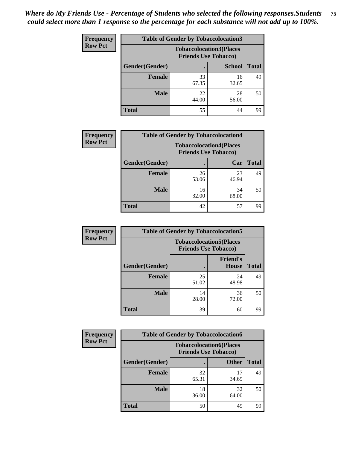| <b>Frequency</b> |                | <b>Table of Gender by Tobaccolocation3</b> |                                |              |
|------------------|----------------|--------------------------------------------|--------------------------------|--------------|
| <b>Row Pct</b>   |                | <b>Friends Use Tobacco)</b>                | <b>Tobaccolocation3(Places</b> |              |
|                  | Gender(Gender) |                                            | <b>School</b>                  | <b>Total</b> |
|                  | Female         | 33<br>67.35                                | 16<br>32.65                    | 49           |
|                  | <b>Male</b>    | 22<br>44.00                                | 28<br>56.00                    | 50           |
|                  | <b>Total</b>   | 55                                         | 44                             | 99           |

| <b>Frequency</b> | <b>Table of Gender by Tobaccolocation4</b> |                             |                                |              |
|------------------|--------------------------------------------|-----------------------------|--------------------------------|--------------|
| <b>Row Pct</b>   |                                            | <b>Friends Use Tobacco)</b> | <b>Tobaccolocation4(Places</b> |              |
|                  | Gender(Gender)                             |                             | Car                            | <b>Total</b> |
|                  | <b>Female</b>                              | 26<br>53.06                 | 23<br>46.94                    | 49           |
|                  | <b>Male</b>                                | 16<br>32.00                 | 34<br>68.00                    | 50           |
|                  | <b>Total</b>                               | 42                          | 57                             | 99           |

| <b>Frequency</b> | <b>Table of Gender by Tobaccolocation5</b> |                                                               |                                 |              |
|------------------|--------------------------------------------|---------------------------------------------------------------|---------------------------------|--------------|
| <b>Row Pct</b>   |                                            | <b>Tobaccolocation5(Places</b><br><b>Friends Use Tobacco)</b> |                                 |              |
|                  | Gender(Gender)                             |                                                               | <b>Friend's</b><br><b>House</b> | <b>Total</b> |
|                  | <b>Female</b>                              | 25<br>51.02                                                   | 24<br>48.98                     | 49           |
|                  | <b>Male</b>                                | 14<br>28.00                                                   | 36<br>72.00                     | 50           |
|                  | <b>Total</b>                               | 39                                                            | 60                              | 99           |

| Frequency      | <b>Table of Gender by Tobaccolocation6</b> |                                                               |              |              |
|----------------|--------------------------------------------|---------------------------------------------------------------|--------------|--------------|
| <b>Row Pct</b> |                                            | <b>Tobaccolocation6(Places</b><br><b>Friends Use Tobacco)</b> |              |              |
|                | Gender(Gender)                             |                                                               | <b>Other</b> | <b>Total</b> |
|                | Female                                     | 32<br>65.31                                                   | 17<br>34.69  | 49           |
|                | <b>Male</b>                                | 18<br>36.00                                                   | 32<br>64.00  | 50           |
|                | <b>Total</b>                               | 50                                                            | 49           | 99           |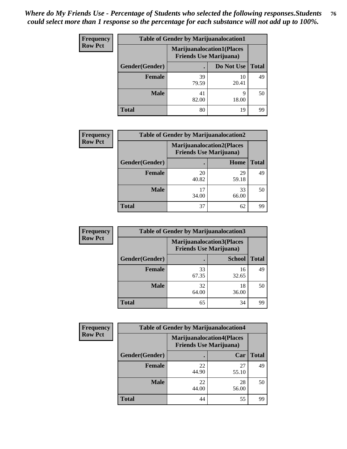| <b>Frequency</b> | <b>Table of Gender by Marijuanalocation1</b> |                                                                    |             |              |
|------------------|----------------------------------------------|--------------------------------------------------------------------|-------------|--------------|
| <b>Row Pct</b>   |                                              | <b>Marijuanalocation1(Places</b><br><b>Friends Use Marijuana</b> ) |             |              |
|                  | <b>Gender</b> (Gender)                       |                                                                    | Do Not Use  | <b>Total</b> |
|                  | <b>Female</b>                                | 39<br>79.59                                                        | 10<br>20.41 | 49           |
|                  | <b>Male</b>                                  | 41<br>82.00                                                        | Q<br>18.00  | 50           |
|                  | <b>Total</b>                                 | 80                                                                 | 19          | 99           |

| <b>Frequency</b> | <b>Table of Gender by Marijuanalocation2</b> |                                                                    |             |       |
|------------------|----------------------------------------------|--------------------------------------------------------------------|-------------|-------|
| <b>Row Pct</b>   |                                              | <b>Marijuanalocation2(Places</b><br><b>Friends Use Marijuana</b> ) |             |       |
|                  | Gender(Gender)                               |                                                                    | Home        | Total |
|                  | <b>Female</b>                                | 20<br>40.82                                                        | 29<br>59.18 | 49    |
|                  | Male                                         | 34.00                                                              | 33<br>66.00 | 50    |
|                  | <b>Total</b>                                 | 37                                                                 | 62          | 99    |

| Frequency      | <b>Table of Gender by Marijuanalocation3</b> |             |                                                                    |              |  |
|----------------|----------------------------------------------|-------------|--------------------------------------------------------------------|--------------|--|
| <b>Row Pct</b> |                                              |             | <b>Marijuanalocation3(Places</b><br><b>Friends Use Marijuana</b> ) |              |  |
|                | Gender(Gender)                               |             | <b>School</b>                                                      | <b>Total</b> |  |
|                | Female                                       | 33<br>67.35 | 16<br>32.65                                                        | 49           |  |
|                | <b>Male</b>                                  | 32<br>64.00 | 18<br>36.00                                                        | 50           |  |
|                | <b>Total</b>                                 | 65          | 34                                                                 | 99           |  |

| <b>Frequency</b> |                | <b>Table of Gender by Marijuanalocation4</b>                       |             |              |
|------------------|----------------|--------------------------------------------------------------------|-------------|--------------|
| <b>Row Pct</b>   |                | <b>Marijuanalocation4(Places</b><br><b>Friends Use Marijuana</b> ) |             |              |
|                  | Gender(Gender) |                                                                    | Car         | <b>Total</b> |
|                  | <b>Female</b>  | 22<br>44.90                                                        | 27<br>55.10 | 49           |
|                  | <b>Male</b>    | 22<br>44.00                                                        | 28<br>56.00 | 50           |
|                  | <b>Total</b>   | 44                                                                 | 55          | 99           |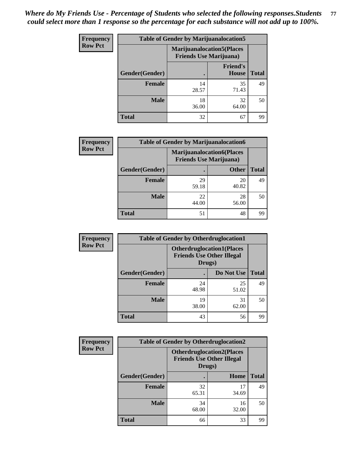| Frequency      | <b>Table of Gender by Marijuanalocation5</b> |                                                                     |                          |              |
|----------------|----------------------------------------------|---------------------------------------------------------------------|--------------------------|--------------|
| <b>Row Pct</b> |                                              | <b>Marijuanalocation5</b> (Places<br><b>Friends Use Marijuana</b> ) |                          |              |
|                | Gender(Gender)                               |                                                                     | <b>Friend's</b><br>House | <b>Total</b> |
|                | <b>Female</b>                                | 14<br>28.57                                                         | 35<br>71.43              | 49           |
|                | <b>Male</b>                                  | 18<br>36.00                                                         | 32<br>64.00              | 50           |
|                | <b>Total</b>                                 | 32                                                                  | 67                       | 99           |

| <b>Frequency</b> | <b>Table of Gender by Marijuanalocation6</b> |                                |                                  |              |
|------------------|----------------------------------------------|--------------------------------|----------------------------------|--------------|
| <b>Row Pct</b>   |                                              | <b>Friends Use Marijuana</b> ) | <b>Marijuanalocation6(Places</b> |              |
|                  | <b>Gender</b> (Gender)                       |                                | <b>Other</b>                     | <b>Total</b> |
|                  | <b>Female</b>                                | 29<br>59.18                    | 20<br>40.82                      | 49           |
|                  | <b>Male</b>                                  | 22<br>44.00                    | 28<br>56.00                      | 50           |
|                  | <b>Total</b>                                 | 51                             | 48                               | 99           |

| <b>Frequency</b> | <b>Table of Gender by Otherdruglocation1</b> |                                                                                |             |              |
|------------------|----------------------------------------------|--------------------------------------------------------------------------------|-------------|--------------|
| <b>Row Pct</b>   |                                              | <b>Otherdruglocation1(Places</b><br><b>Friends Use Other Illegal</b><br>Drugs) |             |              |
|                  | Gender(Gender)                               |                                                                                | Do Not Use  | <b>Total</b> |
|                  | Female                                       | 24<br>48.98                                                                    | 25<br>51.02 | 49           |
|                  | <b>Male</b>                                  | 19<br>38.00                                                                    | 31<br>62.00 | 50           |
|                  | <b>Total</b>                                 | 43                                                                             | 56          | 99           |

| <b>Frequency</b> | <b>Table of Gender by Otherdruglocation2</b> |                                            |                                  |              |
|------------------|----------------------------------------------|--------------------------------------------|----------------------------------|--------------|
| <b>Row Pct</b>   |                                              | <b>Friends Use Other Illegal</b><br>Drugs) | <b>Otherdruglocation2(Places</b> |              |
|                  | Gender(Gender)                               |                                            | Home                             | <b>Total</b> |
|                  | <b>Female</b>                                | 32<br>65.31                                | 17<br>34.69                      | 49           |
|                  | <b>Male</b>                                  | 34<br>68.00                                | 16<br>32.00                      | 50           |
|                  | <b>Total</b>                                 | 66                                         | 33                               | 99           |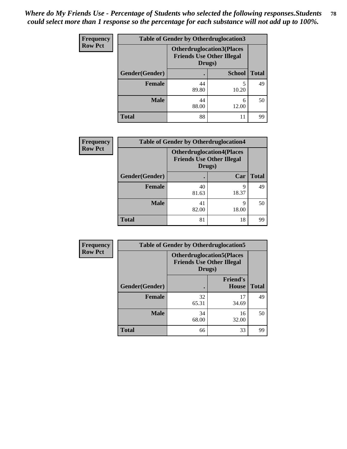| Frequency      | <b>Table of Gender by Otherdruglocation3</b> |                                                                                |               |              |
|----------------|----------------------------------------------|--------------------------------------------------------------------------------|---------------|--------------|
| <b>Row Pct</b> |                                              | <b>Otherdruglocation3(Places</b><br><b>Friends Use Other Illegal</b><br>Drugs) |               |              |
|                | Gender(Gender)                               |                                                                                | <b>School</b> | <b>Total</b> |
|                | <b>Female</b>                                | 44<br>89.80                                                                    | 10.20         | 49           |
|                | <b>Male</b>                                  | 44<br>88.00                                                                    | 6<br>12.00    | 50           |
|                | <b>Total</b>                                 | 88                                                                             | 11            | 99           |

| <b>Frequency</b> | <b>Table of Gender by Otherdruglocation4</b> |                                            |                                  |              |
|------------------|----------------------------------------------|--------------------------------------------|----------------------------------|--------------|
| <b>Row Pct</b>   |                                              | <b>Friends Use Other Illegal</b><br>Drugs) | <b>Otherdruglocation4(Places</b> |              |
|                  | Gender(Gender)                               |                                            | Car                              | <b>Total</b> |
|                  | <b>Female</b>                                | 40<br>81.63                                | 9<br>18.37                       | 49           |
|                  | <b>Male</b>                                  | 41<br>82.00                                | q<br>18.00                       | 50           |
|                  | <b>Total</b>                                 | 81                                         | 18                               | 99           |

| Frequency      | <b>Table of Gender by Otherdruglocation5</b>                                   |             |                                 |              |
|----------------|--------------------------------------------------------------------------------|-------------|---------------------------------|--------------|
| <b>Row Pct</b> | <b>Otherdruglocation5(Places</b><br><b>Friends Use Other Illegal</b><br>Drugs) |             |                                 |              |
|                | Gender(Gender)                                                                 |             | <b>Friend's</b><br><b>House</b> | <b>Total</b> |
|                | <b>Female</b>                                                                  | 32<br>65.31 | 17<br>34.69                     | 49           |
|                | <b>Male</b>                                                                    | 34<br>68.00 | 16<br>32.00                     | 50           |
|                | <b>Total</b>                                                                   | 66          | 33                              | 99           |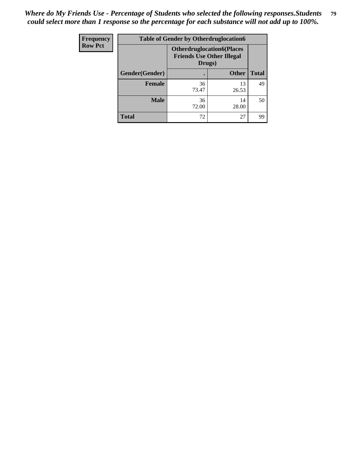| Frequency      | <b>Table of Gender by Otherdruglocation6</b> |                                            |                                  |              |
|----------------|----------------------------------------------|--------------------------------------------|----------------------------------|--------------|
| <b>Row Pct</b> |                                              | <b>Friends Use Other Illegal</b><br>Drugs) | <b>Otherdruglocation6(Places</b> |              |
|                | Gender(Gender)                               |                                            | <b>Other</b>                     | <b>Total</b> |
|                | <b>Female</b>                                | 36<br>73.47                                | 13<br>26.53                      | 49           |
|                | <b>Male</b>                                  | 36<br>72.00                                | 14<br>28.00                      | 50           |
|                | <b>Total</b>                                 | 72                                         | 27                               | 99           |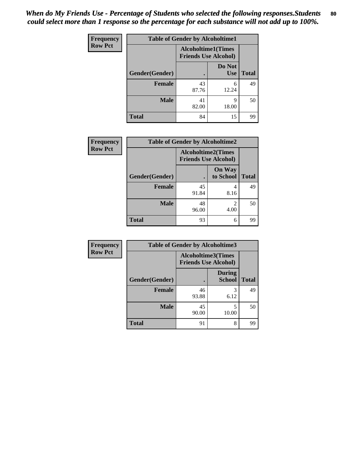| Frequency      | <b>Table of Gender by Alcoholtime1</b> |                                                          |                      |              |
|----------------|----------------------------------------|----------------------------------------------------------|----------------------|--------------|
| <b>Row Pct</b> |                                        | <b>Alcoholtime1(Times</b><br><b>Friends Use Alcohol)</b> |                      |              |
|                | Gender(Gender)                         | ٠                                                        | Do Not<br><b>Use</b> | <b>Total</b> |
|                | <b>Female</b>                          | 43<br>87.76                                              | 6<br>12.24           | 49           |
|                | <b>Male</b>                            | 41<br>82.00                                              | 9<br>18.00           | 50           |
|                | <b>Total</b>                           | 84                                                       | 15                   | 99           |

| <b>Frequency</b> | <b>Table of Gender by Alcoholtime2</b> |                                                          |                            |              |
|------------------|----------------------------------------|----------------------------------------------------------|----------------------------|--------------|
| <b>Row Pct</b>   |                                        | <b>Alcoholtime2(Times</b><br><b>Friends Use Alcohol)</b> |                            |              |
|                  | Gender(Gender)                         |                                                          | <b>On Way</b><br>to School | <b>Total</b> |
|                  | <b>Female</b>                          | 45<br>91.84                                              | 4<br>8.16                  | 49           |
|                  | <b>Male</b>                            | 48<br>96.00                                              | 2<br>4.00                  | 50           |
|                  | <b>Total</b>                           | 93                                                       | 6                          | 99           |

| Frequency      | <b>Table of Gender by Alcoholtime3</b> |                                                   |                                |              |
|----------------|----------------------------------------|---------------------------------------------------|--------------------------------|--------------|
| <b>Row Pct</b> |                                        | Alcoholtime3(Times<br><b>Friends Use Alcohol)</b> |                                |              |
|                | Gender(Gender)                         |                                                   | <b>During</b><br><b>School</b> | <b>Total</b> |
|                | Female                                 | 46<br>93.88                                       | 3<br>6.12                      | 49           |
|                | <b>Male</b>                            | 45<br>90.00                                       | 5<br>10.00                     | 50           |
|                | <b>Total</b>                           | 91                                                | 8                              | 99           |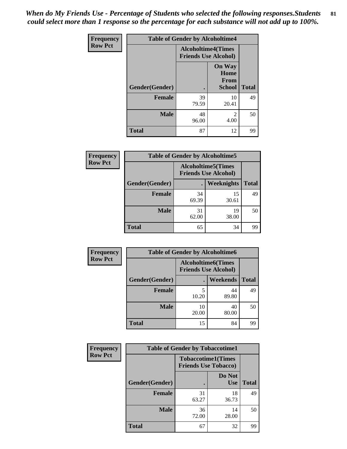*When do My Friends Use - Percentage of Students who selected the following responses.Students could select more than 1 response so the percentage for each substance will not add up to 100%.* **81**

| <b>Frequency</b> | <b>Table of Gender by Alcoholtime4</b> |                                                          |                                                       |              |
|------------------|----------------------------------------|----------------------------------------------------------|-------------------------------------------------------|--------------|
| <b>Row Pct</b>   |                                        | <b>Alcoholtime4(Times</b><br><b>Friends Use Alcohol)</b> |                                                       |              |
|                  | <b>Gender</b> (Gender)                 | $\bullet$                                                | <b>On Way</b><br>Home<br><b>From</b><br><b>School</b> | <b>Total</b> |
|                  | <b>Female</b>                          | 39<br>79.59                                              | 10<br>20.41                                           | 49           |
|                  | <b>Male</b>                            | 48<br>96.00                                              | 2<br>4.00                                             | 50           |
|                  | <b>Total</b>                           | 87                                                       | 12                                                    | 99           |

| <b>Frequency</b> | <b>Table of Gender by Alcoholtime5</b> |                                                           |             |              |  |
|------------------|----------------------------------------|-----------------------------------------------------------|-------------|--------------|--|
| <b>Row Pct</b>   |                                        | <b>Alcoholtime5</b> (Times<br><b>Friends Use Alcohol)</b> |             |              |  |
|                  | Gender(Gender)                         |                                                           | Weeknights  | <b>Total</b> |  |
|                  | <b>Female</b>                          | 34<br>69.39                                               | 15<br>30.61 | 49           |  |
|                  | <b>Male</b>                            | 31<br>62.00                                               | 19<br>38.00 | 50           |  |
|                  | <b>Total</b>                           | 65                                                        | 34          | 99           |  |

| <b>Frequency</b> | <b>Table of Gender by Alcoholtime6</b> |             |                                                          |              |
|------------------|----------------------------------------|-------------|----------------------------------------------------------|--------------|
| <b>Row Pct</b>   |                                        |             | <b>Alcoholtime6(Times</b><br><b>Friends Use Alcohol)</b> |              |
|                  | <b>Gender</b> (Gender)                 |             | Weekends                                                 | <b>Total</b> |
|                  | Female                                 | 5<br>10.20  | 44<br>89.80                                              | 49           |
|                  | <b>Male</b>                            | 10<br>20.00 | 40<br>80.00                                              | 50           |
|                  | <b>Total</b>                           | 15          | 84                                                       | 99           |

| Frequency      | <b>Table of Gender by Tobaccotime1</b> |                                                          |                      |              |
|----------------|----------------------------------------|----------------------------------------------------------|----------------------|--------------|
| <b>Row Pct</b> |                                        | <b>Tobaccotime1(Times</b><br><b>Friends Use Tobacco)</b> |                      |              |
|                | Gender(Gender)                         |                                                          | Do Not<br><b>Use</b> | <b>Total</b> |
|                | <b>Female</b>                          | 31<br>63.27                                              | 18<br>36.73          | 49           |
|                | <b>Male</b>                            | 36<br>72.00                                              | 14<br>28.00          | 50           |
|                | <b>Total</b>                           | 67                                                       | 32                   | 99           |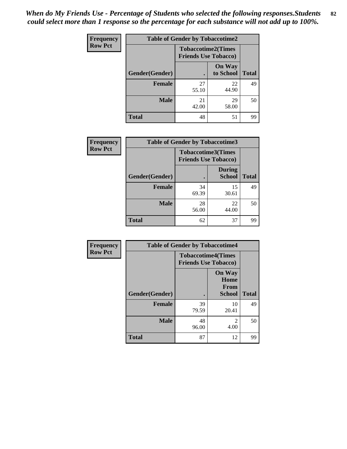| <b>Frequency</b> | <b>Table of Gender by Tobaccotime2</b> |                                                          |                            |              |
|------------------|----------------------------------------|----------------------------------------------------------|----------------------------|--------------|
| <b>Row Pct</b>   |                                        | <b>Tobaccotime2(Times</b><br><b>Friends Use Tobacco)</b> |                            |              |
|                  | Gender(Gender)                         | $\bullet$                                                | <b>On Way</b><br>to School | <b>Total</b> |
|                  | Female                                 | 27<br>55.10                                              | 22<br>44.90                | 49           |
|                  | <b>Male</b>                            | 21<br>42.00                                              | 29<br>58.00                | 50           |
|                  | <b>Total</b>                           | 48                                                       | 51                         | 99           |

| Frequency      | <b>Table of Gender by Tobaccotime3</b> |                                                          |                                |              |
|----------------|----------------------------------------|----------------------------------------------------------|--------------------------------|--------------|
| <b>Row Pct</b> |                                        | <b>Tobaccotime3(Times</b><br><b>Friends Use Tobacco)</b> |                                |              |
|                | Gender(Gender)                         | п                                                        | <b>During</b><br><b>School</b> | <b>Total</b> |
|                | Female                                 | 34<br>69.39                                              | 15<br>30.61                    | 49           |
|                | <b>Male</b>                            | 28<br>56.00                                              | 22<br>44.00                    | 50           |
|                | <b>Total</b>                           | 62                                                       | 37                             | 99           |

| <b>Frequency</b> | <b>Table of Gender by Tobaccotime4</b> |                                                          |                                         |              |
|------------------|----------------------------------------|----------------------------------------------------------|-----------------------------------------|--------------|
| <b>Row Pct</b>   |                                        | <b>Tobaccotime4(Times</b><br><b>Friends Use Tobacco)</b> |                                         |              |
|                  | Gender(Gender)                         |                                                          | <b>On Way</b><br>Home<br>From<br>School | <b>Total</b> |
|                  | <b>Female</b>                          | 39<br>79.59                                              | 10<br>20.41                             | 49           |
|                  | <b>Male</b>                            | 48<br>96.00                                              | $\overline{2}$<br>4.00                  | 50           |
|                  | <b>Total</b>                           | 87                                                       | 12                                      | 99           |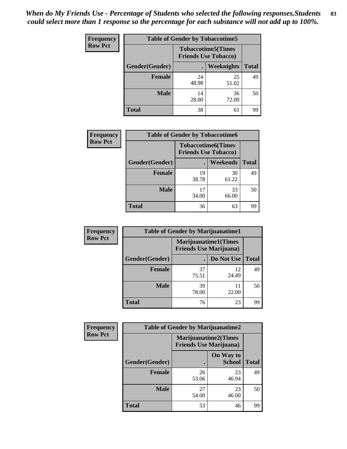| <b>Frequency</b> | <b>Table of Gender by Tobaccotime5</b> |             |                                                           |              |  |
|------------------|----------------------------------------|-------------|-----------------------------------------------------------|--------------|--|
| <b>Row Pct</b>   |                                        |             | <b>Tobaccotime5</b> (Times<br><b>Friends Use Tobacco)</b> |              |  |
|                  | <b>Gender</b> (Gender)                 |             | Weeknights                                                | <b>Total</b> |  |
|                  | <b>Female</b>                          | 24<br>48.98 | 25<br>51.02                                               | 49           |  |
|                  | <b>Male</b>                            | 14<br>28.00 | 36<br>72.00                                               | 50           |  |
|                  | Total                                  | 38          | 61                                                        | 99           |  |

| <b>Frequency</b> | <b>Table of Gender by Tobaccotime6</b> |                                                          |             |              |  |
|------------------|----------------------------------------|----------------------------------------------------------|-------------|--------------|--|
| <b>Row Pct</b>   |                                        | <b>Tobaccotime6(Times</b><br><b>Friends Use Tobacco)</b> |             |              |  |
|                  | Gender(Gender)                         |                                                          | Weekends    | <b>Total</b> |  |
|                  | Female                                 | 19<br>38.78                                              | 30<br>61.22 | 49           |  |
|                  | <b>Male</b>                            | 17<br>34.00                                              | 33<br>66.00 | 50           |  |
|                  | <b>Total</b>                           | 36                                                       | 63          | 99           |  |

| Frequency      | <b>Table of Gender by Marijuanatime1</b> |                                                               |             |              |
|----------------|------------------------------------------|---------------------------------------------------------------|-------------|--------------|
| <b>Row Pct</b> |                                          | <b>Marijuanatime1(Times</b><br><b>Friends Use Marijuana</b> ) |             |              |
|                | Gender(Gender)                           |                                                               | Do Not Use  | <b>Total</b> |
|                | <b>Female</b>                            | 37<br>75.51                                                   | 12<br>24.49 | 49           |
|                | <b>Male</b>                              | 39<br>78.00                                                   | 11<br>22.00 | 50           |
|                | <b>Total</b>                             | 76                                                            | 23          | 99           |

| Frequency      | <b>Table of Gender by Marijuanatime2</b> |                                |                             |              |
|----------------|------------------------------------------|--------------------------------|-----------------------------|--------------|
| <b>Row Pct</b> |                                          | <b>Friends Use Marijuana</b> ) | <b>Marijuanatime2(Times</b> |              |
|                | Gender(Gender)                           |                                | On Way to<br><b>School</b>  | <b>Total</b> |
|                | <b>Female</b>                            | 26<br>53.06                    | 23<br>46.94                 | 49           |
|                | <b>Male</b>                              | 27<br>54.00                    | 23<br>46.00                 | 50           |
|                | <b>Total</b>                             | 53                             | 46                          | 99           |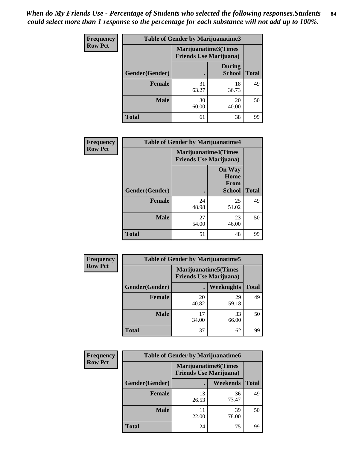| Frequency      | Table of Gender by Marijuanatime3 |                                                        |                                |              |
|----------------|-----------------------------------|--------------------------------------------------------|--------------------------------|--------------|
| <b>Row Pct</b> |                                   | Marijuanatime3(Times<br><b>Friends Use Marijuana</b> ) |                                |              |
|                | Gender(Gender)                    |                                                        | <b>During</b><br><b>School</b> | <b>Total</b> |
|                | <b>Female</b>                     | 31<br>63.27                                            | 18<br>36.73                    | 49           |
|                | <b>Male</b>                       | 30<br>60.00                                            | 20<br>40.00                    | 50           |
|                | <b>Total</b>                      | 61                                                     | 38                             | 99           |

| Frequency      | <b>Table of Gender by Marijuanatime4</b> |                                                               |                                                       |              |
|----------------|------------------------------------------|---------------------------------------------------------------|-------------------------------------------------------|--------------|
| <b>Row Pct</b> |                                          | <b>Marijuanatime4(Times</b><br><b>Friends Use Marijuana</b> ) |                                                       |              |
|                | Gender(Gender)                           |                                                               | <b>On Way</b><br>Home<br><b>From</b><br><b>School</b> | <b>Total</b> |
|                | <b>Female</b>                            | 24<br>48.98                                                   | 25<br>51.02                                           | 49           |
|                | <b>Male</b>                              | 27<br>54.00                                                   | 23<br>46.00                                           | 50           |
|                | <b>Total</b>                             | 51                                                            | 48                                                    | 99           |

| <b>Frequency</b> | <b>Table of Gender by Marijuanatime5</b> |             |                                                                |              |  |
|------------------|------------------------------------------|-------------|----------------------------------------------------------------|--------------|--|
| <b>Row Pct</b>   |                                          |             | <b>Marijuanatime5</b> (Times<br><b>Friends Use Marijuana</b> ) |              |  |
|                  | Gender(Gender)                           |             | Weeknights                                                     | <b>Total</b> |  |
|                  | <b>Female</b>                            | 20<br>40.82 | 29<br>59.18                                                    | 49           |  |
|                  | <b>Male</b>                              | 17<br>34.00 | 33<br>66.00                                                    | 50           |  |
|                  | <b>Total</b>                             | 37          | 62                                                             | 99           |  |

| Frequency      | <b>Table of Gender by Marijuanatime6</b> |                                                               |                 |              |  |
|----------------|------------------------------------------|---------------------------------------------------------------|-----------------|--------------|--|
| <b>Row Pct</b> |                                          | <b>Marijuanatime6(Times</b><br><b>Friends Use Marijuana</b> ) |                 |              |  |
|                | Gender(Gender)                           |                                                               | <b>Weekends</b> | <b>Total</b> |  |
|                | <b>Female</b>                            | 13<br>26.53                                                   | 36<br>73.47     | 49           |  |
|                | <b>Male</b>                              | 11<br>22.00                                                   | 39<br>78.00     | 50           |  |
|                | <b>Total</b>                             | 24                                                            | 75              | 99           |  |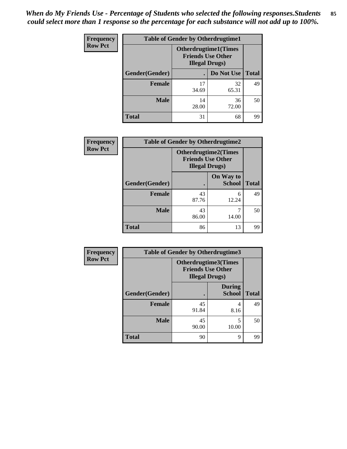| <b>Frequency</b> | <b>Table of Gender by Otherdrugtime1</b> |                                                                                  |                    |    |
|------------------|------------------------------------------|----------------------------------------------------------------------------------|--------------------|----|
| <b>Row Pct</b>   |                                          | <b>Otherdrugtime1(Times</b><br><b>Friends Use Other</b><br><b>Illegal Drugs)</b> |                    |    |
|                  | Gender(Gender)                           |                                                                                  | Do Not Use   Total |    |
|                  | <b>Female</b>                            | 17<br>34.69                                                                      | 32<br>65.31        | 49 |
|                  | <b>Male</b>                              | 14<br>28.00                                                                      | 36<br>72.00        | 50 |
|                  | <b>Total</b>                             | 31                                                                               | 68                 | 99 |

| <b>Frequency</b> | <b>Table of Gender by Otherdrugtime2</b> |                                                                                   |                            |              |
|------------------|------------------------------------------|-----------------------------------------------------------------------------------|----------------------------|--------------|
| <b>Row Pct</b>   |                                          | <b>Otherdrugtime2(Times</b><br><b>Friends Use Other</b><br><b>Illegal Drugs</b> ) |                            |              |
|                  | Gender(Gender)                           |                                                                                   | On Way to<br><b>School</b> | <b>Total</b> |
|                  | <b>Female</b>                            | 43<br>87.76                                                                       | 6<br>12.24                 | 49           |
|                  | <b>Male</b>                              | 43<br>86.00                                                                       | 14.00                      | 50           |
|                  | <b>Total</b>                             | 86                                                                                | 13                         | 99           |

| <b>Frequency</b> | <b>Table of Gender by Otherdrugtime3</b> |                        |                                                  |              |
|------------------|------------------------------------------|------------------------|--------------------------------------------------|--------------|
| <b>Row Pct</b>   |                                          | <b>Illegal Drugs</b> ) | Otherdrugtime3(Times<br><b>Friends Use Other</b> |              |
|                  | Gender(Gender)                           |                        | <b>During</b><br><b>School</b>                   | <b>Total</b> |
|                  | <b>Female</b>                            | 45<br>91.84            | 4<br>8.16                                        | 49           |
|                  | <b>Male</b>                              | 45<br>90.00            | 5<br>10.00                                       | 50           |
|                  | <b>Total</b>                             | 90                     | $\mathbf Q$                                      | 99           |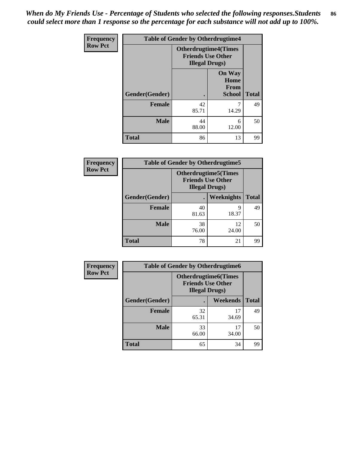*When do My Friends Use - Percentage of Students who selected the following responses.Students could select more than 1 response so the percentage for each substance will not add up to 100%.* **86**

| <b>Frequency</b> | <b>Table of Gender by Otherdrugtime4</b> |                                                    |                                                |              |
|------------------|------------------------------------------|----------------------------------------------------|------------------------------------------------|--------------|
| <b>Row Pct</b>   |                                          | <b>Friends Use Other</b><br><b>Illegal Drugs</b> ) | <b>Otherdrugtime4(Times</b>                    |              |
|                  | Gender(Gender)                           |                                                    | <b>On Way</b><br>Home<br>From<br><b>School</b> | <b>Total</b> |
|                  | Female                                   | 42<br>85.71                                        | 14.29                                          | 49           |
|                  | <b>Male</b>                              | 44<br>88.00                                        | 6<br>12.00                                     | 50           |
|                  | <b>Total</b>                             | 86                                                 | 13                                             | 99           |

| <b>Frequency</b> | <b>Table of Gender by Otherdrugtime5</b> |             |                                                                                    |              |  |
|------------------|------------------------------------------|-------------|------------------------------------------------------------------------------------|--------------|--|
| <b>Row Pct</b>   |                                          |             | <b>Otherdrugtime5</b> (Times<br><b>Friends Use Other</b><br><b>Illegal Drugs</b> ) |              |  |
|                  | Gender(Gender)                           |             | Weeknights                                                                         | <b>Total</b> |  |
|                  | <b>Female</b>                            | 40<br>81.63 | q<br>18.37                                                                         | 49           |  |
|                  | <b>Male</b>                              | 38<br>76.00 | 12<br>24.00                                                                        | 50           |  |
|                  | <b>Total</b>                             | 78          | 21                                                                                 | 99           |  |

| <b>Frequency</b> | <b>Table of Gender by Otherdrugtime6</b> |                                                                                   |             |              |
|------------------|------------------------------------------|-----------------------------------------------------------------------------------|-------------|--------------|
| <b>Row Pct</b>   |                                          | <b>Otherdrugtime6(Times</b><br><b>Friends Use Other</b><br><b>Illegal Drugs</b> ) |             |              |
|                  | Gender(Gender)                           |                                                                                   | Weekends    | <b>Total</b> |
|                  | <b>Female</b>                            | 32<br>65.31                                                                       | 17<br>34.69 | 49           |
|                  | <b>Male</b>                              | 33<br>66.00                                                                       | 17<br>34.00 | 50           |
|                  | <b>Total</b>                             | 65                                                                                | 34          | 99           |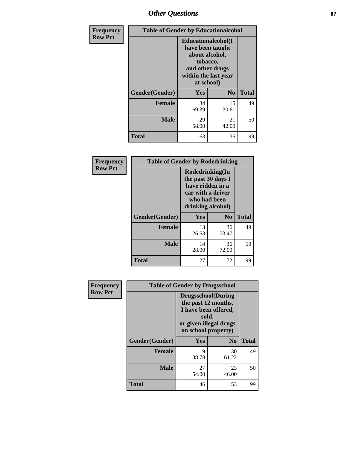# *Other Questions* **87**

| Frequency      | <b>Table of Gender by Educationalcohol</b> |                                                                                                                               |                |              |
|----------------|--------------------------------------------|-------------------------------------------------------------------------------------------------------------------------------|----------------|--------------|
| <b>Row Pct</b> |                                            | Educationalcohol(I<br>have been taught<br>about alcohol,<br>tobacco,<br>and other drugs<br>within the last year<br>at school) |                |              |
|                | Gender(Gender)                             | Yes                                                                                                                           | N <sub>0</sub> | <b>Total</b> |
|                | <b>Female</b>                              | 34<br>69.39                                                                                                                   | 15<br>30.61    | 49           |
|                | <b>Male</b>                                | 29<br>58.00                                                                                                                   | 21<br>42.00    | 50           |
|                | <b>Total</b>                               | 63                                                                                                                            | 36             | 99           |

| Frequency      | <b>Table of Gender by Rodedrinking</b> |                                                                                                                     |                |              |  |
|----------------|----------------------------------------|---------------------------------------------------------------------------------------------------------------------|----------------|--------------|--|
| <b>Row Pct</b> |                                        | Rodedrinking(In<br>the past 30 days I<br>have ridden in a<br>car with a driver<br>who had been<br>drinking alcohol) |                |              |  |
|                | Gender(Gender)                         | Yes                                                                                                                 | N <sub>0</sub> | <b>Total</b> |  |
|                | <b>Female</b>                          | 13<br>26.53                                                                                                         | 36<br>73.47    | 49           |  |
|                | <b>Male</b>                            | 14<br>28.00                                                                                                         | 36<br>72.00    | 50           |  |
|                | <b>Total</b>                           | 27                                                                                                                  | 72             | 99           |  |

| Frequency      | <b>Table of Gender by Drugsschool</b> |                                                                                                                                     |                |              |  |
|----------------|---------------------------------------|-------------------------------------------------------------------------------------------------------------------------------------|----------------|--------------|--|
| <b>Row Pct</b> |                                       | <b>Drugsschool</b> (During<br>the past 12 months,<br>I have been offered,<br>sold,<br>or given illegal drugs<br>on school property) |                |              |  |
|                | Gender(Gender)                        | <b>Yes</b>                                                                                                                          | N <sub>0</sub> | <b>Total</b> |  |
|                | <b>Female</b>                         | 19<br>38.78                                                                                                                         | 30<br>61.22    | 49           |  |
|                | <b>Male</b>                           | 27<br>54.00                                                                                                                         | 23<br>46.00    | 50           |  |
|                | <b>Total</b>                          | 46                                                                                                                                  | 53             | 99           |  |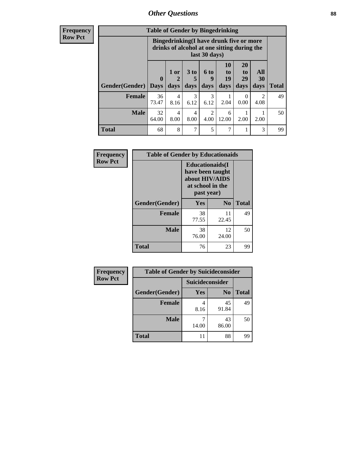# *Other Questions* **88**

**Frequency Row Pct**

| <b>Table of Gender by Bingedrinking</b> |             |                                                                                                         |           |           |                       |                       |                        |              |
|-----------------------------------------|-------------|---------------------------------------------------------------------------------------------------------|-----------|-----------|-----------------------|-----------------------|------------------------|--------------|
|                                         |             | Bingedrinking(I have drunk five or more<br>drinks of alcohol at one sitting during the<br>last 30 days) |           |           |                       |                       |                        |              |
| <b>Gender</b> (Gender)                  | $\mathbf 0$ | 1 or                                                                                                    | 3 to<br>5 | 6 to<br>9 | <b>10</b><br>to<br>19 | <b>20</b><br>to<br>29 | All<br><b>30</b>       |              |
|                                         | <b>Days</b> | days                                                                                                    | days      | days      | days                  | days                  | days                   | <b>Total</b> |
| <b>Female</b>                           | 36<br>73.47 | 4<br>8.16                                                                                               | 3<br>6.12 | 3<br>6.12 | 2.04                  | 0<br>0.00             | $\mathfrak{D}$<br>4.08 | 49           |
| <b>Male</b>                             | 32<br>64.00 | 4<br>8.00                                                                                               | 4<br>8.00 | 2<br>4.00 | 6<br>12.00            | 2.00                  | 2.00                   | 50           |

| Frequency      | <b>Table of Gender by Educationaids</b> |                                                                                                 |             |              |  |
|----------------|-----------------------------------------|-------------------------------------------------------------------------------------------------|-------------|--------------|--|
| <b>Row Pct</b> |                                         | <b>Educationaids</b> (I<br>have been taught<br>about HIV/AIDS<br>at school in the<br>past year) |             |              |  |
|                | Gender(Gender)                          | Yes                                                                                             | $\bf N_0$   | <b>Total</b> |  |
|                | <b>Female</b>                           | 38<br>77.55                                                                                     | 11<br>22.45 | 49           |  |
|                | <b>Male</b>                             | 38<br>76.00                                                                                     | 12<br>24.00 | 50           |  |
|                | <b>Total</b>                            | 76                                                                                              | 23          | 99           |  |

| <b>Frequency</b> | <b>Table of Gender by Suicideconsider</b> |                 |                |              |  |
|------------------|-------------------------------------------|-----------------|----------------|--------------|--|
| <b>Row Pct</b>   |                                           | Suicideconsider |                |              |  |
|                  | Gender(Gender)                            | Yes             | N <sub>0</sub> | <b>Total</b> |  |
|                  | <b>Female</b>                             | 8.16            | 45<br>91.84    | 49           |  |
|                  | <b>Male</b>                               | 14.00           | 43<br>86.00    | 50           |  |
|                  | <b>Total</b>                              | 11              | 88             | 99           |  |